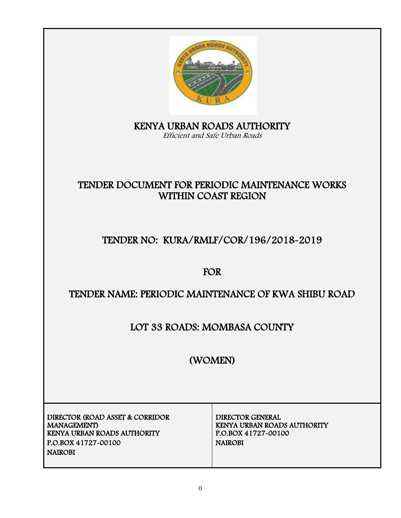

KENYA URBAN ROADS AUTHORITY Efficient and Safe Urban Roads

# TENDER DOCUMENT FOR PERIODIC MAINTENANCE WORKS WITHIN COAST REGION

# TENDER NO: KURA/RMLF/COR/196/2018-2019

# FOR

# TENDER NAME: PERIODIC MAINTENANCE OF KWA SHIBU ROAD

# LOT 33 ROADS: MOMBASA COUNTY

# (WOMEN)

DIRECTOR (ROAD ASSET & CORRIDOR MANAGEMENT) KENYA URBAN ROADS AUTHORITY P.O.BOX 41727-00100 NAIROBI NAIROBI

DIRECTOR GENERAL KENYA URBAN ROADS AUTHORITY<br>P.O.BOX 41727-00100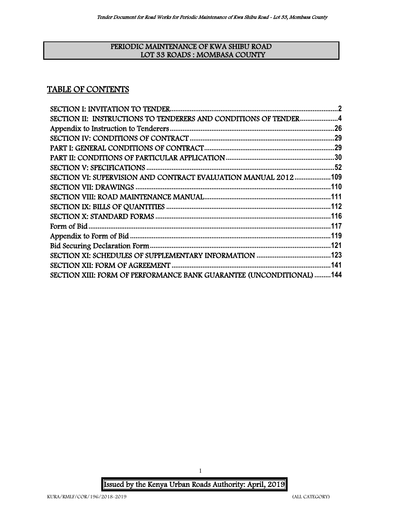### PERIODIC MAINTENANCE OF KWA SHIBU ROAD LOT 33 ROADS : MOMBASA COUNTY

## TABLE OF CONTENTS

| SECTION II: INSTRUCTIONS TO TENDERERS AND CONDITIONS OF TENDER4      |  |
|----------------------------------------------------------------------|--|
|                                                                      |  |
|                                                                      |  |
|                                                                      |  |
|                                                                      |  |
|                                                                      |  |
| SECTION VI: SUPERVISION AND CONTRACT EVALUATION MANUAL 2012109       |  |
|                                                                      |  |
|                                                                      |  |
|                                                                      |  |
|                                                                      |  |
|                                                                      |  |
|                                                                      |  |
|                                                                      |  |
|                                                                      |  |
|                                                                      |  |
| SECTION XIII: FORM OF PERFORMANCE BANK GUARANTEE (UNCONDITIONAL) 144 |  |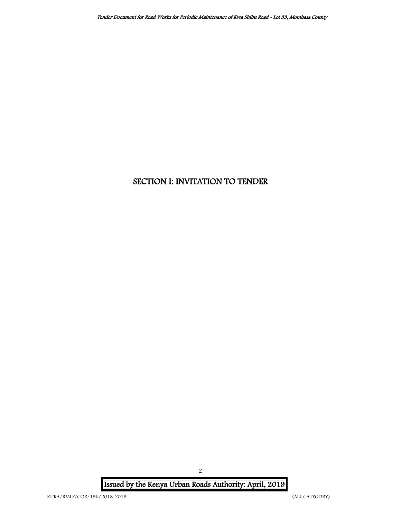# <span id="page-2-0"></span>SECTION I: INVITATION TO TENDER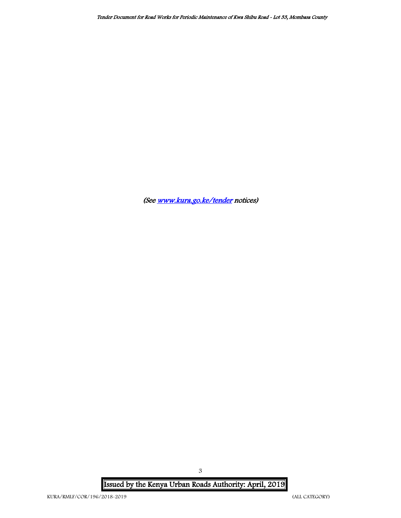(Se[e www.kura.go.ke/tender](http://www.kura.go.ke/tender) notices)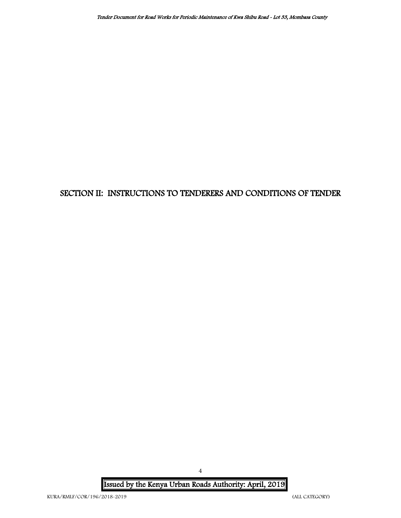# <span id="page-4-0"></span>SECTION II: INSTRUCTIONS TO TENDERERS AND CONDITIONS OF TENDER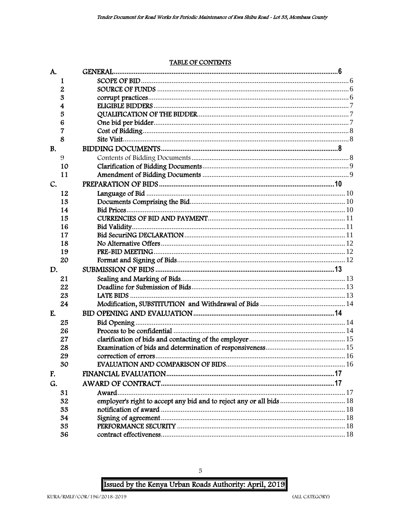## TABLE OF CONTENTS

| A.        |                                                                      |  |
|-----------|----------------------------------------------------------------------|--|
| 1         |                                                                      |  |
| 2         |                                                                      |  |
| 3         |                                                                      |  |
| 4         |                                                                      |  |
| 5         |                                                                      |  |
| 6         |                                                                      |  |
| 7         |                                                                      |  |
| 8         |                                                                      |  |
| <b>B.</b> |                                                                      |  |
| 9         |                                                                      |  |
| 10        |                                                                      |  |
| 11        |                                                                      |  |
| C.        |                                                                      |  |
| 12        |                                                                      |  |
| 13        |                                                                      |  |
| 14        |                                                                      |  |
| 15        |                                                                      |  |
| 16        |                                                                      |  |
| 17        |                                                                      |  |
| 18        |                                                                      |  |
| 19        |                                                                      |  |
| 20        |                                                                      |  |
| D.        |                                                                      |  |
| 21        |                                                                      |  |
| 22        |                                                                      |  |
| 23        |                                                                      |  |
| 24        |                                                                      |  |
| E.        |                                                                      |  |
| 25        |                                                                      |  |
| 26        |                                                                      |  |
| 27        |                                                                      |  |
| 28        |                                                                      |  |
| 29        |                                                                      |  |
| 30        |                                                                      |  |
| F.        |                                                                      |  |
| G.        |                                                                      |  |
| 31        | Award                                                                |  |
| 32        | employer's right to accept any bid and to reject any or all bids  18 |  |
| 33        |                                                                      |  |
| 34        |                                                                      |  |
| 35        |                                                                      |  |
| 36        |                                                                      |  |
|           |                                                                      |  |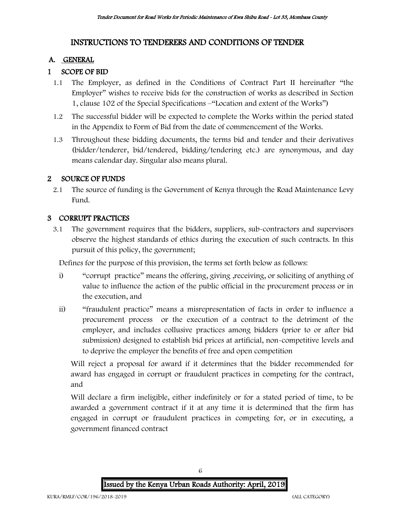## INSTRUCTIONS TO TENDERERS AND CONDITIONS OF TENDER

### A. GENERAL

## 1 SCOPE OF BID

- 1.1 The Employer, as defined in the Conditions of Contract Part II hereinafter "the Employer" wishes to receive bids for the construction of works as described in Section 1, clause 102 of the Special Specifications –"Location and extent of the Works")
- 1.2 The successful bidder will be expected to complete the Works within the period stated in the Appendix to Form of Bid from the date of commencement of the Works.
- 1.3 Throughout these bidding documents, the terms bid and tender and their derivatives (bidder/tenderer, bid/tendered, bidding/tendering etc.) are synonymous, and day means calendar day. Singular also means plural.

### 2 SOURCE OF FUNDS

2.1 The source of funding is the Government of Kenya through the Road Maintenance Levy Fund.

#### 3 CORRUPT PRACTICES

3.1 The government requires that the bidders, suppliers, sub-contractors and supervisors observe the highest standards of ethics during the execution of such contracts. In this pursuit of this policy, the government;

Defines for the purpose of this provision, the terms set forth below as follows:

- i) "corrupt practice" means the offering, giving , receiving, or soliciting of anything of value to influence the action of the public official in the procurement process or in the execution, and
- ii) "fraudulent practice" means a misrepresentation of facts in order to influence a procurement process or the execution of a contract to the detriment of the employer, and includes collusive practices among bidders (prior to or after bid submission) designed to establish bid prices at artificial, non-competitive levels and to deprive the employer the benefits of free and open competition

Will reject a proposal for award if it determines that the bidder recommended for award has engaged in corrupt or fraudulent practices in competing for the contract, and

Will declare a firm ineligible, either indefinitely or for a stated period of time, to be awarded a government contract if it at any time it is determined that the firm has engaged in corrupt or fraudulent practices in competing for, or in executing, a government financed contract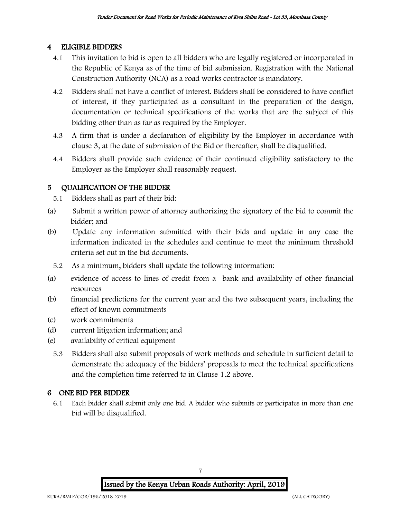## 4 ELIGIBLE BIDDERS

- 4.1 This invitation to bid is open to all bidders who are legally registered or incorporated in the Republic of Kenya as of the time of bid submission. Registration with the National Construction Authority (NCA) as a road works contractor is mandatory.
- 4.2 Bidders shall not have a conflict of interest. Bidders shall be considered to have conflict of interest, if they participated as a consultant in the preparation of the design, documentation or technical specifications of the works that are the subject of this bidding other than as far as required by the Employer.
- 4.3 A firm that is under a declaration of eligibility by the Employer in accordance with clause 3, at the date of submission of the Bid or thereafter, shall be disqualified.
- 4.4 Bidders shall provide such evidence of their continued eligibility satisfactory to the Employer as the Employer shall reasonably request.

## 5 QUALIFICATION OF THE BIDDER

- 5.1 Bidders shall as part of their bid:
- (a) Submit a written power of attorney authorizing the signatory of the bid to commit the bidder; and
- (b) Update any information submitted with their bids and update in any case the information indicated in the schedules and continue to meet the minimum threshold criteria set out in the bid documents.
	- 5.2 As a minimum, bidders shall update the following information:
- (a) evidence of access to lines of credit from a bank and availability of other financial resources
- (b) financial predictions for the current year and the two subsequent years, including the effect of known commitments
- (c) work commitments
- (d) current litigation information; and
- (e) availability of critical equipment
	- 5.3 Bidders shall also submit proposals of work methods and schedule in sufficient detail to demonstrate the adequacy of the bidders' proposals to meet the technical specifications and the completion time referred to in Clause 1.2 above.

## 6 ONE BID PER BIDDER

6.1 Each bidder shall submit only one bid. A bidder who submits or participates in more than one bid will be disqualified.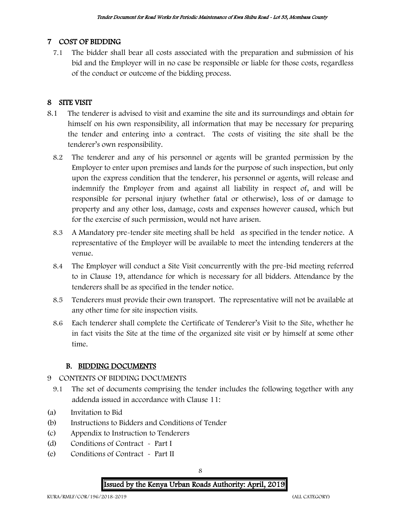## 7 COST OF BIDDING

7.1 The bidder shall bear all costs associated with the preparation and submission of his bid and the Employer will in no case be responsible or liable for those costs, regardless of the conduct or outcome of the bidding process.

## 8 SITE VISIT

- 8.1 The tenderer is advised to visit and examine the site and its surroundings and obtain for himself on his own responsibility, all information that may be necessary for preparing the tender and entering into a contract. The costs of visiting the site shall be the tenderer's own responsibility.
	- 8.2 The tenderer and any of his personnel or agents will be granted permission by the Employer to enter upon premises and lands for the purpose of such inspection, but only upon the express condition that the tenderer, his personnel or agents, will release and indemnify the Employer from and against all liability in respect of, and will be responsible for personal injury (whether fatal or otherwise), loss of or damage to property and any other loss, damage, costs and expenses however caused, which but for the exercise of such permission, would not have arisen.
	- 8.3 A Mandatory pre-tender site meeting shall be held as specified in the tender notice. A representative of the Employer will be available to meet the intending tenderers at the venue.
	- 8.4 The Employer will conduct a Site Visit concurrently with the pre-bid meeting referred to in Clause 19, attendance for which is necessary for all bidders. Attendance by the tenderers shall be as specified in the tender notice.
	- 8.5 Tenderers must provide their own transport. The representative will not be available at any other time for site inspection visits.
	- 8.6 Each tenderer shall complete the Certificate of Tenderer's Visit to the Site, whether he in fact visits the Site at the time of the organized site visit or by himself at some other time.

### B. BIDDING DOCUMENTS

- 9 CONTENTS OF BIDDING DOCUMENTS
	- 9.1 The set of documents comprising the tender includes the following together with any addenda issued in accordance with Clause 11:
- (a) Invitation to Bid
- (b) Instructions to Bidders and Conditions of Tender
- (c) Appendix to Instruction to Tenderers
- (d) Conditions of Contract Part I
- (e) Conditions of Contract Part II

Issued by the Kenya Urban Roads Authority: April, 2019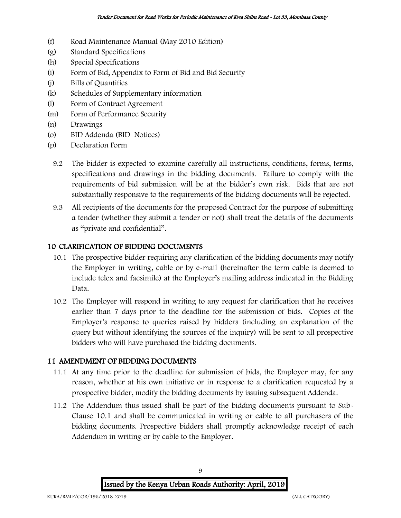- (f) Road Maintenance Manual (May 2010 Edition)
- (g) Standard Specifications
- (h) Special Specifications
- (i) Form of Bid, Appendix to Form of Bid and Bid Security
- (j) Bills of Quantities
- (k) Schedules of Supplementary information
- (l) Form of Contract Agreement
- (m) Form of Performance Security
- (n) Drawings
- (o) BID Addenda (BID Notices)
- (p) Declaration Form
	- 9.2 The bidder is expected to examine carefully all instructions, conditions, forms, terms, specifications and drawings in the bidding documents. Failure to comply with the requirements of bid submission will be at the bidder's own risk. Bids that are not substantially responsive to the requirements of the bidding documents will be rejected.
	- 9.3 All recipients of the documents for the proposed Contract for the purpose of submitting a tender (whether they submit a tender or not) shall treat the details of the documents as "private and confidential".

## 10 CLARIFICATION OF BIDDING DOCUMENTS

- 10.1 The prospective bidder requiring any clarification of the bidding documents may notify the Employer in writing, cable or by e-mail (hereinafter the term cable is deemed to include telex and facsimile) at the Employer's mailing address indicated in the Bidding Data.
- 10.2 The Employer will respond in writing to any request for clarification that he receives earlier than 7 days prior to the deadline for the submission of bids. Copies of the Employer's response to queries raised by bidders (including an explanation of the query but without identifying the sources of the inquiry) will be sent to all prospective bidders who will have purchased the bidding documents.

### 11 AMENDMENT OF BIDDING DOCUMENTS

- 11.1 At any time prior to the deadline for submission of bids, the Employer may, for any reason, whether at his own initiative or in response to a clarification requested by a prospective bidder, modify the bidding documents by issuing subsequent Addenda.
- 11.2 The Addendum thus issued shall be part of the bidding documents pursuant to Sub-Clause 10.1 and shall be communicated in writing or cable to all purchasers of the bidding documents. Prospective bidders shall promptly acknowledge receipt of each Addendum in writing or by cable to the Employer.

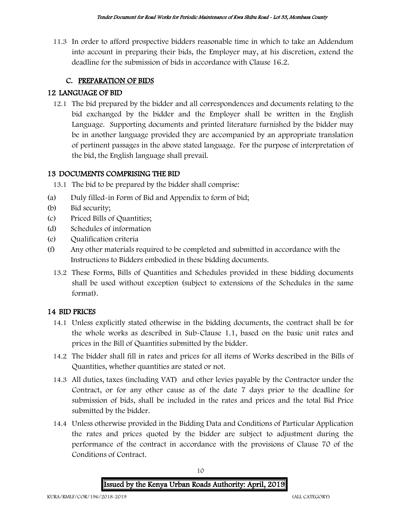11.3 In order to afford prospective bidders reasonable time in which to take an Addendum into account in preparing their bids, the Employer may, at his discretion, extend the deadline for the submission of bids in accordance with Clause 16.2.

## C. PREPARATION OF BIDS

## 12 LANGUAGE OF BID

12.1 The bid prepared by the bidder and all correspondences and documents relating to the bid exchanged by the bidder and the Employer shall be written in the English Language. Supporting documents and printed literature furnished by the bidder may be in another language provided they are accompanied by an appropriate translation of pertinent passages in the above stated language. For the purpose of interpretation of the bid, the English language shall prevail.

## 13 DOCUMENTS COMPRISING THE BID

13.1 The bid to be prepared by the bidder shall comprise:

- (a) Duly filled-in Form of Bid and Appendix to form of bid;
- (b) Bid security;
- (c) Priced Bills of Quantities;
- (d) Schedules of information
- (e) Qualification criteria
- (f) Any other materials required to be completed and submitted in accordance with the Instructions to Bidders embodied in these bidding documents.
	- 13.2 These Forms, Bills of Quantities and Schedules provided in these bidding documents shall be used without exception (subject to extensions of the Schedules in the same format).

## 14 BID PRICES

- 14.1 Unless explicitly stated otherwise in the bidding documents, the contract shall be for the whole works as described in Sub-Clause 1.1, based on the basic unit rates and prices in the Bill of Quantities submitted by the bidder.
- 14.2 The bidder shall fill in rates and prices for all items of Works described in the Bills of Quantities, whether quantities are stated or not.
- 14.3 All duties, taxes (including VAT) and other levies payable by the Contractor under the Contract, or for any other cause as of the date 7 days prior to the deadline for submission of bids, shall be included in the rates and prices and the total Bid Price submitted by the bidder.
- 14.4 Unless otherwise provided in the Bidding Data and Conditions of Particular Application the rates and prices quoted by the bidder are subject to adjustment during the performance of the contract in accordance with the provisions of Clause 70 of the Conditions of Contract.

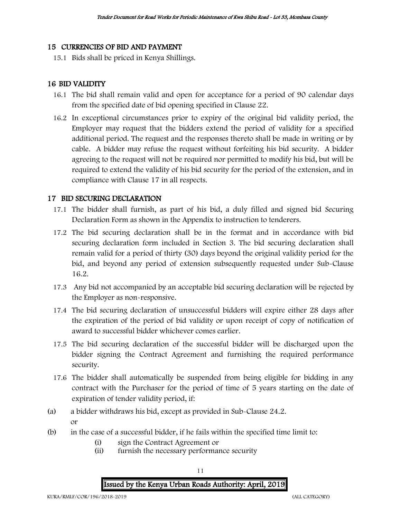#### 15 CURRENCIES OF BID AND PAYMENT

15.1 Bids shall be priced in Kenya Shillings.

#### 16 BID VALIDITY

- 16.1 The bid shall remain valid and open for acceptance for a period of 90 calendar days from the specified date of bid opening specified in Clause 22.
- 16.2 In exceptional circumstances prior to expiry of the original bid validity period, the Employer may request that the bidders extend the period of validity for a specified additional period. The request and the responses thereto shall be made in writing or by cable. A bidder may refuse the request without forfeiting his bid security. A bidder agreeing to the request will not be required nor permitted to modify his bid, but will be required to extend the validity of his bid security for the period of the extension, and in compliance with Clause 17 in all respects.

#### 17 BID SECURING DECLARATION

- 17.1 The bidder shall furnish, as part of his bid, a duly filled and signed bid Securing Declaration Form as shown in the Appendix to instruction to tenderers.
- 17.2 The bid securing declaration shall be in the format and in accordance with bid securing declaration form included in Section 3. The bid securing declaration shall remain valid for a period of thirty (30) days beyond the original validity period for the bid, and beyond any period of extension subsequently requested under Sub-Clause 16.2.
- 17.3 Any bid not accompanied by an acceptable bid securing declaration will be rejected by the Employer as non-responsive.
- 17.4 The bid securing declaration of unsuccessful bidders will expire either 28 days after the expiration of the period of bid validity or upon receipt of copy of notification of award to successful bidder whichever comes earlier.
- 17.5 The bid securing declaration of the successful bidder will be discharged upon the bidder signing the Contract Agreement and furnishing the required performance security.
- 17.6 The bidder shall automatically be suspended from being eligible for bidding in any contract with the Purchaser for the period of time of 5 years starting on the date of expiration of tender validity period, if:
- (a) a bidder withdraws his bid, except as provided in Sub-Clause 24.2. or
- (b) in the case of a successful bidder, if he fails within the specified time limit to:
	- (i) sign the Contract Agreement or
	- (ii) furnish the necessary performance security

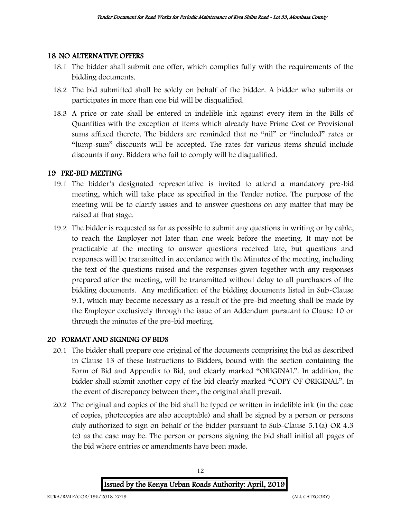#### 18 NO ALTERNATIVE OFFERS

- 18.1 The bidder shall submit one offer, which complies fully with the requirements of the bidding documents.
- 18.2 The bid submitted shall be solely on behalf of the bidder. A bidder who submits or participates in more than one bid will be disqualified.
- 18.3 A price or rate shall be entered in indelible ink against every item in the Bills of Quantities with the exception of items which already have Prime Cost or Provisional sums affixed thereto. The bidders are reminded that no "nil" or "included" rates or "lump-sum" discounts will be accepted. The rates for various items should include discounts if any. Bidders who fail to comply will be disqualified.

### 19 PRE-BID MEETING

- 19.1 The bidder's designated representative is invited to attend a mandatory pre-bid meeting, which will take place as specified in the Tender notice. The purpose of the meeting will be to clarify issues and to answer questions on any matter that may be raised at that stage.
- 19.2 The bidder is requested as far as possible to submit any questions in writing or by cable, to reach the Employer not later than one week before the meeting. It may not be practicable at the meeting to answer questions received late, but questions and responses will be transmitted in accordance with the Minutes of the meeting, including the text of the questions raised and the responses given together with any responses prepared after the meeting, will be transmitted without delay to all purchasers of the bidding documents. Any modification of the bidding documents listed in Sub-Clause 9.1, which may become necessary as a result of the pre-bid meeting shall be made by the Employer exclusively through the issue of an Addendum pursuant to Clause 10 or through the minutes of the pre-bid meeting.

### 20 FORMAT AND SIGNING OF BIDS

- 20.1 The bidder shall prepare one original of the documents comprising the bid as described in Clause 13 of these Instructions to Bidders, bound with the section containing the Form of Bid and Appendix to Bid, and clearly marked "ORIGINAL". In addition, the bidder shall submit another copy of the bid clearly marked "COPY OF ORIGINAL". In the event of discrepancy between them, the original shall prevail.
- 20.2 The original and copies of the bid shall be typed or written in indelible ink (in the case of copies, photocopies are also acceptable) and shall be signed by a person or persons duly authorized to sign on behalf of the bidder pursuant to Sub-Clause 5.1(a) OR 4.3 (c) as the case may be. The person or persons signing the bid shall initial all pages of the bid where entries or amendments have been made.

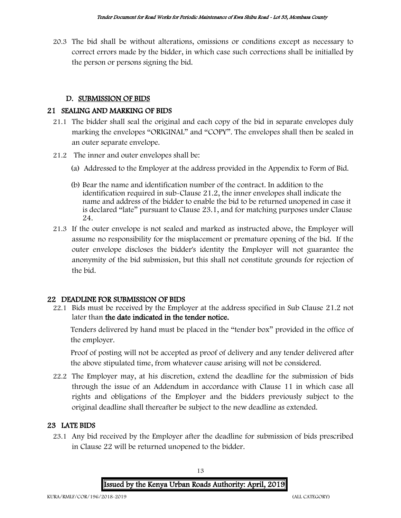20.3 The bid shall be without alterations, omissions or conditions except as necessary to correct errors made by the bidder, in which case such corrections shall be initialled by the person or persons signing the bid.

## D. SUBMISSION OF BIDS

## 21 SEALING AND MARKING OF BIDS

- 21.1 The bidder shall seal the original and each copy of the bid in separate envelopes duly marking the envelopes "ORIGINAL" and "COPY". The envelopes shall then be sealed in an outer separate envelope.
- 21.2 The inner and outer envelopes shall be:
	- (a) Addressed to the Employer at the address provided in the Appendix to Form of Bid.
	- (b) Bear the name and identification number of the contract. In addition to the identification required in sub-Clause 21.2, the inner envelopes shall indicate the name and address of the bidder to enable the bid to be returned unopened in case it is declared "late" pursuant to Clause 23.1, and for matching purposes under Clause 24.
- 21.3 If the outer envelope is not sealed and marked as instructed above, the Employer will assume no responsibility for the misplacement or premature opening of the bid. If the outer envelope discloses the bidder's identity the Employer will not guarantee the anonymity of the bid submission, but this shall not constitute grounds for rejection of the bid.

### 22 DEADLINE FOR SUBMISSION OF BIDS

22.1 Bids must be received by the Employer at the address specified in Sub Clause 21.2 not later than the date indicated in the tender notice.

Tenders delivered by hand must be placed in the "tender box" provided in the office of the employer.

Proof of posting will not be accepted as proof of delivery and any tender delivered after the above stipulated time, from whatever cause arising will not be considered.

22.2 The Employer may, at his discretion, extend the deadline for the submission of bids through the issue of an Addendum in accordance with Clause 11 in which case all rights and obligations of the Employer and the bidders previously subject to the original deadline shall thereafter be subject to the new deadline as extended.

## 23 LATE BIDS

23.1 Any bid received by the Employer after the deadline for submission of bids prescribed in Clause 22 will be returned unopened to the bidder.

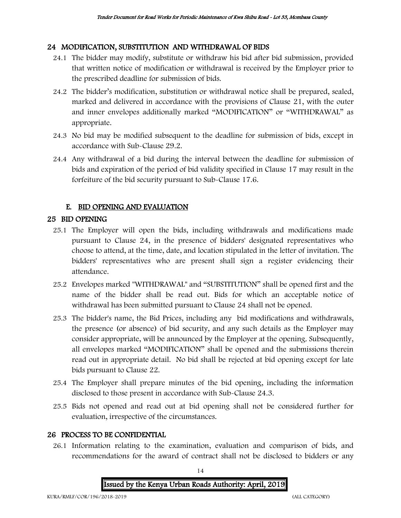## 24 MODIFICATION, SUBSTITUTION AND WITHDRAWAL OF BIDS

- 24.1 The bidder may modify, substitute or withdraw his bid after bid submission, provided that written notice of modification or withdrawal is received by the Employer prior to the prescribed deadline for submission of bids.
- 24.2 The bidder's modification, substitution or withdrawal notice shall be prepared, sealed, marked and delivered in accordance with the provisions of Clause 21, with the outer and inner envelopes additionally marked "MODIFICATION" or "WITHDRAWAL" as appropriate.
- 24.3 No bid may be modified subsequent to the deadline for submission of bids, except in accordance with Sub-Clause 29.2.
- 24.4 Any withdrawal of a bid during the interval between the deadline for submission of bids and expiration of the period of bid validity specified in Clause 17 may result in the forfeiture of the bid security pursuant to Sub-Clause 17.6.

## E. BID OPENING AND EVALUATION

## 25 BID OPENING

- 25.1 The Employer will open the bids, including withdrawals and modifications made pursuant to Clause 24, in the presence of bidders' designated representatives who choose to attend, at the time, date, and location stipulated in the letter of invitation. The bidders' representatives who are present shall sign a register evidencing their attendance.
- 25.2 Envelopes marked "WITHDRAWAL" and "SUBSTITUTION" shall be opened first and the name of the bidder shall be read out. Bids for which an acceptable notice of withdrawal has been submitted pursuant to Clause 24 shall not be opened.
- 25.3 The bidder's name, the Bid Prices, including any bid modifications and withdrawals, the presence (or absence) of bid security, and any such details as the Employer may consider appropriate, will be announced by the Employer at the opening. Subsequently, all envelopes marked "MODIFICATION" shall be opened and the submissions therein read out in appropriate detail. No bid shall be rejected at bid opening except for late bids pursuant to Clause 22.
- 25.4 The Employer shall prepare minutes of the bid opening, including the information disclosed to those present in accordance with Sub-Clause 24.3.
- 25.5 Bids not opened and read out at bid opening shall not be considered further for evaluation, irrespective of the circumstances.

### 26 PROCESS TO BE CONFIDENTIAL

26.1 Information relating to the examination, evaluation and comparison of bids, and recommendations for the award of contract shall not be disclosed to bidders or any

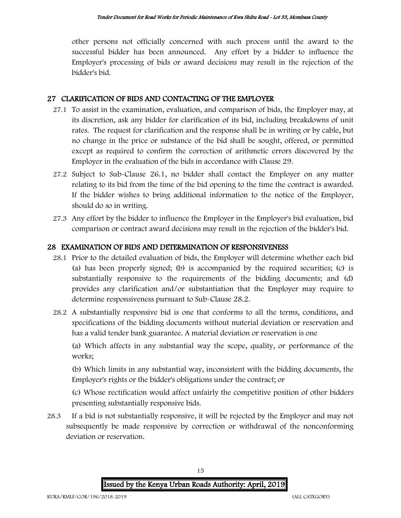other persons not officially concerned with such process until the award to the successful bidder has been announced. Any effort by a bidder to influence the Employer's processing of bids or award decisions may result in the rejection of the bidder's bid.

### 27 CLARIFICATION OF BIDS AND CONTACTING OF THE EMPLOYER

- 27.1 To assist in the examination, evaluation, and comparison of bids, the Employer may, at its discretion, ask any bidder for clarification of its bid, including breakdowns of unit rates. The request for clarification and the response shall be in writing or by cable, but no change in the price or substance of the bid shall be sought, offered, or permitted except as required to confirm the correction of arithmetic errors discovered by the Employer in the evaluation of the bids in accordance with Clause 29.
- 27.2 Subject to Sub-Clause 26.1, no bidder shall contact the Employer on any matter relating to its bid from the time of the bid opening to the time the contract is awarded. If the bidder wishes to bring additional information to the notice of the Employer, should do so in writing.
- 27.3 Any effort by the bidder to influence the Employer in the Employer's bid evaluation, bid comparison or contract award decisions may result in the rejection of the bidder's bid.

### 28 EXAMINATION OF BIDS AND DETERMINATION OF RESPONSIVENESS

- 28.1 Prior to the detailed evaluation of bids, the Employer will determine whether each bid (a) has been properly signed; (b) is accompanied by the required securities; (c) is substantially responsive to the requirements of the bidding documents; and (d) provides any clarification and/or substantiation that the Employer may require to determine responsiveness pursuant to Sub-Clause 28.2.
- 28.2 A substantially responsive bid is one that conforms to all the terms, conditions, and specifications of the bidding documents without material deviation or reservation and has a valid tender bank guarantee. A material deviation or reservation is one

(a) Which affects in any substantial way the scope, quality, or performance of the works;

(b) Which limits in any substantial way, inconsistent with the bidding documents, the Employer's rights or the bidder's obligations under the contract; or

(c) Whose rectification would affect unfairly the competitive position of other bidders presenting substantially responsive bids.

28.3 If a bid is not substantially responsive, it will be rejected by the Employer and may not subsequently be made responsive by correction or withdrawal of the nonconforming deviation or reservation.

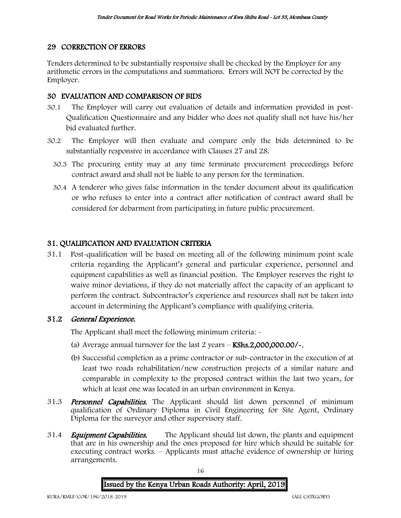## 29 CORRECTION OF ERRORS

Tenders determined to be substantially responsive shall be checked by the Employer for any arithmetic errors in the computations and summations. Errors will NOT be corrected by the Employer.

## 30 EVALUATION AND COMPARISON OF BIDS

- 30.1 The Employer will carry out evaluation of details and information provided in post-Qualification Questionnaire and any bidder who does not qualify shall not have his/her bid evaluated further.
- 30.2 The Employer will then evaluate and compare only the bids determined to be substantially responsive in accordance with Clauses 27 and 28.
	- 30.3 The procuring entity may at any time terminate procurement proceedings before contract award and shall not be liable to any person for the termination.
	- 30.4 A tenderer who gives false information in the tender document about its qualification or who refuses to enter into a contract after notification of contract award shall be considered for debarment from participating in future public procurement.

## 31. QUALIFICATION AND EVALUATION CRITERIA

31.1 Post-qualification will be based on meeting all of the following minimum point scale criteria regarding the Applicant's general and particular experience, personnel and equipment capabilities as well as financial position. The Employer reserves the right to waive minor deviations, if they do not materially affect the capacity of an applicant to perform the contract. Subcontractor's experience and resources shall not be taken into account in determining the Applicant's compliance with qualifying criteria.

### 31.2 General Experience.

The Applicant shall meet the following minimum criteria: -

- (a) Average annual turnover for the last  $2$  years  $-$  KShs.2,000,000.00/ $\sim$ .
- (b) Successful completion as a prime contractor or sub-contractor in the execution of at least two roads rehabilitation/new construction projects of a similar nature and comparable in complexity to the proposed contract within the last two years, for which at least one was located in an urban environment in Kenya.
- 31.3 **Personnel Capabilities.** The Applicant should list down personnel of minimum qualification of Ordinary Diploma in Civil Engineering for Site Agent, Ordinary Diploma for the surveyor and other supervisory staff.
- 31.4 *Equipment Capabilities.* The Applicant should list down, the plants and equipment that are in his ownership and the ones proposed for hire which should be suitable for executing contract works. – Applicants must attaché evidence of ownership or hiring arrangements.

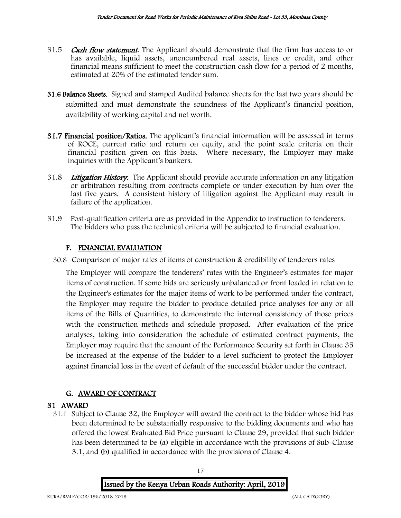- 31.5 Cash flow statement. The Applicant should demonstrate that the firm has access to or has available, liquid assets, unencumbered real assets, lines or credit, and other financial means sufficient to meet the construction cash flow for a period of 2 months, estimated at 20% of the estimated tender sum.
- 31.6 Balance Sheets. Signed and stamped Audited balance sheets for the last two years should be submitted and must demonstrate the soundness of the Applicant's financial position, availability of working capital and net worth.
- 31.7 Financial position/Ratios. The applicant's financial information will be assessed in terms of ROCE, current ratio and return on equity, and the point scale criteria on their financial position given on this basis. Where necessary, the Employer may make inquiries with the Applicant's bankers.
- 31.8 Litigation History. The Applicant should provide accurate information on any litigation or arbitration resulting from contracts complete or under execution by him over the last five years. A consistent history of litigation against the Applicant may result in failure of the application.
- 31.9 Post-qualification criteria are as provided in the Appendix to instruction to tenderers. The bidders who pass the technical criteria will be subjected to financial evaluation.

## F. FINANCIAL EVALUATION

30.8 Comparison of major rates of items of construction & credibility of tenderers rates

The Employer will compare the tenderers' rates with the Engineer's estimates for major items of construction. If some bids are seriously unbalanced or front loaded in relation to the Engineer's estimates for the major items of work to be performed under the contract, the Employer may require the bidder to produce detailed price analyses for any or all items of the Bills of Quantities, to demonstrate the internal consistency of those prices with the construction methods and schedule proposed. After evaluation of the price analyses, taking into consideration the schedule of estimated contract payments, the Employer may require that the amount of the Performance Security set forth in Clause 35 be increased at the expense of the bidder to a level sufficient to protect the Employer against financial loss in the event of default of the successful bidder under the contract.

## G. AWARD OF CONTRACT

### 31 AWARD

31.1 Subject to Clause 32, the Employer will award the contract to the bidder whose bid has been determined to be substantially responsive to the bidding documents and who has offered the lowest Evaluated Bid Price pursuant to Clause 29, provided that such bidder has been determined to be (a) eligible in accordance with the provisions of Sub-Clause 3.1, and (b) qualified in accordance with the provisions of Clause 4.

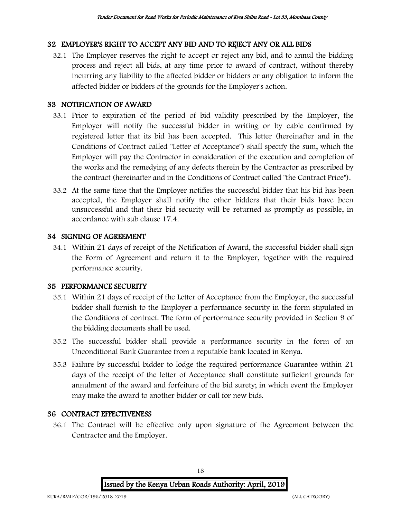## 32 EMPLOYER'S RIGHT TO ACCEPT ANY BID AND TO REJECT ANY OR ALL BIDS

32.1 The Employer reserves the right to accept or reject any bid, and to annul the bidding process and reject all bids, at any time prior to award of contract, without thereby incurring any liability to the affected bidder or bidders or any obligation to inform the affected bidder or bidders of the grounds for the Employer's action.

## 33 NOTIFICATION OF AWARD

- 33.1 Prior to expiration of the period of bid validity prescribed by the Employer, the Employer will notify the successful bidder in writing or by cable confirmed by registered letter that its bid has been accepted. This letter (hereinafter and in the Conditions of Contract called "Letter of Acceptance") shall specify the sum, which the Employer will pay the Contractor in consideration of the execution and completion of the works and the remedying of any defects therein by the Contractor as prescribed by the contract (hereinafter and in the Conditions of Contract called "the Contract Price").
- 33.2 At the same time that the Employer notifies the successful bidder that his bid has been accepted, the Employer shall notify the other bidders that their bids have been unsuccessful and that their bid security will be returned as promptly as possible, in accordance with sub clause 17.4.

## 34 SIGNING OF AGREEMENT

34.1 Within 21 days of receipt of the Notification of Award, the successful bidder shall sign the Form of Agreement and return it to the Employer, together with the required performance security.

### 35 PERFORMANCE SECURITY

- 35.1 Within 21 days of receipt of the Letter of Acceptance from the Employer, the successful bidder shall furnish to the Employer a performance security in the form stipulated in the Conditions of contract. The form of performance security provided in Section 9 of the bidding documents shall be used.
- 35.2 The successful bidder shall provide a performance security in the form of an Unconditional Bank Guarantee from a reputable bank located in Kenya.
- 35.3 Failure by successful bidder to lodge the required performance Guarantee within 21 days of the receipt of the letter of Acceptance shall constitute sufficient grounds for annulment of the award and forfeiture of the bid surety; in which event the Employer may make the award to another bidder or call for new bids.

## 36 CONTRACT EFFECTIVENESS

36.1 The Contract will be effective only upon signature of the Agreement between the Contractor and the Employer.

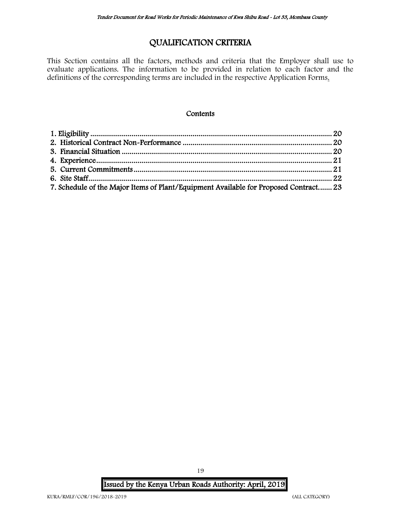## QUALIFICATION CRITERIA

This Section contains all the factors, methods and criteria that the Employer shall use to evaluate applications. The information to be provided in relation to each factor and the definitions of the corresponding terms are included in the respective Application Forms.

#### **Contents**

| 7. Schedule of the Major Items of Plant/Equipment Available for Proposed Contract 23 |  |
|--------------------------------------------------------------------------------------|--|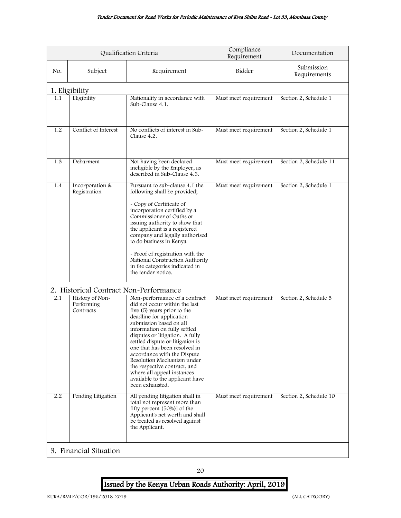<span id="page-20-2"></span><span id="page-20-1"></span><span id="page-20-0"></span>

| Qualification Criteria |                                              |                                                                                                                                                                                                                                                                                                                                                                                                                                                                               | Compliance<br>Requirement | Documentation              |
|------------------------|----------------------------------------------|-------------------------------------------------------------------------------------------------------------------------------------------------------------------------------------------------------------------------------------------------------------------------------------------------------------------------------------------------------------------------------------------------------------------------------------------------------------------------------|---------------------------|----------------------------|
| No.                    | Subject                                      | Requirement                                                                                                                                                                                                                                                                                                                                                                                                                                                                   | Bidder                    | Submission<br>Requirements |
|                        | 1. Eligibility                               |                                                                                                                                                                                                                                                                                                                                                                                                                                                                               |                           |                            |
| 1.1                    | Eligibility                                  | Nationality in accordance with<br>Sub-Clause 4.1.                                                                                                                                                                                                                                                                                                                                                                                                                             | Must meet requirement     | Section 2, Schedule 1      |
| 1.2                    | Conflict of Interest                         | No conflicts of interest in Sub-<br>Clause 4.2.                                                                                                                                                                                                                                                                                                                                                                                                                               | Must meet requirement     | Section 2, Schedule 1      |
| 1.3                    | Debarment                                    | Not having been declared<br>ineligible by the Employer, as<br>described in Sub-Clause 4.3.                                                                                                                                                                                                                                                                                                                                                                                    | Must meet requirement     | Section 2, Schedule 11     |
| 1.4                    | Incorporation &<br>Registration              | Pursuant to sub-clause 4.1 the<br>following shall be provided;<br>- Copy of Certificate of<br>incorporation certified by a<br>Commissioner of Oaths or<br>issuing authority to show that<br>the applicant is a registered<br>company and legally authorised<br>to do business in Kenya<br>- Proof of registration with the<br>National Construction Authority<br>in the categories indicated in<br>the tender notice.                                                         | Must meet requirement     | Section 2, Schedule 1      |
|                        | 2. Historical Contract Non-Performance       |                                                                                                                                                                                                                                                                                                                                                                                                                                                                               |                           |                            |
| 2.1                    | History of Non-<br>Performing<br>Contracts   | Non-performance of a contract<br>did not occur within the last<br>five (5) years prior to the<br>deadline for application<br>submission based on all<br>information on fully settled<br>disputes or litigation. A fully<br>settled dispute or litigation is<br>one that has been resolved in<br>accordance with the Dispute<br>Resolution Mechanism under<br>the respective contract, and<br>where all appeal instances<br>available to the applicant have<br>been exhausted. | Must meet requirement     | Section 2, Schedule 5      |
| 2.2                    | Pending Litigation<br>3. Financial Situation | All pending litigation shall in<br>total not represent more than<br>fifty percent (50%)] of the<br>Applicant's net worth and shall<br>be treated as resolved against<br>the Applicant.                                                                                                                                                                                                                                                                                        | Must meet requirement     | Section 2, Schedule 10     |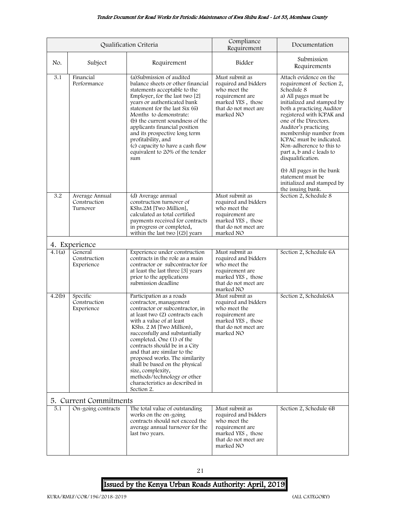#### Tender Document for Road Works for Periodic Maintenance of Kwa Shibu Road - Lot 33, Mombasa County

<span id="page-21-1"></span><span id="page-21-0"></span>

|        |                                            | Qualification Criteria                                                                                                                                                                                                                                                                                                                                                                                                                                                                   | Compliance<br>Requirement                                                                                                           | Documentation                                                                                                                                                                                                                                                                                                                                                                                                                                                              |
|--------|--------------------------------------------|------------------------------------------------------------------------------------------------------------------------------------------------------------------------------------------------------------------------------------------------------------------------------------------------------------------------------------------------------------------------------------------------------------------------------------------------------------------------------------------|-------------------------------------------------------------------------------------------------------------------------------------|----------------------------------------------------------------------------------------------------------------------------------------------------------------------------------------------------------------------------------------------------------------------------------------------------------------------------------------------------------------------------------------------------------------------------------------------------------------------------|
| No.    | Subject                                    | Requirement                                                                                                                                                                                                                                                                                                                                                                                                                                                                              | Bidder                                                                                                                              | Submission<br>Requirements                                                                                                                                                                                                                                                                                                                                                                                                                                                 |
| 3.1    | Financial<br>Performance                   | (a) submission of audited<br>balance sheets or other financial<br>statements acceptable to the<br>Employer, for the last two [2]<br>years or authenticated bank<br>statement for the last Six (6)<br>Months to demonstrate:<br>(b) the current soundness of the<br>applicants financial position<br>and its prospective long term<br>profitability, and<br>(c) capacity to have a cash flow<br>equivalent to 20% of the tender<br>sum                                                    | Must submit as<br>required and bidders<br>who meet the<br>requirement are<br>marked YES, those<br>that do not meet are<br>marked NO | Attach evidence on the<br>requirement of Section 2,<br>Schedule 8<br>a) All pages must be<br>initialized and stamped by<br>both a practicing Auditor<br>registered with ICPAK and<br>one of the Directors.<br>Auditor's practicing<br>membership number from<br>ICPAC must be indicated.<br>Non-adherence to this to<br>part a, b and c leads to<br>disqualification.<br>(b) All pages in the bank<br>statement must be<br>initialized and stamped by<br>the issuing bank. |
| 3.2    | Average Annual<br>Construction<br>Turnover | (d) Average annual<br>construction turnover of<br>KShs.2M [Two Million],<br>calculated as total certified<br>payments received for contracts<br>in progress or completed,<br>within the last two $[(2)]$ years                                                                                                                                                                                                                                                                           | Must submit as<br>required and bidders<br>who meet the<br>requirement are<br>marked YES, those<br>that do not meet are<br>marked NO | Section 2, Schedule 8                                                                                                                                                                                                                                                                                                                                                                                                                                                      |
|        | 4. Experience                              |                                                                                                                                                                                                                                                                                                                                                                                                                                                                                          |                                                                                                                                     |                                                                                                                                                                                                                                                                                                                                                                                                                                                                            |
| 4.1(a) | General<br>Construction<br>Experience      | Experience under construction<br>contracts in the role as a main<br>contractor or subcontractor for<br>at least the last three [3] years<br>prior to the applications<br>submission deadline                                                                                                                                                                                                                                                                                             | Must submit as<br>required and bidders<br>who meet the<br>requirement are<br>marked YES, those<br>that do not meet are<br>marked NO | Section 2, Schedule 6A                                                                                                                                                                                                                                                                                                                                                                                                                                                     |
| 4.2(b) | Specific<br>Construction<br>Experience     | Participation as a roads<br>contractor, management<br>contractor or subcontractor, in<br>at least two (2) contracts each<br>with a value of at least<br>KShs. 2 M [Two Million),<br>successfully and substantially<br>completed. One (1) of the<br>contracts should be in a City<br>and that are similar to the<br>proposed works. The similarity<br>shall be based on the physical<br>size, complexity,<br>methods/technology or other<br>characteristics as described in<br>Section 2. | Must submit as<br>required and bidders<br>who meet the<br>requirement are<br>marked YES, those<br>that do not meet are<br>marked NO | Section 2, Schedule6A                                                                                                                                                                                                                                                                                                                                                                                                                                                      |
|        | 5. Current Commitments                     |                                                                                                                                                                                                                                                                                                                                                                                                                                                                                          |                                                                                                                                     |                                                                                                                                                                                                                                                                                                                                                                                                                                                                            |
| 5.1    | On-going contracts                         | The total value of outstanding<br>works on the on-going<br>contracts should not exceed the<br>average annual turnover for the<br>last two years.                                                                                                                                                                                                                                                                                                                                         | Must submit as<br>required and bidders<br>who meet the<br>requirement are<br>marked YES, those<br>that do not meet are<br>marked NO | Section 2, Schedule 6B                                                                                                                                                                                                                                                                                                                                                                                                                                                     |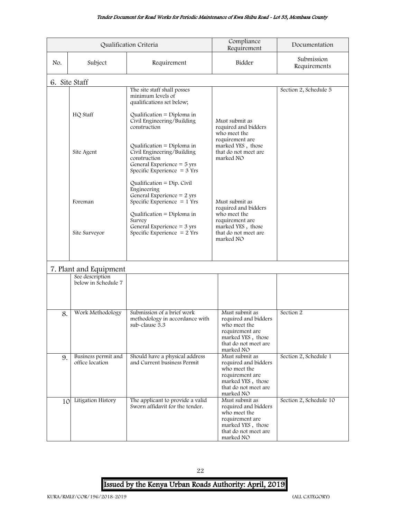#### Tender Document for Road Works for Periodic Maintenance of Kwa Shibu Road - Lot 33, Mombasa County

<span id="page-22-0"></span>

|     |                                        | Qualification Criteria                                                                                                                                    | Compliance<br>Requirement                                                                                                           | Documentation              |
|-----|----------------------------------------|-----------------------------------------------------------------------------------------------------------------------------------------------------------|-------------------------------------------------------------------------------------------------------------------------------------|----------------------------|
| No. | Subject                                | Requirement                                                                                                                                               | Bidder                                                                                                                              | Submission<br>Requirements |
|     | 6. Site Staff                          |                                                                                                                                                           |                                                                                                                                     |                            |
|     | HQ Staff                               | The site staff shall posses<br>minimum levels of<br>qualifications set below;<br>Qualification = Diploma in<br>Civil Engineering/Building<br>construction | Must submit as<br>required and bidders<br>who meet the<br>requirement are                                                           |                            |
|     | Site Agent                             | Qualification = Diploma in<br>Civil Engineering/Building<br>construction<br>General Experience = 5 yrs<br>Specific Experience $=$ 3 Yrs                   | marked YES, those<br>that do not meet are<br>marked NO                                                                              |                            |
|     | Foreman                                | Qualification = $Dip$ . Civil<br>Engineering<br>General Experience $= 2$ yrs<br>Specific Experience $= 1$ Yrs<br>Qualification = Diploma in               | Must submit as<br>required and bidders<br>who meet the                                                                              |                            |
|     | Site Surveyor                          | Survey<br>General Experience $=$ 3 yrs<br>Specific Experience $= 2$ Yrs                                                                                   | requirement are<br>marked YES, those<br>that do not meet are<br>marked NO                                                           |                            |
|     | 7. Plant and Equipment                 |                                                                                                                                                           |                                                                                                                                     |                            |
|     | See description<br>below in Schedule 7 |                                                                                                                                                           |                                                                                                                                     |                            |
| 8.  | Work Methodology                       | Submission of a brief work<br>methodology in accordance with<br>sub-clause 5.3                                                                            | Must submit as<br>required and bidders<br>who meet the<br>requirement are<br>marked YES, those<br>that do not meet are<br>marked NO | Section 2                  |
| 9.  | Business permit and<br>office location | Should have a physical address<br>and Current business Permit                                                                                             | Must submit as<br>required and bidders<br>who meet the<br>requirement are<br>marked YES, those<br>that do not meet are<br>marked NO | Section 2, Schedule 1      |
| 10  | Litigation History                     | The applicant to provide a valid<br>Sworn affidavit for the tender.                                                                                       | Must submit as<br>required and bidders<br>who meet the<br>requirement are<br>marked YES, those<br>that do not meet are<br>marked NO | Section 2, Schedule 10     |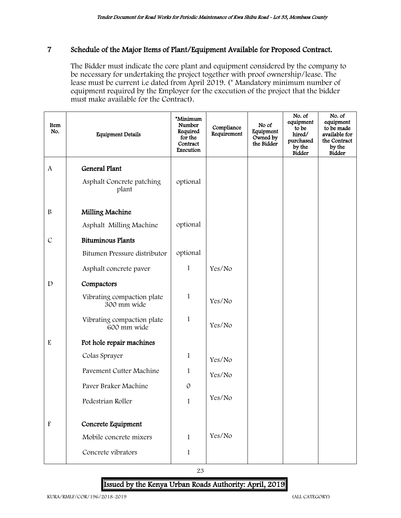#### <span id="page-23-0"></span>7 Schedule of the Major Items of Plant/Equipment Available for Proposed Contract.

The Bidder must indicate the core plant and equipment considered by the company to be necessary for undertaking the project together with proof ownership/lease. The lease must be current i.e dated from April 2019. (\* Mandatory minimum number of equipment required by the Employer for the execution of the project that the bidder must make available for the Contract).

| Item<br>No.               | <b>Equipment Details</b>                  | *Minimum<br>Number<br>Required<br>for the<br>Contract<br>Execution | Compliance<br>Requirement | No of<br>Equipment<br>Owned by<br>the Bidder | No. of<br>equipment<br>to be<br>hired/<br>purchased<br>by the<br>Bidder | No. of<br>equipment<br>to be made<br>available for<br>the Contract<br>by the<br>Bidder |
|---------------------------|-------------------------------------------|--------------------------------------------------------------------|---------------------------|----------------------------------------------|-------------------------------------------------------------------------|----------------------------------------------------------------------------------------|
| A                         | <b>General Plant</b>                      |                                                                    |                           |                                              |                                                                         |                                                                                        |
|                           | Asphalt Concrete patching<br>plant        | optional                                                           |                           |                                              |                                                                         |                                                                                        |
| $\, {\bf B}$              | Milling Machine                           |                                                                    |                           |                                              |                                                                         |                                                                                        |
|                           | Asphalt Milling Machine                   | optional                                                           |                           |                                              |                                                                         |                                                                                        |
| $\mathcal{C}$             | <b>Bituminous Plants</b>                  |                                                                    |                           |                                              |                                                                         |                                                                                        |
|                           | Bitumen Pressure distributor              | optional                                                           |                           |                                              |                                                                         |                                                                                        |
|                           | Asphalt concrete paver                    | $\mathbf{1}$                                                       | Yes/No                    |                                              |                                                                         |                                                                                        |
| $\mathbf D$               | Compactors                                |                                                                    |                           |                                              |                                                                         |                                                                                        |
|                           | Vibrating compaction plate<br>300 mm wide | 1                                                                  | Yes/No                    |                                              |                                                                         |                                                                                        |
|                           | Vibrating compaction plate<br>600 mm wide | 1                                                                  | Yes/No                    |                                              |                                                                         |                                                                                        |
| $\mathbf E$               | Pot hole repair machines                  |                                                                    |                           |                                              |                                                                         |                                                                                        |
|                           | Colas Sprayer                             | 1                                                                  | Yes/No                    |                                              |                                                                         |                                                                                        |
|                           | Pavement Cutter Machine                   | 1                                                                  | Yes/No                    |                                              |                                                                         |                                                                                        |
|                           | Paver Braker Machine                      | $\mathcal{O}$                                                      |                           |                                              |                                                                         |                                                                                        |
|                           | Pedestrian Roller                         | $\mathbbm{1}$                                                      | Yes/No                    |                                              |                                                                         |                                                                                        |
|                           |                                           |                                                                    |                           |                                              |                                                                         |                                                                                        |
| $\boldsymbol{\mathrm{F}}$ | Concrete Equipment                        |                                                                    |                           |                                              |                                                                         |                                                                                        |
|                           | Mobile concrete mixers                    | 1                                                                  | Yes/No                    |                                              |                                                                         |                                                                                        |
|                           | Concrete vibrators                        | $\mathbf{1}$                                                       |                           |                                              |                                                                         |                                                                                        |

23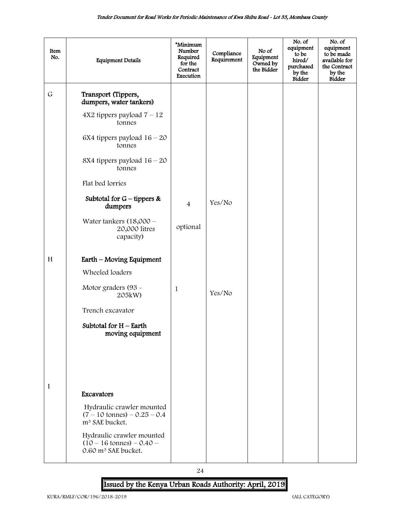| Item<br>No. | <b>Equipment Details</b>                                                                            | *Minimum<br>Number<br>Required<br>for the<br>Contract<br>Execution | Compliance<br>Requirement | No of<br>Equipment<br>Owned by<br>the Bidder | No. of<br>equipment<br>to be<br>hired/<br>purchased<br>by the<br><b>Bidder</b> | No. of<br>equipment<br>to be made<br>available for<br>the Contract<br>by the<br>Bidder |
|-------------|-----------------------------------------------------------------------------------------------------|--------------------------------------------------------------------|---------------------------|----------------------------------------------|--------------------------------------------------------------------------------|----------------------------------------------------------------------------------------|
| $\mathsf G$ | Transport (Tippers,<br>dumpers, water tankers)                                                      |                                                                    |                           |                                              |                                                                                |                                                                                        |
|             | $4X2$ tippers payload $7 - 12$<br>tonnes                                                            |                                                                    |                           |                                              |                                                                                |                                                                                        |
|             | 6X4 tippers payload $16 - 20$<br>tonnes                                                             |                                                                    |                           |                                              |                                                                                |                                                                                        |
|             | 8X4 tippers payload $16 - 20$<br>tonnes                                                             |                                                                    |                           |                                              |                                                                                |                                                                                        |
|             | Flat bed lorries                                                                                    |                                                                    |                           |                                              |                                                                                |                                                                                        |
|             | Subtotal for $G$ – tippers &<br>dumpers                                                             | $\overline{4}$                                                     | Yes/No                    |                                              |                                                                                |                                                                                        |
|             | Water tankers $(18,000 -$<br>20,000 litres<br>capacity)                                             | optional                                                           |                           |                                              |                                                                                |                                                                                        |
| H           | Earth - Moving Equipment                                                                            |                                                                    |                           |                                              |                                                                                |                                                                                        |
|             | Wheeled loaders                                                                                     |                                                                    |                           |                                              |                                                                                |                                                                                        |
|             | Motor graders (93 -<br>205kW)                                                                       | $\mathbf{1}$                                                       | Yes/No                    |                                              |                                                                                |                                                                                        |
|             | Trench excavator                                                                                    |                                                                    |                           |                                              |                                                                                |                                                                                        |
|             | Subtotal for $H$ – Earth<br>moving equipment                                                        |                                                                    |                           |                                              |                                                                                |                                                                                        |
|             |                                                                                                     |                                                                    |                           |                                              |                                                                                |                                                                                        |
|             |                                                                                                     |                                                                    |                           |                                              |                                                                                |                                                                                        |
| I           | Excavators                                                                                          |                                                                    |                           |                                              |                                                                                |                                                                                        |
|             | Hydraulic crawler mounted<br>$(7 - 10 \text{ tonnes}) - 0.25 - 0.4$<br>m <sup>3</sup> SAE bucket.   |                                                                    |                           |                                              |                                                                                |                                                                                        |
|             | Hydraulic crawler mounted<br>$(10 - 16 \text{ tonnes}) - 0.40 -$<br>0.60 m <sup>3</sup> SAE bucket. |                                                                    |                           |                                              |                                                                                |                                                                                        |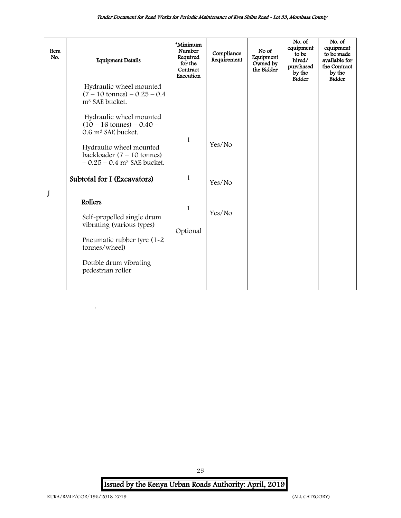| Item<br>No. | <b>Equipment Details</b>                                                                                                                                                                                                                                                                                                                                                                                                                                                                                              | *Minimum<br>Number<br>Required<br>for the<br>Contract<br>Execution | Compliance<br>Requirement  | No of<br>Equipment<br>Owned by<br>the Bidder | No. of<br>equipment<br>to be<br>hired/<br>purchased<br>by the<br><b>Bidder</b> | No. of<br>equipment<br>to be made<br>available for<br>the Contract<br>by the<br><b>Bidder</b> |
|-------------|-----------------------------------------------------------------------------------------------------------------------------------------------------------------------------------------------------------------------------------------------------------------------------------------------------------------------------------------------------------------------------------------------------------------------------------------------------------------------------------------------------------------------|--------------------------------------------------------------------|----------------------------|----------------------------------------------|--------------------------------------------------------------------------------|-----------------------------------------------------------------------------------------------|
|             | Hydraulic wheel mounted<br>$(7 - 10 \text{ tonnes}) - 0.25 - 0.4$<br>m <sup>3</sup> SAE bucket.<br>Hydraulic wheel mounted<br>$(10 - 16 \text{ tonnes}) - 0.40 -$<br>0.6 m <sup>3</sup> SAE bucket.<br>Hydraulic wheel mounted<br>backloader $(7 - 10 \text{ tonnes})$<br>$-0.25 - 0.4$ m <sup>3</sup> SAE bucket.<br>Subtotal for I (Excavators)<br>Rollers<br>Self-propelled single drum<br>vibrating (various types)<br>Pneumatic rubber tyre (1-2)<br>tonnes/wheel)<br>Double drum vibrating<br>pedestrian roller | 1<br>$\mathbf{1}$<br>$\mathbf{1}$<br>Optional                      | Yes/No<br>Yes/No<br>Yes/No |                                              |                                                                                |                                                                                               |

Issued by the Kenya Urban Roads Authority: April, 2019

`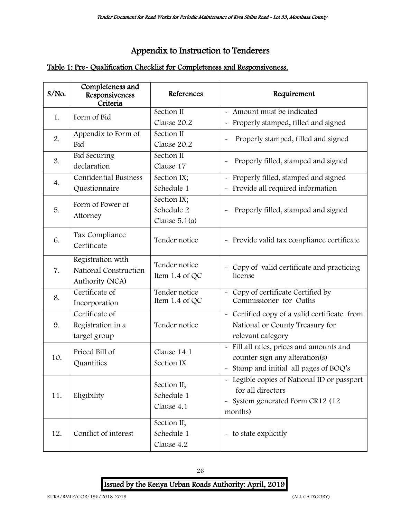# Appendix to Instruction to Tenderers

# <span id="page-26-0"></span>Table 1: Pre- Qualification Checklist for Completeness and Responsiveness.

| $S/NO$ . | Completeness and<br>Responsiveness<br>Criteria                | References                              | Requirement                                                                                                                                                           |
|----------|---------------------------------------------------------------|-----------------------------------------|-----------------------------------------------------------------------------------------------------------------------------------------------------------------------|
| 1.       | Form of Bid                                                   | Section II                              | - Amount must be indicated                                                                                                                                            |
|          |                                                               | Clause 20.2                             | Properly stamped, filled and signed<br>$\ddot{\phantom{0}}$                                                                                                           |
| 2.       | Appendix to Form of                                           | Section II                              | Properly stamped, filled and signed<br>$\ddot{\phantom{0}}$                                                                                                           |
|          | Bid                                                           | Clause 20.2                             |                                                                                                                                                                       |
| 3.       | <b>Bid Securing</b>                                           | Section II                              | Properly filled, stamped and signed<br>$\ddot{\phantom{0}}$                                                                                                           |
|          | declaration                                                   | Clause 17                               |                                                                                                                                                                       |
| 4.       | <b>Confidential Business</b>                                  | Section IX;                             | - Properly filled, stamped and signed                                                                                                                                 |
|          | Questionnaire                                                 | Schedule 1                              | Provide all required information                                                                                                                                      |
|          | Form of Power of                                              | Section IX;                             |                                                                                                                                                                       |
| 5.       | Attorney                                                      | Schedule 2                              | Properly filled, stamped and signed                                                                                                                                   |
|          |                                                               | Clause $5.1(a)$                         |                                                                                                                                                                       |
| 6.       | Tax Compliance<br>Certificate                                 | Tender notice                           | - Provide valid tax compliance certificate                                                                                                                            |
| 7.       | Registration with<br>National Construction<br>Authority (NCA) | Tender notice<br>Item $1.4$ of QC       | Copy of valid certificate and practicing<br>$\sim$<br>license                                                                                                         |
| 8.       | Certificate of<br>Incorporation                               | Tender notice<br>Item 1.4 of QC         | Copy of certificate Certified by<br>Commissioner for Oaths                                                                                                            |
| 9.       | Certificate of<br>Registration in a<br>target group           | Tender notice                           | - Certified copy of a valid certificate from<br>National or County Treasury for<br>relevant category                                                                  |
| 10.      | Priced Bill of<br>Quantities                                  | Clause 14.1<br>Section IX               | - Fill all rates, prices and amounts and<br>counter sign any alteration(s)<br>- Stamp and initial all pages of BOQ's                                                  |
| 11.      | Eligibility                                                   | Section II;<br>Schedule 1<br>Clause 4.1 | Legible copies of National ID or passport<br>$\widetilde{\phantom{m}}$<br>for all directors<br>System generated Form CR12 (12<br>$\widetilde{\phantom{m}}$<br>months) |
| 12.      | Conflict of interest                                          | Section II;<br>Schedule 1<br>Clause 4.2 | - to state explicitly                                                                                                                                                 |

26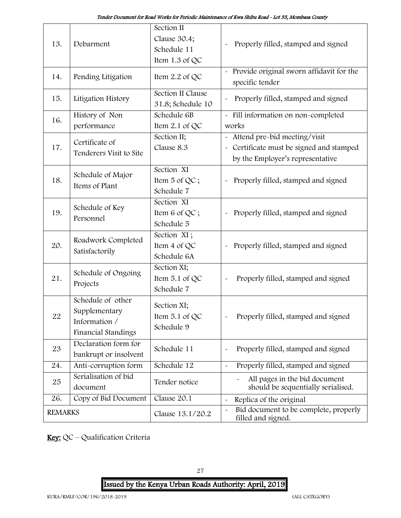| 13.            | Debarment                                                                  | Section II<br>Clause 30.4;<br>Schedule 11<br>Item $1.3$ of QC | Properly filled, stamped and signed                                                                                      |
|----------------|----------------------------------------------------------------------------|---------------------------------------------------------------|--------------------------------------------------------------------------------------------------------------------------|
| 14.            | Pending Litigation                                                         | Item 2.2 of QC                                                | - Provide original sworn affidavit for the<br>specific tender                                                            |
| 15.            | Litigation History                                                         | Section II Clause<br>31.8; Schedule 10                        | Properly filled, stamped and signed                                                                                      |
| 16.            | History of Non<br>performance                                              | Schedule 6B<br>Item 2.1 of QC                                 | - Fill information on non-completed<br>works                                                                             |
| 17.            | Certificate of<br>Tenderers Visit to Site                                  | Section II;<br>Clause 8.3                                     | Attend pre-bid meeting/visit<br>Certificate must be signed and stamped<br>$\tilde{}$<br>by the Employer's representative |
| 18.            | Schedule of Major<br>Items of Plant                                        | Section XI<br>Item 5 of QC;<br>Schedule 7                     | Properly filled, stamped and signed                                                                                      |
| 19.            | Schedule of Key<br>Personnel                                               | Section XI<br>Item 6 of QC;<br>Schedule 5                     | Properly filled, stamped and signed<br>$\ddot{\phantom{0}}$                                                              |
| 20.            | Roadwork Completed<br>Satisfactorily                                       | Section XI;<br>Item 4 of QC<br>Schedule 6A                    | Properly filled, stamped and signed<br>$\tilde{}$                                                                        |
| 21.            | Schedule of Ongoing<br>Projects                                            | Section XI;<br>Item $5.1$ of QC<br>Schedule 7                 | Properly filled, stamped and signed                                                                                      |
| 22             | Schedule of other<br>Supplementary<br>Information /<br>Financial Standings | Section XI;<br>Item 5.1 of QC<br>Schedule 9                   | Properly filled, stamped and signed                                                                                      |
| 23             | Declaration form for<br>bankrupt or insolvent                              | Schedule 11                                                   | Properly filled, stamped and signed                                                                                      |
| 24.            | Anti-corruption form                                                       | Schedule 12                                                   | Properly filled, stamped and signed<br>$\tilde{\phantom{a}}$                                                             |
| 25             | Serialisation of bid<br>document                                           | Tender notice                                                 | All pages in the bid document<br>should be sequentially serialised.                                                      |
| 26.            | Copy of Bid Document                                                       | Clause 20.1                                                   | Replica of the original<br>$\tilde{}$                                                                                    |
| <b>REMARKS</b> |                                                                            | Clause 13.1/20.2                                              | Bid document to be complete, properly<br>$\tilde{}$<br>filled and signed.                                                |

Key: QC – Qualification Criteria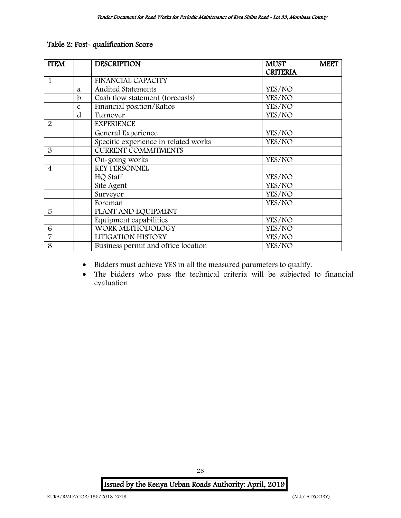### Table 2: Post- qualification Score

| <b>ITEM</b> |               | <b>DESCRIPTION</b>                   | <b>MUST</b>     | <b>MEET</b> |
|-------------|---------------|--------------------------------------|-----------------|-------------|
|             |               |                                      | <b>CRITERIA</b> |             |
|             |               | <b>FINANCIAL CAPACITY</b>            |                 |             |
|             | a             | <b>Audited Statements</b>            | YES/NO          |             |
|             | $\mathbf b$   | Cash flow statement (forecasts)      | YES/NO          |             |
|             | $\mathcal{C}$ | Financial position/Ratios            | YES/NO          |             |
|             | d             | Turnover                             | YES/NO          |             |
| 2           |               | <b>EXPERIENCE</b>                    |                 |             |
|             |               | General Experience                   | YES/NO          |             |
|             |               | Specific experience in related works | YES/NO          |             |
| 3           |               | <b>CURRENT COMMITMENTS</b>           |                 |             |
|             |               | On-going works                       | YES/NO          |             |
| 4           |               | <b>KEY PERSONNEL</b>                 |                 |             |
|             |               | HQ Staff                             | YES/NO          |             |
|             |               | Site Agent                           | YES/NO          |             |
|             |               | Surveyor                             | YES/NO          |             |
|             |               | Foreman                              | YES/NO          |             |
| 5           |               | PLANT AND EQUIPMENT                  |                 |             |
|             |               | Equipment capabilities               | YES/NO          |             |
| 6           |               | WORK METHODOLOGY                     | YES/NO          |             |
| 7           |               | LITIGATION HISTORY                   | YES/NO          |             |
| 8           |               | Business permit and office location  | YES/NO          |             |

- Bidders must achieve YES in all the measured parameters to qualify.
- The bidders who pass the technical criteria will be subjected to financial evaluation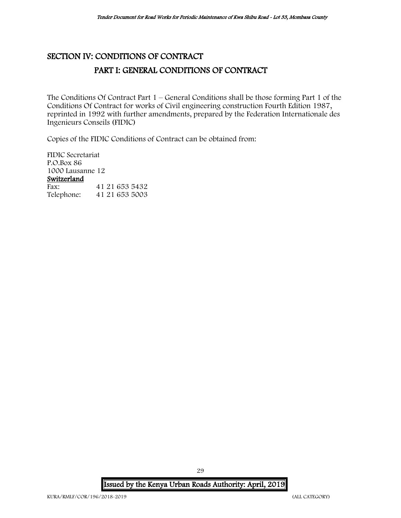# <span id="page-29-1"></span><span id="page-29-0"></span>SECTION IV: CONDITIONS OF CONTRACT PART I: GENERAL CONDITIONS OF CONTRACT

The Conditions Of Contract Part 1 – General Conditions shall be those forming Part 1 of the Conditions Of Contract for works of Civil engineering construction Fourth Edition 1987, reprinted in 1992 with further amendments, prepared by the Federation Internationale des Ingenieurs Conseils (FIDIC)

Copies of the FIDIC Conditions of Contract can be obtained from:

FIDIC Secretariat P.O.Box 86 1000 Lausanne 12 Switzerland<br>Fax: Fax: 41 21 653 5432<br>Telephone: 41 21 653 5003 Telephone: 41 21 653 5003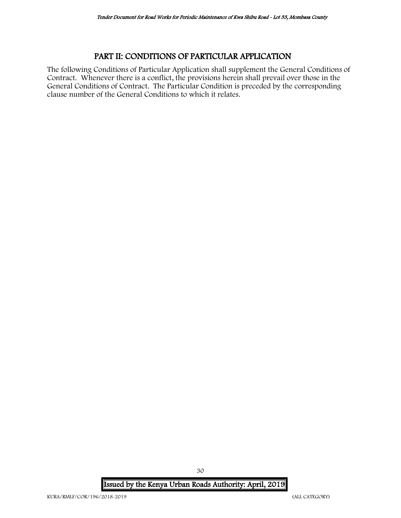## PART II: CONDITIONS OF PARTICULAR APPLICATION

<span id="page-30-0"></span>The following Conditions of Particular Application shall supplement the General Conditions of Contract. Whenever there is a conflict, the provisions herein shall prevail over those in the General Conditions of Contract. The Particular Condition is preceded by the corresponding clause number of the General Conditions to which it relates.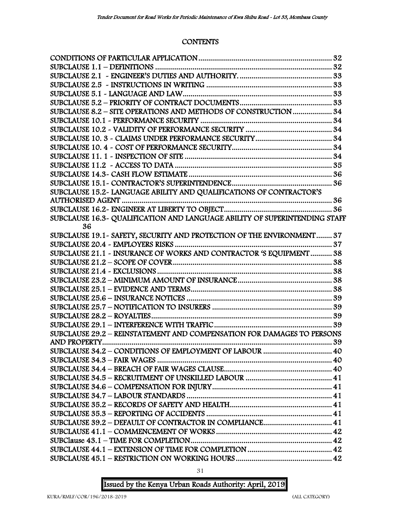## **CONTENTS**

| SUBCLAUSE 8.2 - SITE OPERATIONS AND METHODS OF CONSTRUCTION  34            |    |
|----------------------------------------------------------------------------|----|
|                                                                            |    |
|                                                                            |    |
|                                                                            |    |
|                                                                            |    |
|                                                                            |    |
|                                                                            |    |
|                                                                            |    |
|                                                                            |    |
| SUBCLAUSE 15.2- LANGUAGE ABILITY AND QUALIFICATIONS OF CONTRACTOR'S        |    |
|                                                                            |    |
|                                                                            |    |
| SUBCLAUSE 16.3~ QUALIFICATION AND LANGUAGE ABILITY OF SUPERINTENDING STAFF |    |
| 36                                                                         |    |
| SUBCLAUSE 19.1 - SAFETY, SECURITY AND PROTECTION OF THE ENVIRONMENT 37     |    |
|                                                                            |    |
| SUBCLAUSE 21.1 - INSURANCE OF WORKS AND CONTRACTOR 'S EQUIPMENT 38         |    |
|                                                                            |    |
|                                                                            |    |
|                                                                            |    |
|                                                                            |    |
|                                                                            |    |
|                                                                            |    |
|                                                                            |    |
|                                                                            |    |
| SUBCLAUSE 29.2 - REINSTATEMENT AND COMPENSATION FOR DAMAGES TO PERSONS     |    |
|                                                                            | 39 |
| SUBCLAUSE 34.2 - CONDITIONS OF EMPLOYMENT OF LABOUR  40                    |    |
|                                                                            |    |
|                                                                            |    |
|                                                                            |    |
|                                                                            |    |
|                                                                            |    |
|                                                                            |    |
|                                                                            |    |
| SUBCLAUSE 39.2 - DEFAULT OF CONTRACTOR IN COMPLIANCE 41                    |    |
|                                                                            |    |
|                                                                            |    |
|                                                                            |    |
|                                                                            |    |
|                                                                            |    |

31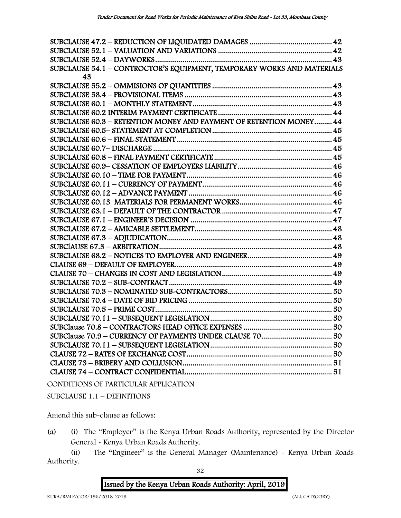| SUBCLAUSE 54.1 - CONTROCTOR'S EQUIPMENT, TEMPORARY WORKS AND MATERIALS |  |
|------------------------------------------------------------------------|--|
| 43                                                                     |  |
|                                                                        |  |
|                                                                        |  |
|                                                                        |  |
|                                                                        |  |
| SUBCLAUSE 60.3 - RETENTION MONEY AND PAYMENT OF RETENTION MONEY 44     |  |
|                                                                        |  |
|                                                                        |  |
|                                                                        |  |
|                                                                        |  |
|                                                                        |  |
|                                                                        |  |
|                                                                        |  |
|                                                                        |  |
|                                                                        |  |
|                                                                        |  |
|                                                                        |  |
|                                                                        |  |
|                                                                        |  |
|                                                                        |  |
|                                                                        |  |
|                                                                        |  |
|                                                                        |  |
|                                                                        |  |
|                                                                        |  |
|                                                                        |  |
|                                                                        |  |
|                                                                        |  |
|                                                                        |  |
|                                                                        |  |
|                                                                        |  |
|                                                                        |  |
|                                                                        |  |
|                                                                        |  |
|                                                                        |  |

CONDITIONS OF PARTICULAR APPLICATION

SUBCLAUSE 1.1 – DEFINITIONS

Amend this sub-clause as follows:

(a) (i) The "Employer" is the Kenya Urban Roads Authority, represented by the Director General - Kenya Urban Roads Authority.

(ii) The "Engineer" is the General Manager (Maintenance) - Kenya Urban Roads Authority.

32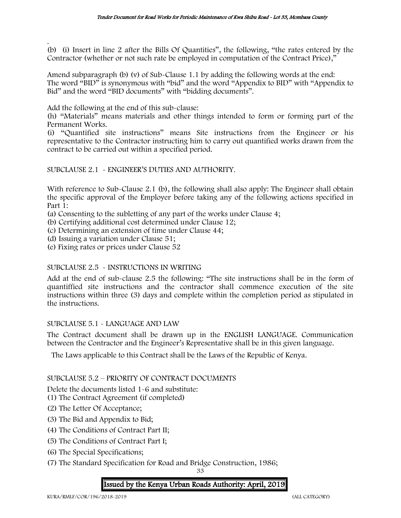. (b) (i) Insert in line 2 after the Bills Of Quantities", the following, "the rates entered by the Contractor (whether or not such rate be employed in computation of the Contract Price),"

Amend subparagraph (b) (v) of Sub-Clause 1.1 by adding the following words at the end: The word "BID" is synonymous with "bid" and the word "Appendix to BID" with "Appendix to Bid" and the word "BID documents" with "bidding documents".

Add the following at the end of this sub-clause:

(h) "Materials" means materials and other things intended to form or forming part of the Permanent Works.

(i) "Quantified site instructions" means Site instructions from the Engineer or his representative to the Contractor instructing him to carry out quantified works drawn from the contract to be carried out within a specified period.

SUBCLAUSE 2.1 - ENGINEER'S DUTIES AND AUTHORITY.

With reference to Sub-Clause 2.1 (b), the following shall also apply: The Engineer shall obtain the specific approval of the Employer before taking any of the following actions specified in Part 1:

(a) Consenting to the subletting of any part of the works under Clause 4;

(b) Certifying additional cost determined under Clause 12;

(c) Determining an extension of time under Clause 44;

(d) Issuing a variation under Clause 51;

(e) Fixing rates or prices under Clause 52

### SUBCLAUSE 2.5 - INSTRUCTIONS IN WRITING

Add at the end of sub-clause 2.5 the following: "The site instructions shall be in the form of quantiffied site instructions and the contractor shall commence execution of the site instructions within three (3) days and complete within the completion period as stipulated in the instructions.

#### SUBCLAUSE 5.1 - LANGUAGE AND LAW

The Contract document shall be drawn up in the ENGLISH LANGUAGE. Communication between the Contractor and the Engineer's Representative shall be in this given language.

The Laws applicable to this Contract shall be the Laws of the Republic of Kenya.

### SUBCLAUSE 5.2 – PRIORITY OF CONTRACT DOCUMENTS

Delete the documents listed 1-6 and substitute:

(1) The Contract Agreement (if completed)

- (2) The Letter Of Acceptance;
- (3) The Bid and Appendix to Bid;
- (4) The Conditions of Contract Part II;
- (5) The Conditions of Contract Part I;
- (6) The Special Specifications;
- (7) The Standard Specification for Road and Bridge Construction, 1986;

33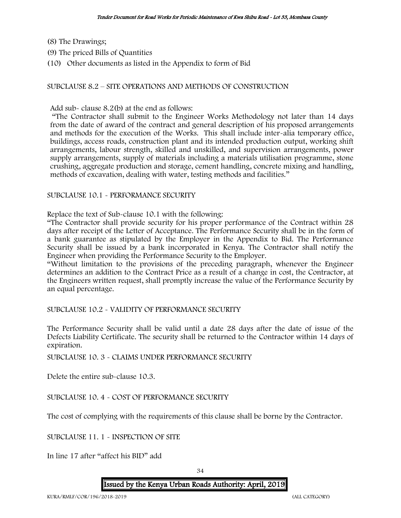- (8) The Drawings;
- (9) The priced Bills of Quantities
- (10) Other documents as listed in the Appendix to form of Bid

#### SUBCLAUSE 8.2 – SITE OPERATIONS AND METHODS OF CONSTRUCTION

Add sub- clause 8.2(b) at the end as follows:

"The Contractor shall submit to the Engineer Works Methodology not later than 14 days from the date of award of the contract and general description of his proposed arrangements and methods for the execution of the Works. This shall include inter-alia temporary office, buildings, access roads, construction plant and its intended production output, working shift arrangements, labour strength, skilled and unskilled, and supervision arrangements, power supply arrangements, supply of materials including a materials utilisation programme, stone crushing, aggregate production and storage, cement handling, concrete mixing and handling, methods of excavation, dealing with water, testing methods and facilities."

#### SUBCLAUSE 10.1 - PERFORMANCE SECURITY

Replace the text of Sub-clause 10.1 with the following:

"The Contractor shall provide security for his proper performance of the Contract within 28 days after receipt of the Letter of Acceptance. The Performance Security shall be in the form of a bank guarantee as stipulated by the Employer in the Appendix to Bid. The Performance Security shall be issued by a bank incorporated in Kenya. The Contractor shall notify the Engineer when providing the Performance Security to the Employer.

"Without limitation to the provisions of the preceding paragraph, whenever the Engineer determines an addition to the Contract Price as a result of a change in cost, the Contractor, at the Engineers written request, shall promptly increase the value of the Performance Security by an equal percentage.

SUBCLAUSE 10.2 - VALIDITY OF PERFORMANCE SECURITY

The Performance Security shall be valid until a date 28 days after the date of issue of the Defects Liability Certificate. The security shall be returned to the Contractor within 14 days of expiration.

SUBCLAUSE 10. 3 - CLAIMS UNDER PERFORMANCE SECURITY

Delete the entire sub-clause 10.3.

SUBCLAUSE 10. 4 - COST OF PERFORMANCE SECURITY

The cost of complying with the requirements of this clause shall be borne by the Contractor.

SUBCLAUSE 11. 1 - INSPECTION OF SITE

In line 17 after "affect his BID" add

34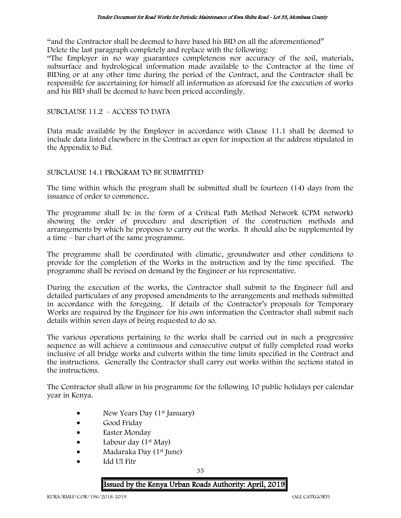"and the Contractor shall be deemed to have based his BID on all the aforementioned" Delete the last paragraph completely and replace with the following:

"The Employer in no way guarantees completeness nor accuracy of the soil, materials, subsurface and hydrological information made available to the Contractor at the time of BIDing or at any other time during the period of the Contract, and the Contractor shall be responsible for ascertaining for himself all information as aforesaid for the execution of works and his BID shall be deemed to have been priced accordingly.

#### SUBCLAUSE 11.2 - ACCESS TO DATA

Data made available by the Employer in accordance with Clause 11.1 shall be deemed to include data listed elsewhere in the Contract as open for inspection at the address stipulated in the Appendix to Bid.

#### SUBCLAUSE 14.1 PROGRAM TO BE SUBMITTED

The time within which the program shall be submitted shall be fourteen (14) days from the issuance of order to commence.

The programme shall be in the form of a Critical Path Method Network (CPM network) showing the order of procedure and description of the construction methods and arrangements by which he proposes to carry out the works. It should also be supplemented by a time – bar chart of the same programme.

The programme shall be coordinated with climatic, groundwater and other conditions to provide for the completion of the Works in the instruction and by the time specified. The programme shall be revised on demand by the Engineer or his representative.

During the execution of the works, the Contractor shall submit to the Engineer full and detailed particulars of any proposed amendments to the arrangements and methods submitted in accordance with the foregoing. If details of the Contractor's proposals for Temporary Works are required by the Engineer for his own information the Contractor shall submit such details within seven days of being requested to do so.

The various operations pertaining to the works shall be carried out in such a progressive sequence as will achieve a continuous and consecutive output of fully completed road works inclusive of all bridge works and culverts within the time limits specified in the Contract and the instructions. Generally the Contractor shall carry out works within the sections stated in the instructions.

The Contractor shall allow in his programme for the following 10 public holidays per calendar year in Kenya.

- New Years Day (1<sup>st</sup> January)
- Good Friday
- Easter Monday
- Labour day  $(1^{st}$  May)
- Madaraka Day (1<sup>st</sup> June)
- Idd Ul Fitr

35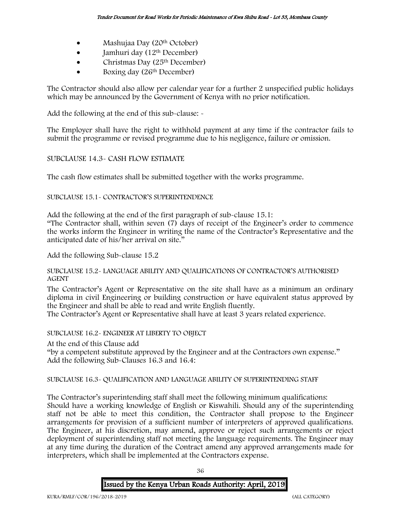- Mashujaa Day (20<sup>th</sup> October)
- $\bullet$  Jamhuri day (12<sup>th</sup> December)
- Christmas Day (25th December)
- Boxing day (26<sup>th</sup> December)

The Contractor should also allow per calendar year for a further 2 unspecified public holidays which may be announced by the Government of Kenya with no prior notification.

Add the following at the end of this sub-clause: -

The Employer shall have the right to withhold payment at any time if the contractor fails to submit the programme or revised programme due to his negligence, failure or omission.

# SUBCLAUSE 14.3- CASH FLOW ESTIMATE

The cash flow estimates shall be submitted together with the works programme.

SUBCLAUSE 15.1- CONTRACTOR'S SUPERINTENDENCE

Add the following at the end of the first paragraph of sub-clause 15.1:

"The Contractor shall, within seven (7) days of receipt of the Engineer's order to commence the works inform the Engineer in writing the name of the Contractor's Representative and the anticipated date of his/her arrival on site."

Add the following Sub-clause 15.2

SUBCLAUSE 15.2- LANGUAGE ABILITY AND QUALIFICATIONS OF CONTRACTOR'S AUTHORISED AGENT

The Contractor's Agent or Representative on the site shall have as a minimum an ordinary diploma in civil Engineering or building construction or have equivalent status approved by the Engineer and shall be able to read and write English fluently.

The Contractor's Agent or Representative shall have at least 3 years related experience.

SUBCLAUSE 16.2- ENGINEER AT LIBERTY TO OBJECT

At the end of this Clause add "by a competent substitute approved by the Engineer and at the Contractors own expense." Add the following Sub-Clauses 16.3 and 16.4:

### SUBCLAUSE 16.3- QUALIFICATION AND LANGUAGE ABILITY OF SUPERINTENDING STAFF

The Contractor's superintending staff shall meet the following minimum qualifications: Should have a working knowledge of English or Kiswahili. Should any of the superintending staff not be able to meet this condition, the Contractor shall propose to the Engineer arrangements for provision of a sufficient number of interpreters of approved qualifications. The Engineer, at his discretion, may amend, approve or reject such arrangements or reject deployment of superintending staff not meeting the language requirements. The Engineer may at any time during the duration of the Contract amend any approved arrangements made for interpreters, which shall be implemented at the Contractors expense.

Issued by the Kenya Urban Roads Authority: April, 2019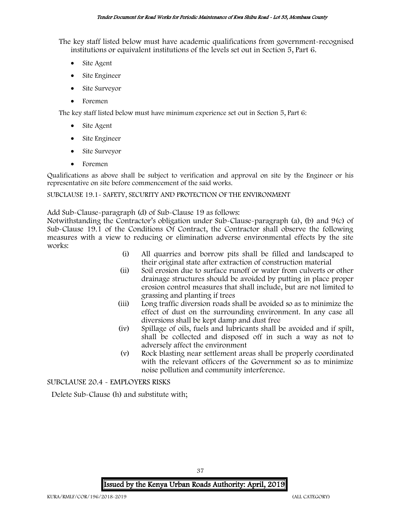The key staff listed below must have academic qualifications from government-recognised institutions or equivalent institutions of the levels set out in Section 5, Part 6.

- Site Agent
- Site Engineer
- Site Surveyor
- Foremen

The key staff listed below must have minimum experience set out in Section 5, Part 6:

- Site Agent
- Site Engineer
- Site Surveyor
- Foremen

Qualifications as above shall be subject to verification and approval on site by the Engineer or his representative on site before commencement of the said works.

SUBCLAUSE 19.1- SAFETY, SECURITY AND PROTECTION OF THE ENVIRONMENT

Add Sub-Clause-paragraph (d) of Sub-Clause 19 as follows:

Notwithstanding the Contractor's obligation under Sub-Clause-paragraph (a), (b) and 9(c) of Sub-Clause 19.1 of the Conditions Of Contract, the Contractor shall observe the following measures with a view to reducing or elimination adverse environmental effects by the site works:

- (i) All quarries and borrow pits shall be filled and landscaped to their original state after extraction of construction material
- (ii) Soil erosion due to surface runoff or water from culverts or other drainage structures should be avoided by putting in place proper erosion control measures that shall include, but are not limited to grassing and planting if trees
- (iii) Long traffic diversion roads shall be avoided so as to minimize the effect of dust on the surrounding environment. In any case all diversions shall be kept damp and dust free
- (iv) Spillage of oils, fuels and lubricants shall be avoided and if spilt, shall be collected and disposed off in such a way as not to adversely affect the environment
- (v) Rock blasting near settlement areas shall be properly coordinated with the relevant officers of the Government so as to minimize noise pollution and community interference.

# SUBCLAUSE 20.4 - EMPLOYERS RISKS

Delete Sub-Clause (h) and substitute with;

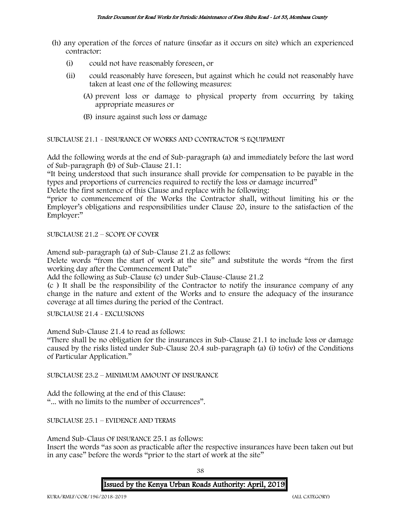- (h) any operation of the forces of nature (insofar as it occurs on site) which an experienced contractor:
	- (i) could not have reasonably foreseen, or
	- (ii) could reasonably have foreseen, but against which he could not reasonably have taken at least one of the following measures:
		- (A) prevent loss or damage to physical property from occurring by taking appropriate measures or
		- (B) insure against such loss or damage

SUBCLAUSE 21.1 - INSURANCE OF WORKS AND CONTRACTOR 'S EQUIPMENT

Add the following words at the end of Sub-paragraph (a) and immediately before the last word of Sub-paragraph (b) of Sub-Clause 21.1:

"It being understood that such insurance shall provide for compensation to be payable in the types and proportions of currencies required to rectify the loss or damage incurred"

Delete the first sentence of this Clause and replace with he following:

"prior to commencement of the Works the Contractor shall, without limiting his or the Employer's obligations and responsibilities under Clause 20, insure to the satisfaction of the Employer:"

SUBCLAUSE 21.2 – SCOPE OF COVER

Amend sub-paragraph (a) of Sub-Clause 21.2 as follows:

Delete words "from the start of work at the site" and substitute the words "from the first working day after the Commencement Date"

Add the following as Sub-Clause (c) under Sub-Clause-Clause 21.2

(c ) It shall be the responsibility of the Contractor to notify the insurance company of any change in the nature and extent of the Works and to ensure the adequacy of the insurance coverage at all times during the period of the Contract.

SUBCLAUSE 21.4 - EXCLUSIONS

Amend Sub-Clause 21.4 to read as follows:

"There shall be no obligation for the insurances in Sub-Clause 21.1 to include loss or damage caused by the risks listed under Sub-Clause 20.4 sub-paragraph (a) (i) to(iv) of the Conditions of Particular Application."

SUBCLAUSE 23.2 – MINIMUM AMOUNT OF INSURANCE

Add the following at the end of this Clause: "... with no limits to the number of occurrences".

SUBCLAUSE 25.1 – EVIDENCE AND TERMS

Amend Sub-Claus OF INSURANCE 25.1 as follows:

Insert the words "as soon as practicable after the respective insurances have been taken out but in any case" before the words "prior to the start of work at the site"

38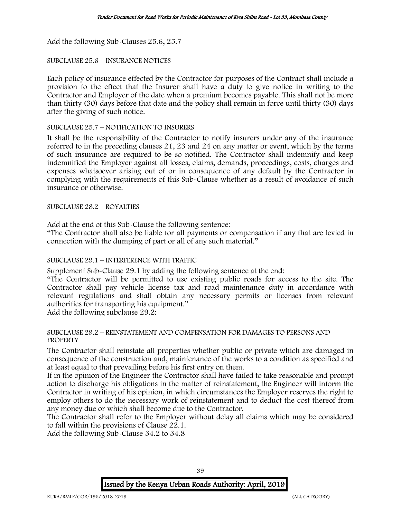Add the following Sub-Clauses 25.6, 25.7

# SUBCLAUSE 25.6 – INSURANCE NOTICES

Each policy of insurance effected by the Contractor for purposes of the Contract shall include a provision to the effect that the Insurer shall have a duty to give notice in writing to the Contractor and Employer of the date when a premium becomes payable. This shall not be more than thirty (30) days before that date and the policy shall remain in force until thirty (30) days after the giving of such notice.

# SUBCLAUSE 25.7 – NOTIFICATION TO INSURERS

It shall be the responsibility of the Contractor to notify insurers under any of the insurance referred to in the preceding clauses 21, 23 and 24 on any matter or event, which by the terms of such insurance are required to be so notified. The Contractor shall indemnify and keep indemnified the Employer against all losses, claims, demands, proceedings, costs, charges and expenses whatsoever arising out of or in consequence of any default by the Contractor in complying with the requirements of this Sub-Clause whether as a result of avoidance of such insurance or otherwise.

SUBCLAUSE 28.2 – ROYALTIES

Add at the end of this Sub-Clause the following sentence:

"The Contractor shall also be liable for all payments or compensation if any that are levied in connection with the dumping of part or all of any such material."

# SUBCLAUSE 29.1 – INTERFERENCE WITH TRAFFIC

Supplement Sub-Clause 29.1 by adding the following sentence at the end:

"The Contractor will be permitted to use existing public roads for access to the site. The Contractor shall pay vehicle license tax and road maintenance duty in accordance with relevant regulations and shall obtain any necessary permits or licenses from relevant authorities for transporting his equipment."

Add the following subclause 29.2:

### SUBCLAUSE 29.2 – REINSTATEMENT AND COMPENSATION FOR DAMAGES TO PERSONS AND PROPERTY

The Contractor shall reinstate all properties whether public or private which are damaged in consequence of the construction and, maintenance of the works to a condition as specified and at least equal to that prevailing before his first entry on them.

If in the opinion of the Engineer the Contractor shall have failed to take reasonable and prompt action to discharge his obligations in the matter of reinstatement, the Engineer will inform the Contractor in writing of his opinion, in which circumstances the Employer reserves the right to employ others to do the necessary work of reinstatement and to deduct the cost thereof from any money due or which shall become due to the Contractor.

The Contractor shall refer to the Employer without delay all claims which may be considered to fall within the provisions of Clause 22.1.

Add the following Sub-Clause 34.2 to 34.8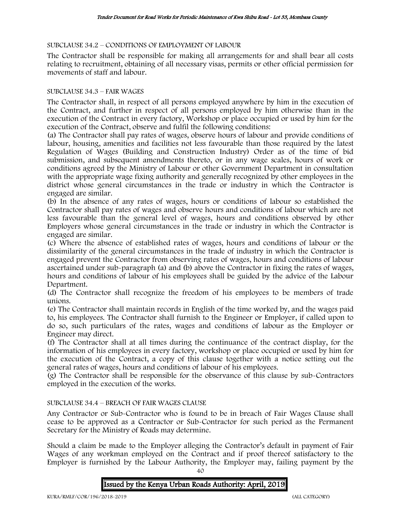# SUBCLAUSE 34.2 – CONDITIONS OF EMPLOYMENT OF LABOUR

The Contractor shall be responsible for making all arrangements for and shall bear all costs relating to recruitment, obtaining of all necessary visas, permits or other official permission for movements of staff and labour.

# SUBCLAUSE 34.3 – FAIR WAGES

The Contractor shall, in respect of all persons employed anywhere by him in the execution of the Contract, and further in respect of all persons employed by him otherwise than in the execution of the Contract in every factory, Workshop or place occupied or used by him for the execution of the Contract, observe and fulfil the following conditions:

(a) The Contractor shall pay rates of wages, observe hours of labour and provide conditions of labour, housing, amenities and facilities not less favourable than those required by the latest Regulation of Wages (Building and Construction Industry) Order as of the time of bid submission, and subsequent amendments thereto, or in any wage scales, hours of work or conditions agreed by the Ministry of Labour or other Government Department in consultation with the appropriate wage fixing authority and generally recognized by other employees in the district whose general circumstances in the trade or industry in which the Contractor is engaged are similar.

(b) In the absence of any rates of wages, hours or conditions of labour so established the Contractor shall pay rates of wages and observe hours and conditions of labour which are not less favourable than the general level of wages, hours and conditions observed by other Employers whose general circumstances in the trade or industry in which the Contractor is engaged are similar.

(c) Where the absence of established rates of wages, hours and conditions of labour or the dissimilarity of the general circumstances in the trade of industry in which the Contractor is engaged prevent the Contractor from observing rates of wages, hours and conditions of labour ascertained under sub-paragraph (a) and (b) above the Contractor in fixing the rates of wages, hours and conditions of labour of his employees shall be guided by the advice of the Labour Department.

(d) The Contractor shall recognize the freedom of his employees to be members of trade unions.

(e) The Contractor shall maintain records in English of the time worked by, and the wages paid to, his employees. The Contractor shall furnish to the Engineer or Employer, if called upon to do so, such particulars of the rates, wages and conditions of labour as the Employer or Engineer may direct.

(f) The Contractor shall at all times during the continuance of the contract display, for the information of his employees in every factory, workshop or place occupied or used by him for the execution of the Contract, a copy of this clause together with a notice setting out the general rates of wages, hours and conditions of labour of his employees.

(g) The Contractor shall be responsible for the observance of this clause by sub-Contractors employed in the execution of the works.

# SUBCLAUSE 34.4 – BREACH OF FAIR WAGES CLAUSE

Any Contractor or Sub-Contractor who is found to be in breach of Fair Wages Clause shall cease to be approved as a Contractor or Sub-Contractor for such period as the Permanent Secretary for the Ministry of Roads may determine.

Should a claim be made to the Employer alleging the Contractor's default in payment of Fair Wages of any workman employed on the Contract and if proof thereof satisfactory to the Employer is furnished by the Labour Authority, the Employer may, failing payment by the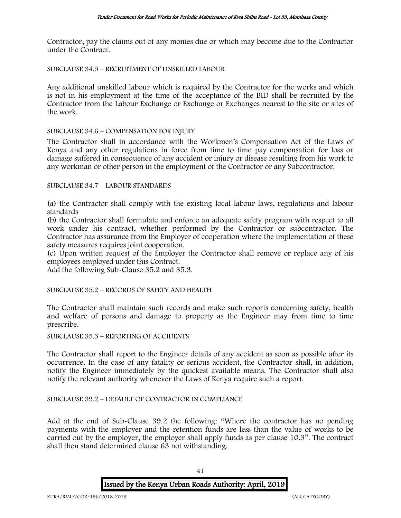Contractor, pay the claims out of any monies due or which may become due to the Contractor under the Contract.

SUBCLAUSE 34.5 – RECRUITMENT OF UNSKILLED LABOUR

Any additional unskilled labour which is required by the Contractor for the works and which is not in his employment at the time of the acceptance of the BID shall be recruited by the Contractor from the Labour Exchange or Exchange or Exchanges nearest to the site or sites of the work.

### SUBCLAUSE 34.6 – COMPENSATION FOR INJURY

The Contractor shall in accordance with the Workmen's Compensation Act of the Laws of Kenya and any other regulations in force from time to time pay compensation for loss or damage suffered in consequence of any accident or injury or disease resulting from his work to any workman or other person in the employment of the Contractor or any Subcontractor.

### SUBCLAUSE 34.7 – LABOUR STANDARDS

(a) the Contractor shall comply with the existing local labour laws, regulations and labour standards

(b) the Contractor shall formulate and enforce an adequate safety program with respect to all work under his contract, whether performed by the Contractor or subcontractor. The Contractor has assurance from the Employer of cooperation where the implementation of these safety measures requires joint cooperation.

(c) Upon written request of the Employer the Contractor shall remove or replace any of his employees employed under this Contract.

Add the following Sub-Clause 35.2 and 35.3.

SUBCLAUSE 35.2 – RECORDS OF SAFETY AND HEALTH

The Contractor shall maintain such records and make such reports concerning safety, health and welfare of persons and damage to property as the Engineer may from time to time prescribe.

### SUBCLAUSE 35.3 – REPORTING OF ACCIDENTS

The Contractor shall report to the Engineer details of any accident as soon as possible after its occurrence. In the case of any fatality or serious accident, the Contractor shall, in addition, notify the Engineer immediately by the quickest available means. The Contractor shall also notify the relevant authority whenever the Laws of Kenya require such a report.

# SUBCLAUSE 39.2 – DEFAULT OF CONTRACTOR IN COMPLIANCE

Add at the end of Sub-Clause 39.2 the following: "Where the contractor has no pending payments with the employer and the retention funds are less than the value of works to be carried out by the employer, the employer shall apply funds as per clause 10.3". The contract shall then stand determined clause 63 not withstanding.

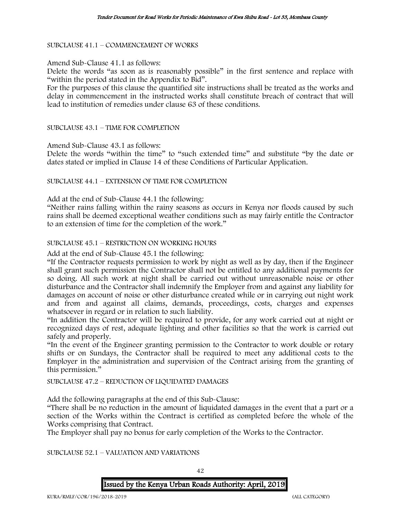### SUBCLAUSE 41.1 – COMMENCEMENT OF WORKS

#### Amend Sub-Clause 41.1 as follows:

Delete the words "as soon as is reasonably possible" in the first sentence and replace with "within the period stated in the Appendix to Bid".

For the purposes of this clause the quantified site instructions shall be treated as the works and delay in commencement in the instructed works shall constitute breach of contract that will lead to institution of remedies under clause 63 of these conditions.

#### SUBCLAUSE 43.1 – TIME FOR COMPLETION

Amend Sub-Clause 43.1 as follows:

Delete the words "within the time" to "such extended time" and substitute "by the date or dates stated or implied in Clause 14 of these Conditions of Particular Application.

#### SUBCLAUSE 44.1 – EXTENSION OF TIME FOR COMPLETION

#### Add at the end of Sub-Clause 44.1 the following:

"Neither rains falling within the rainy seasons as occurs in Kenya nor floods caused by such rains shall be deemed exceptional weather conditions such as may fairly entitle the Contractor to an extension of time for the completion of the work."

### SUBCLAUSE 45.1 – RESTRICTION ON WORKING HOURS

Add at the end of Sub-Clause 45.1 the following:

"If the Contractor requests permission to work by night as well as by day, then if the Engineer shall grant such permission the Contractor shall not be entitled to any additional payments for so doing. All such work at night shall be carried out without unreasonable noise or other disturbance and the Contractor shall indemnify the Employer from and against any liability for damages on account of noise or other disturbance created while or in carrying out night work and from and against all claims, demands, proceedings, costs, charges and expenses whatsoever in regard or in relation to such liability.

"In addition the Contractor will be required to provide, for any work carried out at night or recognized days of rest, adequate lighting and other facilities so that the work is carried out safely and properly.

"In the event of the Engineer granting permission to the Contractor to work double or rotary shifts or on Sundays, the Contractor shall be required to meet any additional costs to the Employer in the administration and supervision of the Contract arising from the granting of this permission."

# SUBCLAUSE 47.2 – REDUCTION OF LIQUIDATED DAMAGES

Add the following paragraphs at the end of this Sub-Clause:

"There shall be no reduction in the amount of liquidated damages in the event that a part or a section of the Works within the Contract is certified as completed before the whole of the Works comprising that Contract.

The Employer shall pay no bonus for early completion of the Works to the Contractor.

#### SUBCLAUSE 52.1 – VALUATION AND VARIATIONS

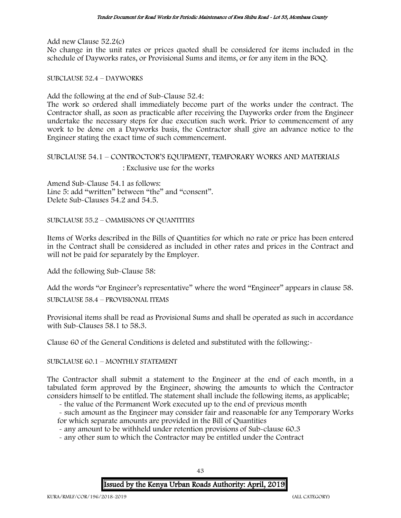Add new Clause 52.2(c) No change in the unit rates or prices quoted shall be considered for items included in the schedule of Dayworks rates, or Provisional Sums and items, or for any item in the BOQ.

SUBCLAUSE 52.4 – DAYWORKS

Add the following at the end of Sub-Clause 52.4:

The work so ordered shall immediately become part of the works under the contract. The Contractor shall, as soon as practicable after receiving the Dayworks order from the Engineer undertake the necessary steps for due execution such work. Prior to commencement of any work to be done on a Dayworks basis, the Contractor shall give an advance notice to the Engineer stating the exact time of such commencement.

# SUBCLAUSE 54.1 – CONTROCTOR'S EQUIPMENT, TEMPORARY WORKS AND MATERIALS

: Exclusive use for the works

Amend Sub-Clause 54.1 as follows: Line 5: add "written" between "the" and "consent". Delete Sub-Clauses 54.2 and 54.5.

SUBCLAUSE 55.2 – OMMISIONS OF QUANTITIES

Items of Works described in the Bills of Quantities for which no rate or price has been entered in the Contract shall be considered as included in other rates and prices in the Contract and will not be paid for separately by the Employer.

Add the following Sub-Clause 58:

Add the words "or Engineer's representative" where the word "Engineer" appears in clause 58. SUBCLAUSE 58.4 – PROVISIONAL ITEMS

Provisional items shall be read as Provisional Sums and shall be operated as such in accordance with Sub-Clauses 58.1 to 58.3.

Clause 60 of the General Conditions is deleted and substituted with the following:-

### SUBCLAUSE 60.1 – MONTHLY STATEMENT

The Contractor shall submit a statement to the Engineer at the end of each month, in a tabulated form approved by the Engineer, showing the amounts to which the Contractor considers himself to be entitled. The statement shall include the following items, as applicable;

- the value of the Permanent Work executed up to the end of previous month

- such amount as the Engineer may consider fair and reasonable for any Temporary Works for which separate amounts are provided in the Bill of Quantities

- any amount to be withheld under retention provisions of Sub-clause 60.3

- any other sum to which the Contractor may be entitled under the Contract

# Issued by the Kenya Urban Roads Authority: April, 2019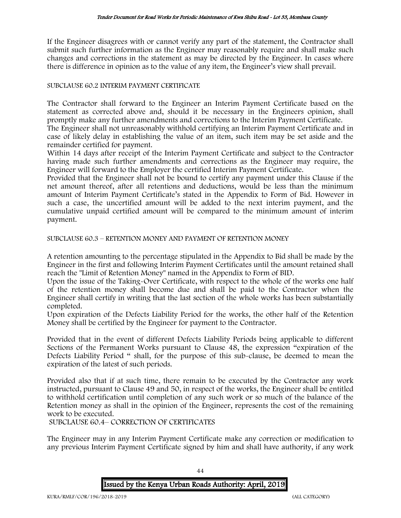If the Engineer disagrees with or cannot verify any part of the statement, the Contractor shall submit such further information as the Engineer may reasonably require and shall make such changes and corrections in the statement as may be directed by the Engineer. In cases where there is difference in opinion as to the value of any item, the Engineer's view shall prevail.

### SUBCLAUSE 60.2 INTERIM PAYMENT CERTIFICATE

The Contractor shall forward to the Engineer an Interim Payment Certificate based on the statement as corrected above and, should it be necessary in the Engineers opinion, shall promptly make any further amendments and corrections to the Interim Payment Certificate.

The Engineer shall not unreasonably withhold certifying an Interim Payment Certificate and in case of likely delay in establishing the value of an item, such item may be set aside and the remainder certified for payment.

Within 14 days after receipt of the Interim Payment Certificate and subject to the Contractor having made such further amendments and corrections as the Engineer may require, the Engineer will forward to the Employer the certified Interim Payment Certificate.

Provided that the Engineer shall not be bound to certify any payment under this Clause if the net amount thereof, after all retentions and deductions, would be less than the minimum amount of Interim Payment Certificate's stated in the Appendix to Form of Bid. However in such a case, the uncertified amount will be added to the next interim payment, and the cumulative unpaid certified amount will be compared to the minimum amount of interim payment.

SUBCLAUSE 60.3 – RETENTION MONEY AND PAYMENT OF RETENTION MONEY

A retention amounting to the percentage stipulated in the Appendix to Bid shall be made by the Engineer in the first and following Interim Payment Certificates until the amount retained shall reach the "Limit of Retention Money" named in the Appendix to Form of BID.

Upon the issue of the Taking-Over Certificate, with respect to the whole of the works one half of the retention money shall become due and shall be paid to the Contractor when the Engineer shall certify in writing that the last section of the whole works has been substantially completed.

Upon expiration of the Defects Liability Period for the works, the other half of the Retention Money shall be certified by the Engineer for payment to the Contractor.

Provided that in the event of different Defects Liability Periods being applicable to different Sections of the Permanent Works pursuant to Clause 48, the expression "expiration of the Defects Liability Period " shall, for the purpose of this sub-clause, be deemed to mean the expiration of the latest of such periods.

Provided also that if at such time, there remain to be executed by the Contractor any work instructed, pursuant to Clause 49 and 50, in respect of the works, the Engineer shall be entitled to withhold certification until completion of any such work or so much of the balance of the Retention money as shall in the opinion of the Engineer, represents the cost of the remaining work to be executed.

SUBCLAUSE 60.4– CORRECTION OF CERTIFICATES

The Engineer may in any Interim Payment Certificate make any correction or modification to any previous Interim Payment Certificate signed by him and shall have authority, if any work

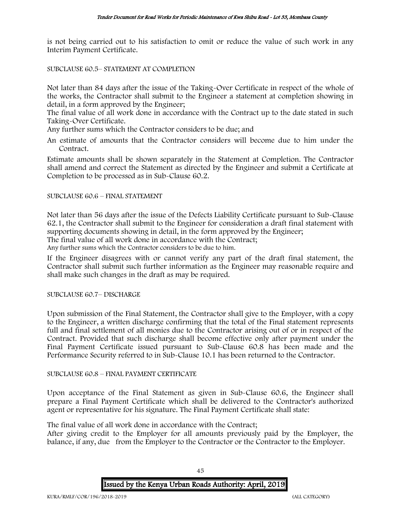is not being carried out to his satisfaction to omit or reduce the value of such work in any Interim Payment Certificate.

SUBCLAUSE 60.5– STATEMENT AT COMPLETION

Not later than 84 days after the issue of the Taking-Over Certificate in respect of the whole of the works, the Contractor shall submit to the Engineer a statement at completion showing in detail, in a form approved by the Engineer;

The final value of all work done in accordance with the Contract up to the date stated in such Taking-Over Certificate.

Any further sums which the Contractor considers to be due; and

An estimate of amounts that the Contractor considers will become due to him under the Contract.

Estimate amounts shall be shown separately in the Statement at Completion. The Contractor shall amend and correct the Statement as directed by the Engineer and submit a Certificate at Completion to be processed as in Sub-Clause 60.2.

### SUBCLAUSE 60.6 – FINAL STATEMENT

Not later than 56 days after the issue of the Defects Liability Certificate pursuant to Sub-Clause 62.1, the Contractor shall submit to the Engineer for consideration a draft final statement with supporting documents showing in detail, in the form approved by the Engineer; The final value of all work done in accordance with the Contract; Any further sums which the Contractor considers to be due to him.

If the Engineer disagrees with or cannot verify any part of the draft final statement, the Contractor shall submit such further information as the Engineer may reasonable require and shall make such changes in the draft as may be required.

SUBCLAUSE 60.7– DISCHARGE

Upon submission of the Final Statement, the Contractor shall give to the Employer, with a copy to the Engineer, a written discharge confirming that the total of the Final statement represents full and final settlement of all monies due to the Contractor arising out of or in respect of the Contract. Provided that such discharge shall become effective only after payment under the Final Payment Certificate issued pursuant to Sub-Clause 60.8 has been made and the Performance Security referred to in Sub-Clause 10.1 has been returned to the Contractor.

### SUBCLAUSE 60.8 – FINAL PAYMENT CERTIFICATE

Upon acceptance of the Final Statement as given in Sub-Clause 60.6, the Engineer shall prepare a Final Payment Certificate which shall be delivered to the Contractor's authorized agent or representative for his signature. The Final Payment Certificate shall state:

The final value of all work done in accordance with the Contract;

After giving credit to the Employer for all amounts previously paid by the Employer, the balance, if any, due from the Employer to the Contractor or the Contractor to the Employer.

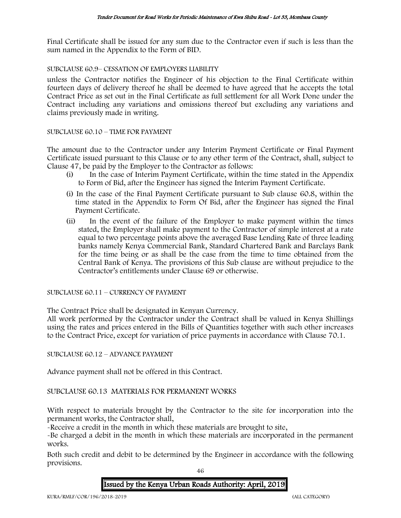Final Certificate shall be issued for any sum due to the Contractor even if such is less than the sum named in the Appendix to the Form of BID.

SUBCLAUSE 60.9– CESSATION OF EMPLOYERS LIABILITY

unless the Contractor notifies the Engineer of his objection to the Final Certificate within fourteen days of delivery thereof he shall be deemed to have agreed that he accepts the total Contract Price as set out in the Final Certificate as full settlement for all Work Done under the Contract including any variations and omissions thereof but excluding any variations and claims previously made in writing.

#### SUBCLAUSE 60.10 – TIME FOR PAYMENT

The amount due to the Contractor under any Interim Payment Certificate or Final Payment Certificate issued pursuant to this Clause or to any other term of the Contract, shall, subject to Clause 47, be paid by the Employer to the Contractor as follows:

- (i) In the case of Interim Payment Certificate, within the time stated in the Appendix to Form of Bid, after the Engineer has signed the Interim Payment Certificate.
- (i) In the case of the Final Payment Certificate pursuant to Sub clause 60.8, within the time stated in the Appendix to Form Of Bid, after the Engineer has signed the Final Payment Certificate.
- (ii) In the event of the failure of the Employer to make payment within the times stated, the Employer shall make payment to the Contractor of simple interest at a rate equal to two percentage points above the averaged Base Lending Rate of three leading banks namely Kenya Commercial Bank, Standard Chartered Bank and Barclays Bank for the time being or as shall be the case from the time to time obtained from the Central Bank of Kenya. The provisions of this Sub clause are without prejudice to the Contractor's entitlements under Clause 69 or otherwise.

SUBCLAUSE 60.11 – CURRENCY OF PAYMENT

The Contract Price shall be designated in Kenyan Currency.

All work performed by the Contractor under the Contract shall be valued in Kenya Shillings using the rates and prices entered in the Bills of Quantities together with such other increases to the Contract Price, except for variation of price payments in accordance with Clause 70.1.

SUBCLAUSE 60.12 – ADVANCE PAYMENT

Advance payment shall not be offered in this Contract.

SUBCLAUSE 60.13 MATERIALS FOR PERMANENT WORKS

With respect to materials brought by the Contractor to the site for incorporation into the permanent works, the Contractor shall,

-Receive a credit in the month in which these materials are brought to site,

-Be charged a debit in the month in which these materials are incorporated in the permanent works.

Both such credit and debit to be determined by the Engineer in accordance with the following provisions.

46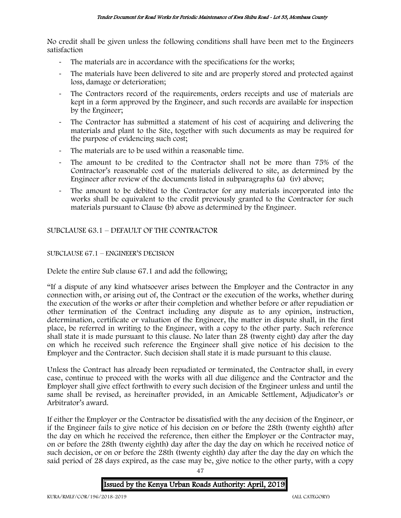No credit shall be given unless the following conditions shall have been met to the Engineers satisfaction

- The materials are in accordance with the specifications for the works;
- The materials have been delivered to site and are properly stored and protected against loss, damage or deterioration;
- The Contractors record of the requirements, orders receipts and use of materials are kept in a form approved by the Engineer, and such records are available for inspection by the Engineer;
- The Contractor has submitted a statement of his cost of acquiring and delivering the materials and plant to the Site, together with such documents as may be required for the purpose of evidencing such cost;
- The materials are to be used within a reasonable time.
- The amount to be credited to the Contractor shall not be more than 75% of the Contractor's reasonable cost of the materials delivered to site, as determined by the Engineer after review of the documents listed in subparagraphs (a) (iv) above;
- The amount to be debited to the Contractor for any materials incorporated into the works shall be equivalent to the credit previously granted to the Contractor for such materials pursuant to Clause (b) above as determined by the Engineer.

# SUBCLAUSE 63.1 – DEFAULT OF THE CONTRACTOR

# SUBCLAUSE 67.1 – ENGINEER'S DECISION

Delete the entire Sub clause 67.1 and add the following;

"If a dispute of any kind whatsoever arises between the Employer and the Contractor in any connection with, or arising out of, the Contract or the execution of the works, whether during the execution of the works or after their completion and whether before or after repudiation or other termination of the Contract including any dispute as to any opinion, instruction, determination, certificate or valuation of the Engineer, the matter in dispute shall, in the first place, be referred in writing to the Engineer, with a copy to the other party. Such reference shall state it is made pursuant to this clause. No later than 28 (twenty eight) day after the day on which he received such reference the Engineer shall give notice of his decision to the Employer and the Contractor. Such decision shall state it is made pursuant to this clause.

Unless the Contract has already been repudiated or terminated, the Contractor shall, in every case, continue to proceed with the works with all due diligence and the Contractor and the Employer shall give effect forthwith to every such decision of the Engineer unless and until the same shall be revised, as hereinafter provided, in an Amicable Settlement, Adjudicator's or Arbitrator's award.

If either the Employer or the Contractor be dissatisfied with the any decision of the Engineer, or if the Engineer fails to give notice of his decision on or before the 28th (twenty eighth) after the day on which he received the reference, then either the Employer or the Contractor may, on or before the 28th (twenty eighth) day after the day the day on which he received notice of such decision, or on or before the 28th (twenty eighth) day after the day the day on which the said period of 28 days expired, as the case may be, give notice to the other party, with a copy

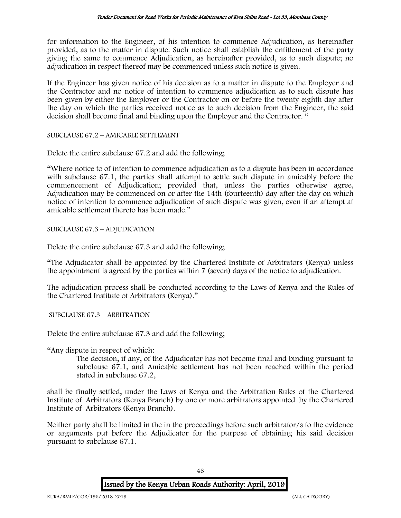for information to the Engineer, of his intention to commence Adjudication, as hereinafter provided, as to the matter in dispute. Such notice shall establish the entitlement of the party giving the same to commence Adjudication, as hereinafter provided, as to such dispute; no adjudication in respect thereof may be commenced unless such notice is given.

If the Engineer has given notice of his decision as to a matter in dispute to the Employer and the Contractor and no notice of intention to commence adjudication as to such dispute has been given by either the Employer or the Contractor on or before the twenty eighth day after the day on which the parties received notice as to such decision from the Engineer, the said decision shall become final and binding upon the Employer and the Contractor. "

SUBCLAUSE 67.2 – AMICABLE SETTLEMENT

Delete the entire subclause 67.2 and add the following;

"Where notice to of intention to commence adjudication as to a dispute has been in accordance with subclause 67.1, the parties shall attempt to settle such dispute in amicably before the commencement of Adjudication; provided that, unless the parties otherwise agree, Adjudication may be commenced on or after the 14th (fourteenth) day after the day on which notice of intention to commence adjudication of such dispute was given, even if an attempt at amicable settlement thereto has been made."

SUBCLAUSE 67.3 – ADJUDICATION

Delete the entire subclause 67.3 and add the following;

"The Adjudicator shall be appointed by the Chartered Institute of Arbitrators (Kenya) unless the appointment is agreed by the parties within 7 (seven) days of the notice to adjudication.

The adjudication process shall be conducted according to the Laws of Kenya and the Rules of the Chartered Institute of Arbitrators (Kenya)."

SUBCLAUSE 67.3 – ARBITRATION

Delete the entire subclause 67.3 and add the following;

"Any dispute in respect of which:

The decision, if any, of the Adjudicator has not become final and binding pursuant to subclause 67.1, and Amicable settlement has not been reached within the period stated in subclause 67.2,

shall be finally settled, under the Laws of Kenya and the Arbitration Rules of the Chartered Institute of Arbitrators (Kenya Branch) by one or more arbitrators appointed by the Chartered Institute of Arbitrators (Kenya Branch).

Neither party shall be limited in the in the proceedings before such arbitrator/s to the evidence or arguments put before the Adjudicator for the purpose of obtaining his said decision pursuant to subclause 67.1.

Issued by the Kenya Urban Roads Authority: April, 2019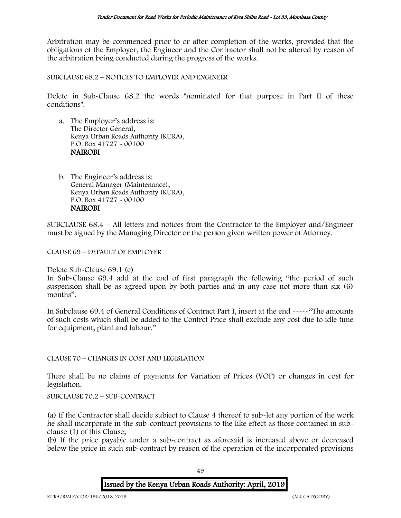Arbitration may be commenced prior to or after completion of the works, provided that the obligations of the Employer, the Engineer and the Contractor shall not be altered by reason of the arbitration being conducted during the progress of the works.

SUBCLAUSE 68.2 – NOTICES TO EMPLOYER AND ENGINEER

Delete in Sub-Clause 68.2 the words "nominated for that purpose in Part II of these conditions".

- a. The Employer's address is: The Director General, Kenya Urban Roads Authority (KURA), P.O. Box 41727 - 00100 NAIROBI
- b. The Engineer's address is: General Manager (Maintenance), Kenya Urban Roads Authority (KURA), P.O. Box 41727 - 00100 NAIROBI

SUBCLAUSE 68.4 – All letters and notices from the Contractor to the Employer and/Engineer must be signed by the Managing Director or the person given written power of Attorney.

CLAUSE 69 – DEFAULT OF EMPLOYER

Delete Sub-Clause 69.1 (c)

In Sub-Clause 69.4 add at the end of first paragraph the following "the period of such suspension shall be as agreed upon by both parties and in any case not more than six (6) months".

In Subclause 69.4 of General Conditions of Contract Part I, insert at the end -----"The amounts of such costs which shall be added to the Contrct Price shall exclude any cost due to idle time for equipment, plant and labour."

### CLAUSE 70 – CHANGES IN COST AND LEGISLATION

There shall be no claims of payments for Variation of Prices (VOP) or changes in cost for legislation.

SUBCLAUSE 70.2 – SUB-CONTRACT

(a) If the Contractor shall decide subject to Clause 4 thereof to sub-let any portion of the work he shall incorporate in the sub-contract provisions to the like effect as those contained in subclause (1) of this Clause;

(b) If the price payable under a sub-contract as aforesaid is increased above or decreased below the price in such sub-contract by reason of the operation of the incorporated provisions

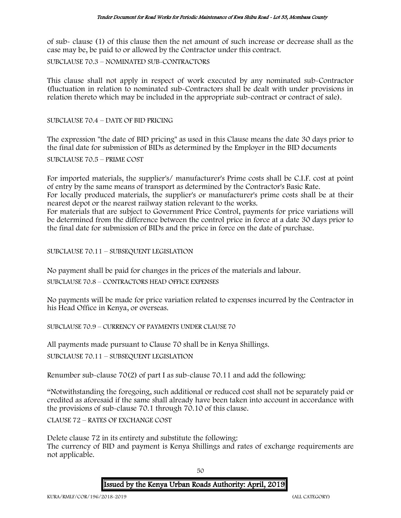of sub- clause (1) of this clause then the net amount of such increase or decrease shall as the case may be, be paid to or allowed by the Contractor under this contract.

SUBCLAUSE 70.3 – NOMINATED SUB-CONTRACTORS

This clause shall not apply in respect of work executed by any nominated sub-Contractor (fluctuation in relation to nominated sub-Contractors shall be dealt with under provisions in relation thereto which may be included in the appropriate sub-contract or contract of sale).

SUBCLAUSE 70.4 – DATE OF BID PRICING

The expression "the date of BID pricing" as used in this Clause means the date 30 days prior to the final date for submission of BIDs as determined by the Employer in the BID documents

SUBCLAUSE 70.5 – PRIME COST

For imported materials, the supplier's/ manufacturer's Prime costs shall be C.I.F. cost at point of entry by the same means of transport as determined by the Contractor's Basic Rate. For locally produced materials, the supplier's or manufacturer's prime costs shall be at their nearest depot or the nearest railway station relevant to the works. For materials that are subject to Government Price Control, payments for price variations will be determined from the difference between the control price in force at a date 30 days prior to the final date for submission of BIDs and the price in force on the date of purchase.

SUBCLAUSE 70.11 – SUBSEQUENT LEGISLATION

No payment shall be paid for changes in the prices of the materials and labour.

SUBCLAUSE 70.8 – CONTRACTORS HEAD OFFICE EXPENSES

No payments will be made for price variation related to expenses incurred by the Contractor in his Head Office in Kenya, or overseas.

SUBCLAUSE 70.9 – CURRENCY OF PAYMENTS UNDER CLAUSE 70

All payments made pursuant to Clause 70 shall be in Kenya Shillings.

SUBCLAUSE 70.11 – SUBSEQUENT LEGISLATION

Renumber sub-clause 70(2) of part I as sub-clause 70.11 and add the following:

"Notwithstanding the foregoing, such additional or reduced cost shall not be separately paid or credited as aforesaid if the same shall already have been taken into account in accordance with the provisions of sub-clause 70.1 through 70.10 of this clause.

CLAUSE 72 – RATES OF EXCHANGE COST

Delete clause 72 in its entirety and substitute the following: The currency of BID and payment is Kenya Shillings and rates of exchange requirements are not applicable.

Issued by the Kenya Urban Roads Authority: April, 2019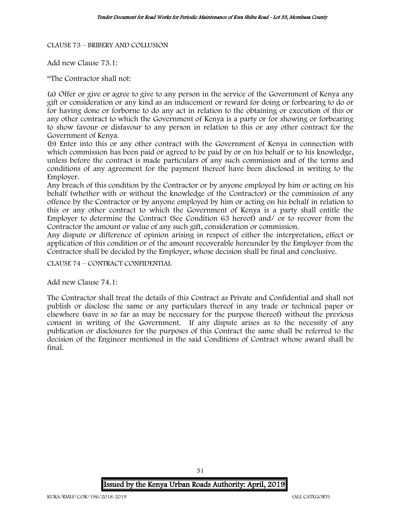CLAUSE 73 – BRIBERY AND COLLUSION

Add new Clause 73.1:

"The Contractor shall not:

(a) Offer or give or agree to give to any person in the service of the Government of Kenya any gift or consideration or any kind as an inducement or reward for doing or forbearing to do or for having done or forborne to do any act in relation to the obtaining or execution of this or any other contract to which the Government of Kenya is a party or for showing or forbearing to show favour or disfavour to any person in relation to this or any other contract for the Government of Kenya.

(b) Enter into this or any other contract with the Government of Kenya in connection with which commission has been paid or agreed to be paid by or on his behalf or to his knowledge, unless before the contract is made particulars of any such commission and of the terms and conditions of any agreement for the payment thereof have been disclosed in writing to the Employer.

Any breach of this condition by the Contractor or by anyone employed by him or acting on his behalf (whether with or without the knowledge of the Contractor) or the commission of any offence by the Contractor or by anyone employed by him or acting on his behalf in relation to this or any other contract to which the Government of Kenya is a party shall entitle the Employer to determine the Contract (See Condition 63 hereof) and/ or to recover from the Contractor the amount or value of any such gift, consideration or commission.

Any dispute or difference of opinion arising in respect of either the interpretation, effect or application of this condition or of the amount recoverable hereunder by the Employer from the Contractor shall be decided by the Employer, whose decision shall be final and conclusive.

CLAUSE 74 – CONTRACT CONFIDENTIAL

Add new Clause 74.1:

The Contractor shall treat the details of this Contract as Private and Confidential and shall not publish or disclose the same or any particulars thereof in any trade or technical paper or elsewhere (save in so far as may be necessary for the purpose thereof) without the previous consent in writing of the Government. If any dispute arises as to the necessity of any publication or disclosures for the purposes of this Contract the same shall be referred to the decision of the Engineer mentioned in the said Conditions of Contract whose award shall be final.

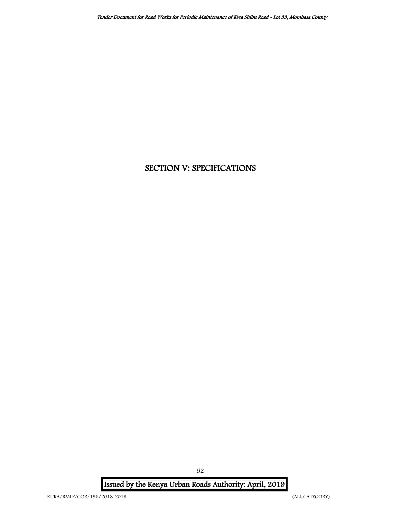# SECTION V: SPECIFICATIONS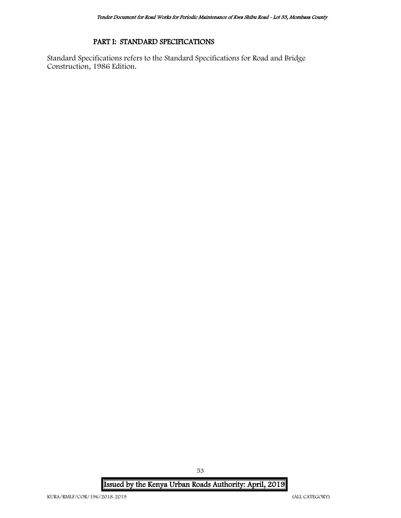# PART I: STANDARD SPECIFICATIONS

Standard Specifications refers to the Standard Specifications for Road and Bridge Construction, 1986 Edition.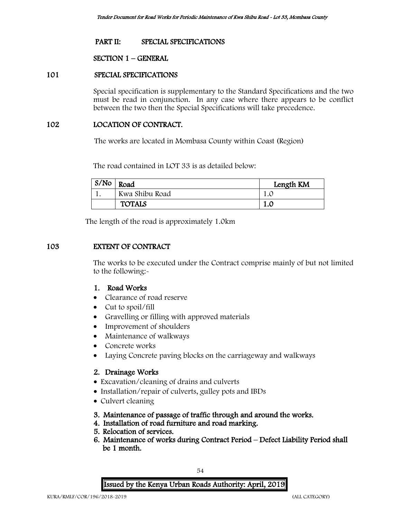# PART II: SPECIAL SPECIFICATIONS

### SECTION 1 – GENERAL

#### 101 SPECIAL SPECIFICATIONS

Special specification is supplementary to the Standard Specifications and the two must be read in conjunction. In any case where there appears to be conflict between the two then the Special Specifications will take precedence.

### 102 LOCATION OF CONTRACT.

The works are located in Mombasa County within Coast (Region)

The road contained in LOT 33 is as detailed below:

| S/N <sub>O</sub> | Road           | Length KM |
|------------------|----------------|-----------|
|                  | Kwa Shibu Road | 1.L       |
|                  | <b>TOTALS</b>  |           |

The length of the road is approximately 1.0km

### 103 EXTENT OF CONTRACT

The works to be executed under the Contract comprise mainly of but not limited to the following:-

# 1. Road Works

- Clearance of road reserve
- Cut to spoil/fill
- Gravelling or filling with approved materials
- Improvement of shoulders
- Maintenance of walkways
- Concrete works
- Laying Concrete paving blocks on the carriageway and walkways

### 2. Drainage Works

- Excavation/cleaning of drains and culverts
- Installation/repair of culverts, gulley pots and IBDs
- Culvert cleaning
- 3. Maintenance of passage of traffic through and around the works.
- 4. Installation of road furniture and road marking.
- 5. Relocation of services.
- 6. Maintenance of works during Contract Period Defect Liability Period shall be 1 month.

Issued by the Kenya Urban Roads Authority: April, 2019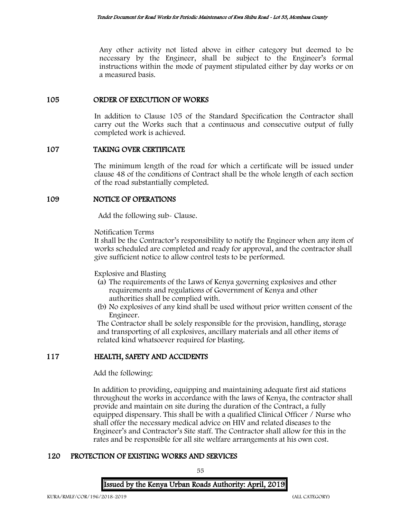Any other activity not listed above in either category but deemed to be necessary by the Engineer, shall be subject to the Engineer's formal instructions within the mode of payment stipulated either by day works or on a measured basis.

# 105 ORDER OF EXECUTION OF WORKS

In addition to Clause 105 of the Standard Specification the Contractor shall carry out the Works such that a continuous and consecutive output of fully completed work is achieved.

# 107 TAKING OVER CERTIFICATE

The minimum length of the road for which a certificate will be issued under clause 48 of the conditions of Contract shall be the whole length of each section of the road substantially completed.

### 109 NOTICE OF OPERATIONS

Add the following sub- Clause.

Notification Terms

It shall be the Contractor's responsibility to notify the Engineer when any item of works scheduled are completed and ready for approval, and the contractor shall give sufficient notice to allow control tests to be performed.

Explosive and Blasting

- (a) The requirements of the Laws of Kenya governing explosives and other requirements and regulations of Government of Kenya and other authorities shall be complied with.
- (b) No explosives of any kind shall be used without prior written consent of the Engineer.

The Contractor shall be solely responsible for the provision, handling, storage and transporting of all explosives, ancillary materials and all other items of related kind whatsoever required for blasting.

# 117 HEALTH, SAFETY AND ACCIDENTS

Add the following:

In addition to providing, equipping and maintaining adequate first aid stations throughout the works in accordance with the laws of Kenya, the contractor shall provide and maintain on site during the duration of the Contract, a fully equipped dispensary. This shall be with a qualified Clinical Officer / Nurse who shall offer the necessary medical advice on HIV and related diseases to the Engineer's and Contractor's Site staff. The Contractor shall allow for this in the rates and be responsible for all site welfare arrangements at his own cost.

# 120 PROTECTION OF EXISTING WORKS AND SERVICES

Issued by the Kenya Urban Roads Authority: April, 2019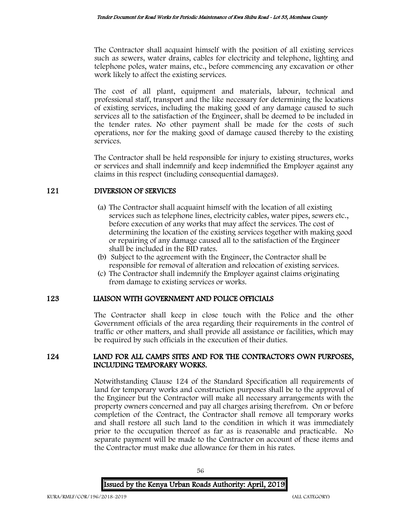The Contractor shall acquaint himself with the position of all existing services such as sewers, water drains, cables for electricity and telephone, lighting and telephone poles, water mains, etc., before commencing any excavation or other work likely to affect the existing services.

The cost of all plant, equipment and materials, labour, technical and professional staff, transport and the like necessary for determining the locations of existing services, including the making good of any damage caused to such services all to the satisfaction of the Engineer, shall be deemed to be included in the tender rates. No other payment shall be made for the costs of such operations, nor for the making good of damage caused thereby to the existing services.

The Contractor shall be held responsible for injury to existing structures, works or services and shall indemnify and keep indemnified the Employer against any claims in this respect (including consequential damages).

# 121 DIVERSION OF SERVICES

- (a) The Contractor shall acquaint himself with the location of all existing services such as telephone lines, electricity cables, water pipes, sewers etc., before execution of any works that may affect the services. The cost of determining the location of the existing services together with making good or repairing of any damage caused all to the satisfaction of the Engineer shall be included in the BID rates.
- (b) Subject to the agreement with the Engineer, the Contractor shall be responsible for removal of alteration and relocation of existing services.
- (c) The Contractor shall indemnify the Employer against claims originating from damage to existing services or works.

# 123 LIAISON WITH GOVERNMENT AND POLICE OFFICIALS

The Contractor shall keep in close touch with the Police and the other Government officials of the area regarding their requirements in the control of traffic or other matters, and shall provide all assistance or facilities, which may be required by such officials in the execution of their duties.

# 124 LAND FOR ALL CAMPS SITES AND FOR THE CONTRACTOR'S OWN PURPOSES, INCLUDING TEMPORARY WORKS.

Notwithstanding Clause 124 of the Standard Specification all requirements of land for temporary works and construction purposes shall be to the approval of the Engineer but the Contractor will make all necessary arrangements with the property owners concerned and pay all charges arising therefrom. On or before completion of the Contract, the Contractor shall remove all temporary works and shall restore all such land to the condition in which it was immediately prior to the occupation thereof as far as is reasonable and practicable. No separate payment will be made to the Contractor on account of these items and the Contractor must make due allowance for them in his rates.

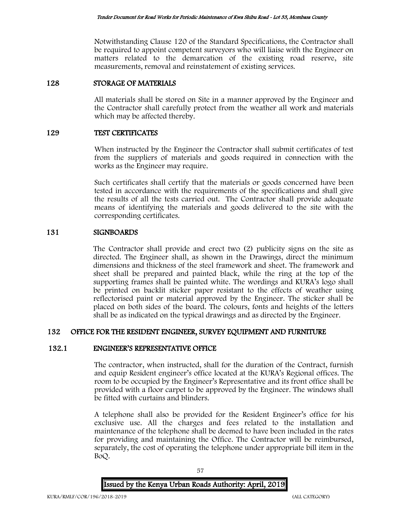Notwithstanding Clause 120 of the Standard Specifications, the Contractor shall be required to appoint competent surveyors who will liaise with the Engineer on matters related to the demarcation of the existing road reserve, site measurements, removal and reinstatement of existing services.

# 128 STORAGE OF MATERIALS

All materials shall be stored on Site in a manner approved by the Engineer and the Contractor shall carefully protect from the weather all work and materials which may be affected thereby.

# 129 TEST CERTIFICATES

When instructed by the Engineer the Contractor shall submit certificates of test from the suppliers of materials and goods required in connection with the works as the Engineer may require.

Such certificates shall certify that the materials or goods concerned have been tested in accordance with the requirements of the specifications and shall give the results of all the tests carried out. The Contractor shall provide adequate means of identifying the materials and goods delivered to the site with the corresponding certificates.

# 131 SIGNBOARDS

The Contractor shall provide and erect two (2) publicity signs on the site as directed. The Engineer shall, as shown in the Drawings, direct the minimum dimensions and thickness of the steel framework and sheet. The framework and sheet shall be prepared and painted black, while the ring at the top of the supporting frames shall be painted white. The wordings and KURA's logo shall be printed on backlit sticker paper resistant to the effects of weather using reflectorised paint or material approved by the Engineer. The sticker shall be placed on both sides of the board. The colours, fonts and heights of the letters shall be as indicated on the typical drawings and as directed by the Engineer.

# 132 OFFICE FOR THE RESIDENT ENGINEER, SURVEY EQUIPMENT AND FURNITURE

# 132.1 ENGINEER'S REPRESENTATIVE OFFICE

The contractor, when instructed, shall for the duration of the Contract, furnish and equip Resident engineer's office located at the KURA's Regional offices. The room to be occupied by the Engineer's Representative and its front office shall be provided with a floor carpet to be approved by the Engineer. The windows shall be fitted with curtains and blinders.

A telephone shall also be provided for the Resident Engineer's office for his exclusive use. All the charges and fees related to the installation and maintenance of the telephone shall be deemed to have been included in the rates for providing and maintaining the Office. The Contractor will be reimbursed, separately, the cost of operating the telephone under appropriate bill item in the BoQ.

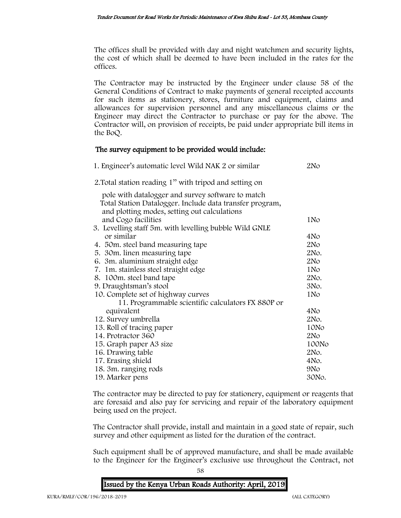The offices shall be provided with day and night watchmen and security lights, the cost of which shall be deemed to have been included in the rates for the offices.

The Contractor may be instructed by the Engineer under clause 58 of the General Conditions of Contract to make payments of general receipted accounts for such items as stationery, stores, furniture and equipment, claims and allowances for supervision personnel and any miscellaneous claims or the Engineer may direct the Contractor to purchase or pay for the above. The Contractor will, on provision of receipts, be paid under appropriate bill items in the BoQ.

# The survey equipment to be provided would include:

| 1. Engineer's automatic level Wild NAK 2 or similar                                                      | 2N <sub>O</sub> |
|----------------------------------------------------------------------------------------------------------|-----------------|
| 2. Total station reading 1" with tripod and setting on                                                   |                 |
| pole with datalogger and survey software to match                                                        |                 |
| Total Station Datalogger. Include data transfer program,<br>and plotting modes, setting out calculations |                 |
| and Cogo facilities                                                                                      | 1N <sub>o</sub> |
| 3. Levelling staff 5m. with levelling bubble Wild GNLE                                                   |                 |
| or similar                                                                                               | 4No             |
| 4. 50m. steel band measuring tape                                                                        | 2N <sub>O</sub> |
| 5. 30 m. linen measuring tape                                                                            | 2No.            |
| 6. 3m. aluminium straight edge                                                                           | 2N <sub>O</sub> |
| 7. 1m. stainless steel straight edge                                                                     | 1N <sub>o</sub> |
| 8. 100m. steel band tape                                                                                 | 2No.            |
| 9. Draughtsman's stool                                                                                   | 3No.            |
| 10. Complete set of highway curves                                                                       | 1N <sub>o</sub> |
| 11. Programmable scientific calculators FX 880P or                                                       |                 |
| equivalent                                                                                               | 4N <sub>o</sub> |
| 12. Survey umbrella                                                                                      | 2No.            |
| 13. Roll of tracing paper                                                                                | 10No            |
| 14. Protractor 360                                                                                       | 2N <sub>O</sub> |
| 15. Graph paper A3 size                                                                                  | 100No           |
| 16. Drawing table                                                                                        | 2No.            |
| 17. Erasing shield                                                                                       | $4NO$ .         |
| 18. 3m. ranging rods                                                                                     | 9No             |
| 19. Marker pens                                                                                          | 30No.           |

The contractor may be directed to pay for stationery, equipment or reagents that are foresaid and also pay for servicing and repair of the laboratory equipment being used on the project.

The Contractor shall provide, install and maintain in a good state of repair, such survey and other equipment as listed for the duration of the contract.

Such equipment shall be of approved manufacture, and shall be made available to the Engineer for the Engineer's exclusive use throughout the Contract, not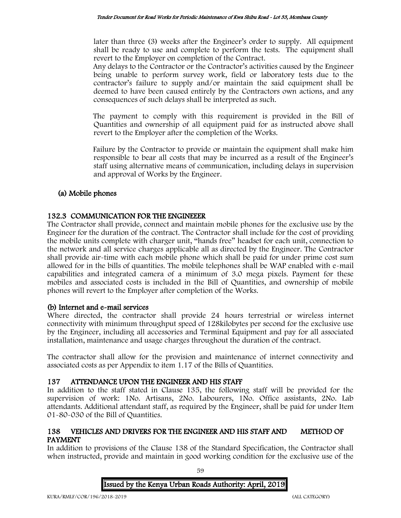later than three (3) weeks after the Engineer's order to supply. All equipment shall be ready to use and complete to perform the tests. The equipment shall revert to the Employer on completion of the Contract.

Any delays to the Contractor or the Contractor's activities caused by the Engineer being unable to perform survey work, field or laboratory tests due to the contractor's failure to supply and/or maintain the said equipment shall be deemed to have been caused entirely by the Contractors own actions, and any consequences of such delays shall be interpreted as such.

The payment to comply with this requirement is provided in the Bill of Quantities and ownership of all equipment paid for as instructed above shall revert to the Employer after the completion of the Works.

Failure by the Contractor to provide or maintain the equipment shall make him responsible to bear all costs that may be incurred as a result of the Engineer's staff using alternative means of communication, including delays in supervision and approval of Works by the Engineer.

# (a) Mobile phones

# 132.3 COMMUNICATION FOR THE ENGINEEER

The Contractor shall provide, connect and maintain mobile phones for the exclusive use by the Engineer for the duration of the contract. The Contractor shall include for the cost of providing the mobile units complete with charger unit, "hands free" headset for each unit, connection to the network and all service charges applicable all as directed by the Engineer. The Contractor shall provide air-time with each mobile phone which shall be paid for under prime cost sum allowed for in the bills of quantities. The mobile telephones shall be WAP enabled with e-mail capabilities and integrated camera of a minimum of 3.0 mega pixels. Payment for these mobiles and associated costs is included in the Bill of Quantities, and ownership of mobile phones will revert to the Employer after completion of the Works.

# (b) Internet and e-mail services

Where directed, the contractor shall provide 24 hours terrestrial or wireless internet connectivity with minimum throughput speed of 128kilobytes per second for the exclusive use by the Engineer, including all accessories and Terminal Equipment and pay for all associated installation, maintenance and usage charges throughout the duration of the contract.

The contractor shall allow for the provision and maintenance of internet connectivity and associated costs as per Appendix to item 1.17 of the Bills of Quantities.

# 137 ATTENDANCE UPON THE ENGINEER AND HIS STAFF

In addition to the staff stated in Clause 135, the following staff will be provided for the supervision of work: 1No. Artisans, 2No. Labourers, 1No. Office assistants, 2No. Lab attendants. Additional attendant staff, as required by the Engineer, shall be paid for under Item 01-80-030 of the Bill of Quantities.

# 138 VEHICLES AND DRIVERS FOR THE ENGINEER AND HIS STAFF AND METHOD OF PAYMENT

In addition to provisions of the Clause 138 of the Standard Specification, the Contractor shall when instructed, provide and maintain in good working condition for the exclusive use of the

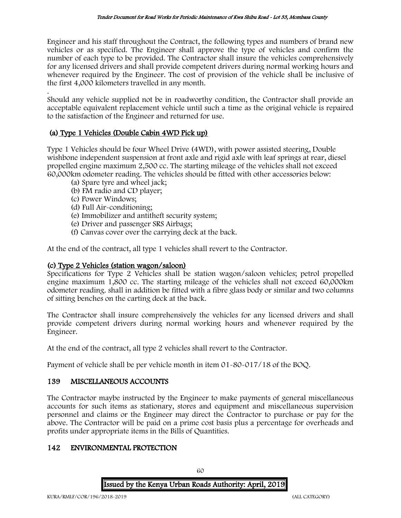Engineer and his staff throughout the Contract, the following types and numbers of brand new vehicles or as specified. The Engineer shall approve the type of vehicles and confirm the number of each type to be provided. The Contractor shall insure the vehicles comprehensively for any licensed drivers and shall provide competent drivers during normal working hours and whenever required by the Engineer. The cost of provision of the vehicle shall be inclusive of the first 4,000 kilometers travelled in any month.

. Should any vehicle supplied not be in roadworthy condition, the Contractor shall provide an acceptable equivalent replacement vehicle until such a time as the original vehicle is repaired to the satisfaction of the Engineer and returned for use.

# (a) Type 1 Vehicles (Double Cabin 4WD Pick up)

Type 1 Vehicles should be four Wheel Drive (4WD), with power assisted steering, Double wishbone independent suspension at front axle and rigid axle with leaf springs at rear, diesel propelled engine maximum 2,500 cc. The starting mileage of the vehicles shall not exceed 60,000km odometer reading. The vehicles should be fitted with other accessories below:

- (a) Spare tyre and wheel jack;
- (b) FM radio and CD player;
- (c) Power Windows;
- (d) Full Air-conditioning;
- (e) Immobilizer and antitheft security system;
- (e) Driver and passenger SRS Airbags;
- (f) Canvas cover over the carrying deck at the back.

At the end of the contract, all type 1 vehicles shall revert to the Contractor.

# (c) Type 2 Vehicles (station wagon/saloon)

Specifications for Type 2 Vehicles shall be station wagon/saloon vehicles; petrol propelled engine maximum 1,800 cc. The starting mileage of the vehicles shall not exceed 60,000km odometer reading. shall in addition be fitted with a fibre glass body or similar and two columns of sitting benches on the carting deck at the back.

The Contractor shall insure comprehensively the vehicles for any licensed drivers and shall provide competent drivers during normal working hours and whenever required by the Engineer.

At the end of the contract, all type 2 vehicles shall revert to the Contractor.

Payment of vehicle shall be per vehicle month in item 01-80-017/18 of the BOQ.

# 139 MISCELLANEOUS ACCOUNTS

The Contractor maybe instructed by the Engineer to make payments of general miscellaneous accounts for such items as stationary, stores and equipment and miscellaneous supervision personnel and claims or the Engineer may direct the Contractor to purchase or pay for the above. The Contractor will be paid on a prime cost basis plus a percentage for overheads and profits under appropriate items in the Bills of Quantities.

# 142 ENVIRONMENTAL PROTECTION

Issued by the Kenya Urban Roads Authority: April, 2019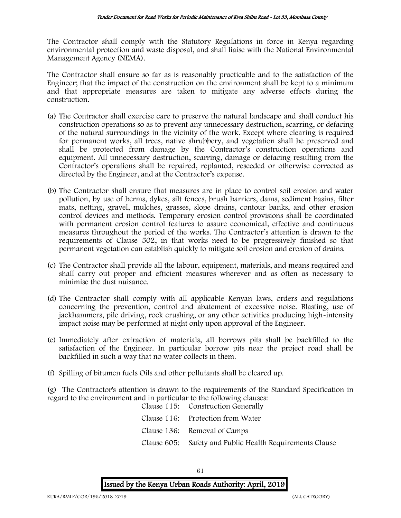The Contractor shall comply with the Statutory Regulations in force in Kenya regarding environmental protection and waste disposal, and shall liaise with the National Environmental Management Agency (NEMA).

The Contractor shall ensure so far as is reasonably practicable and to the satisfaction of the Engineer; that the impact of the construction on the environment shall be kept to a minimum and that appropriate measures are taken to mitigate any adverse effects during the construction.

- (a) The Contractor shall exercise care to preserve the natural landscape and shall conduct his construction operations so as to prevent any unnecessary destruction, scarring, or defacing of the natural surroundings in the vicinity of the work. Except where clearing is required for permanent works, all trees, native shrubbery, and vegetation shall be preserved and shall be protected from damage by the Contractor's construction operations and equipment. All unnecessary destruction, scarring, damage or defacing resulting from the Contractor's operations shall be repaired, replanted, reseeded or otherwise corrected as directed by the Engineer, and at the Contractor's expense.
- (b) The Contractor shall ensure that measures are in place to control soil erosion and water pollution, by use of berms, dykes, silt fences, brush barriers, dams, sediment basins, filter mats, netting, gravel, mulches, grasses, slope drains, contour banks, and other erosion control devices and methods. Temporary erosion control provisions shall be coordinated with permanent erosion control features to assure economical, effective and continuous measures throughout the period of the works. The Contractor's attention is drawn to the requirements of Clause 502, in that works need to be progressively finished so that permanent vegetation can establish quickly to mitigate soil erosion and erosion of drains.
- (c) The Contractor shall provide all the labour, equipment, materials, and means required and shall carry out proper and efficient measures wherever and as often as necessary to minimise the dust nuisance.
- (d) The Contractor shall comply with all applicable Kenyan laws, orders and regulations concerning the prevention, control and abatement of excessive noise. Blasting, use of jackhammers, pile driving, rock crushing, or any other activities producing high-intensity impact noise may be performed at night only upon approval of the Engineer.
- (e) Immediately after extraction of materials, all borrows pits shall be backfilled to the satisfaction of the Engineer. In particular borrow pits near the project road shall be backfilled in such a way that no water collects in them.
- (f) Spilling of bitumen fuels Oils and other pollutants shall be cleared up.

(g) The Contractor's attention is drawn to the requirements of the Standard Specification in regard to the environment and in particular to the following clauses: Clause 115: Construction Generally

| Clause 119. Construction Generally                       |
|----------------------------------------------------------|
| Clause 116: Protection from Water                        |
| Clause 136: Removal of Camps                             |
| Clause 605: Safety and Public Health Requirements Clause |
|                                                          |

Issued by the Kenya Urban Roads Authority: April, 2019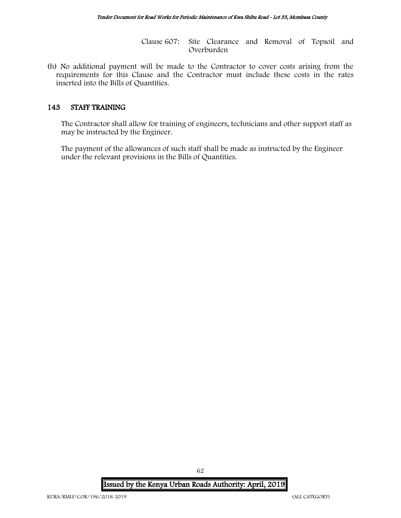Clause 607: Site Clearance and Removal of Topsoil and Overburden

(h) No additional payment will be made to the Contractor to cover costs arising from the requirements for this Clause and the Contractor must include these costs in the rates inserted into the Bills of Quantities.

### 143 STAFF TRAINING

The Contractor shall allow for training of engineers, technicians and other support staff as may be instructed by the Engineer.

The payment of the allowances of such staff shall be made as instructed by the Engineer under the relevant provisions in the Bills of Quantities.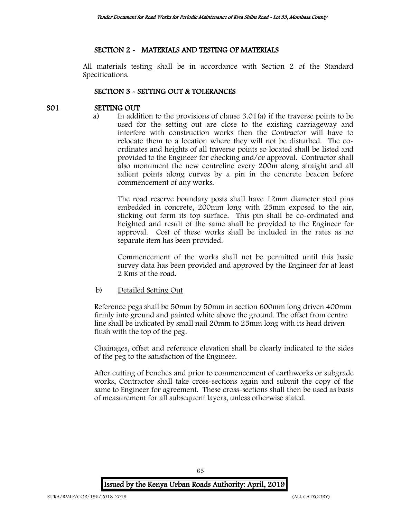# SECTION 2 - MATERIALS AND TESTING OF MATERIALS

All materials testing shall be in accordance with Section 2 of the Standard Specifications.

# SECTION 3 - SETTING OUT & TOLERANCES

# 301 SETTING OUT

a) In addition to the provisions of clause 3.01(a) if the traverse points to be used for the setting out are close to the existing carriageway and interfere with construction works then the Contractor will have to relocate them to a location where they will not be disturbed. The coordinates and heights of all traverse points so located shall be listed and provided to the Engineer for checking and/or approval. Contractor shall also monument the new centreline every 200m along straight and all salient points along curves by a pin in the concrete beacon before commencement of any works.

The road reserve boundary posts shall have 12mm diameter steel pins embedded in concrete, 200mm long with 25mm exposed to the air, sticking out form its top surface. This pin shall be co-ordinated and heighted and result of the same shall be provided to the Engineer for approval. Cost of these works shall be included in the rates as no separate item has been provided.

Commencement of the works shall not be permitted until this basic survey data has been provided and approved by the Engineer for at least 2 Kms of the road.

b) Detailed Setting Out

Reference pegs shall be 50mm by 50mm in section 600mm long driven 400mm firmly into ground and painted white above the ground. The offset from centre line shall be indicated by small nail 20mm to 25mm long with its head driven flush with the top of the peg.

Chainages, offset and reference elevation shall be clearly indicated to the sides of the peg to the satisfaction of the Engineer.

After cutting of benches and prior to commencement of earthworks or subgrade works, Contractor shall take cross-sections again and submit the copy of the same to Engineer for agreement. These cross-sections shall then be used as basis of measurement for all subsequent layers, unless otherwise stated.

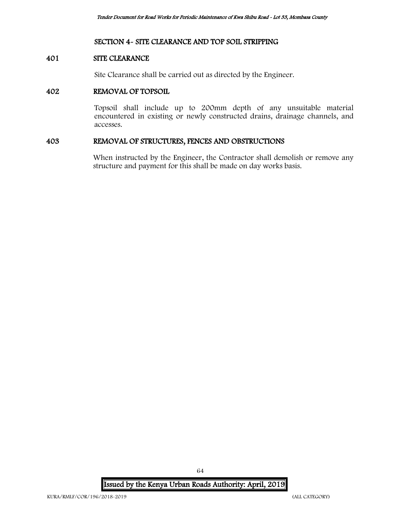# SECTION 4- SITE CLEARANCE AND TOP SOIL STRIPPING

# 401 SITE CLEARANCE

Site Clearance shall be carried out as directed by the Engineer.

# 402 REMOVAL OF TOPSOIL

Topsoil shall include up to 200mm depth of any unsuitable material encountered in existing or newly constructed drains, drainage channels, and accesses.

### 403 REMOVAL OF STRUCTURES, FENCES AND OBSTRUCTIONS

When instructed by the Engineer, the Contractor shall demolish or remove any structure and payment for this shall be made on day works basis.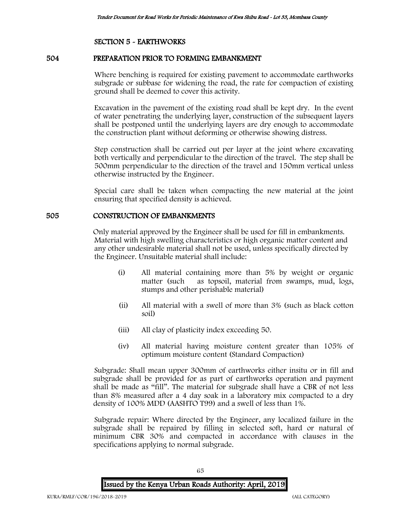### SECTION 5 - EARTHWORKS

# 504 PREPARATION PRIOR TO FORMING EMBANKMENT

Where benching is required for existing pavement to accommodate earthworks subgrade or subbase for widening the road, the rate for compaction of existing ground shall be deemed to cover this activity.

Excavation in the pavement of the existing road shall be kept dry. In the event of water penetrating the underlying layer, construction of the subsequent layers shall be postponed until the underlying layers are dry enough to accommodate the construction plant without deforming or otherwise showing distress.

Step construction shall be carried out per layer at the joint where excavating both vertically and perpendicular to the direction of the travel. The step shall be 500mm perpendicular to the direction of the travel and 150mm vertical unless otherwise instructed by the Engineer.

Special care shall be taken when compacting the new material at the joint ensuring that specified density is achieved.

# 505 CONSTRUCTION OF EMBANKMENTS

Only material approved by the Engineer shall be used for fill in embankments. Material with high swelling characteristics or high organic matter content and any other undesirable material shall not be used, unless specifically directed by the Engineer. Unsuitable material shall include:

- (i) All material containing more than 5% by weight or organic matter (such as topsoil, material from swamps, mud, logs, stumps and other perishable material)
- (ii) All material with a swell of more than 3% (such as black cotton soil)
- (iii) All clay of plasticity index exceeding 50.
- (iv) All material having moisture content greater than 105% of optimum moisture content (Standard Compaction)

Subgrade: Shall mean upper 300mm of earthworks either insitu or in fill and subgrade shall be provided for as part of earthworks operation and payment shall be made as "fill". The material for subgrade shall have a CBR of not less than 8% measured after a 4 day soak in a laboratory mix compacted to a dry density of 100% MDD (AASHTO T99) and a swell of less than 1%.

Subgrade repair: Where directed by the Engineer, any localized failure in the subgrade shall be repaired by filling in selected soft, hard or natural of minimum CBR 30% and compacted in accordance with clauses in the specifications applying to normal subgrade.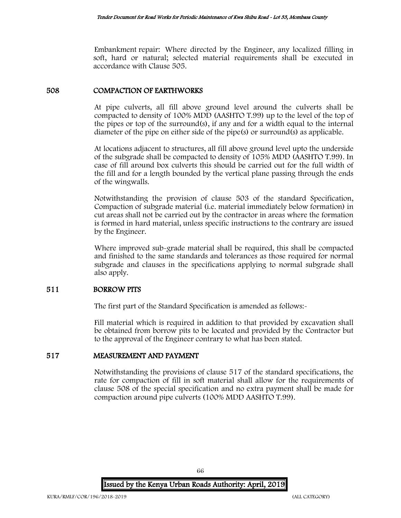Embankment repair: Where directed by the Engineer, any localized filling in soft, hard or natural; selected material requirements shall be executed in accordance with Clause 505.

### 508 COMPACTION OF EARTHWORKS

At pipe culverts, all fill above ground level around the culverts shall be compacted to density of 100% MDD (AASHTO T.99) up to the level of the top of the pipes or top of the surround(s), if any and for a width equal to the internal diameter of the pipe on either side of the pipe(s) or surround(s) as applicable.

At locations adjacent to structures, all fill above ground level upto the underside of the subgrade shall be compacted to density of 105% MDD (AASHTO T.99). In case of fill around box culverts this should be carried out for the full width of the fill and for a length bounded by the vertical plane passing through the ends of the wingwalls.

Notwithstanding the provision of clause 503 of the standard Specification, Compaction of subgrade material (i.e. material immediately below formation) in cut areas shall not be carried out by the contractor in areas where the formation is formed in hard material, unless specific instructions to the contrary are issued by the Engineer.

Where improved sub-grade material shall be required, this shall be compacted and finished to the same standards and tolerances as those required for normal subgrade and clauses in the specifications applying to normal subgrade shall also apply.

### 511 BORROW PITS

The first part of the Standard Specification is amended as follows:-

Fill material which is required in addition to that provided by excavation shall be obtained from borrow pits to be located and provided by the Contractor but to the approval of the Engineer contrary to what has been stated.

### 517 MEASUREMENT AND PAYMENT

Notwithstanding the provisions of clause 517 of the standard specifications, the rate for compaction of fill in soft material shall allow for the requirements of clause 508 of the special specification and no extra payment shall be made for compaction around pipe culverts (100% MDD AASHTO T.99).

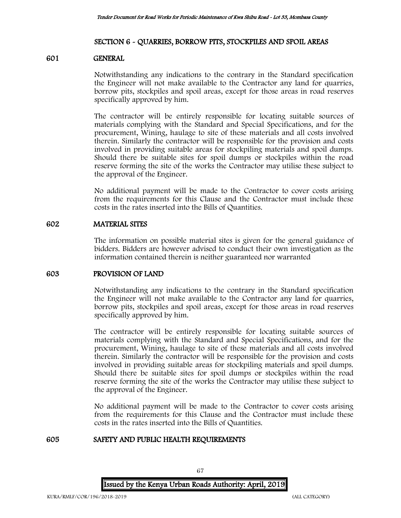# SECTION 6 - QUARRIES, BORROW PITS, STOCKPILES AND SPOIL AREAS

### 601 GENERAL

Notwithstanding any indications to the contrary in the Standard specification the Engineer will not make available to the Contractor any land for quarries, borrow pits, stockpiles and spoil areas, except for those areas in road reserves specifically approved by him.

The contractor will be entirely responsible for locating suitable sources of materials complying with the Standard and Special Specifications, and for the procurement, Wining, haulage to site of these materials and all costs involved therein. Similarly the contractor will be responsible for the provision and costs involved in providing suitable areas for stockpiling materials and spoil dumps. Should there be suitable sites for spoil dumps or stockpiles within the road reserve forming the site of the works the Contractor may utilise these subject to the approval of the Engineer.

No additional payment will be made to the Contractor to cover costs arising from the requirements for this Clause and the Contractor must include these costs in the rates inserted into the Bills of Quantities.

# 602 MATERIAL SITES

The information on possible material sites is given for the general guidance of bidders. Bidders are however advised to conduct their own investigation as the information contained therein is neither guaranteed nor warranted

### 603 PROVISION OF LAND

Notwithstanding any indications to the contrary in the Standard specification the Engineer will not make available to the Contractor any land for quarries, borrow pits, stockpiles and spoil areas, except for those areas in road reserves specifically approved by him.

The contractor will be entirely responsible for locating suitable sources of materials complying with the Standard and Special Specifications, and for the procurement, Wining, haulage to site of these materials and all costs involved therein. Similarly the contractor will be responsible for the provision and costs involved in providing suitable areas for stockpiling materials and spoil dumps. Should there be suitable sites for spoil dumps or stockpiles within the road reserve forming the site of the works the Contractor may utilise these subject to the approval of the Engineer.

No additional payment will be made to the Contractor to cover costs arising from the requirements for this Clause and the Contractor must include these costs in the rates inserted into the Bills of Quantities.

# 605 SAFETY AND PUBLIC HEALTH REQUIREMENTS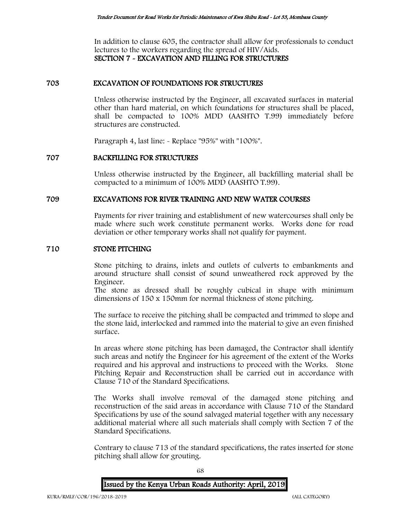In addition to clause 605, the contractor shall allow for professionals to conduct lectures to the workers regarding the spread of HIV/Aids. SECTION 7 - EXCAVATION AND FILLING FOR STRUCTURES

#### 703 EXCAVATION OF FOUNDATIONS FOR STRUCTURES

Unless otherwise instructed by the Engineer, all excavated surfaces in material other than hard material, on which foundations for structures shall be placed, shall be compacted to 100% MDD (AASHTO T.99) immediately before structures are constructed.

Paragraph 4, last line: - Replace "95%" with "100%".

#### 707 BACKFILLING FOR STRUCTURES

Unless otherwise instructed by the Engineer, all backfilling material shall be compacted to a minimum of 100% MDD (AASHTO T.99).

#### 709 EXCAVATIONS FOR RIVER TRAINING AND NEW WATER COURSES

Payments for river training and establishment of new watercourses shall only be made where such work constitute permanent works. Works done for road deviation or other temporary works shall not qualify for payment.

#### 710 STONE PITCHING

Stone pitching to drains, inlets and outlets of culverts to embankments and around structure shall consist of sound unweathered rock approved by the Engineer.

The stone as dressed shall be roughly cubical in shape with minimum dimensions of 150 x 150mm for normal thickness of stone pitching.

The surface to receive the pitching shall be compacted and trimmed to slope and the stone laid, interlocked and rammed into the material to give an even finished surface.

In areas where stone pitching has been damaged, the Contractor shall identify such areas and notify the Engineer for his agreement of the extent of the Works required and his approval and instructions to proceed with the Works. Stone Pitching Repair and Reconstruction shall be carried out in accordance with Clause 710 of the Standard Specifications.

The Works shall involve removal of the damaged stone pitching and reconstruction of the said areas in accordance with Clause 710 of the Standard Specifications by use of the sound salvaged material together with any necessary additional material where all such materials shall comply with Section 7 of the Standard Specifications.

Contrary to clause 713 of the standard specifications, the rates inserted for stone pitching shall allow for grouting.

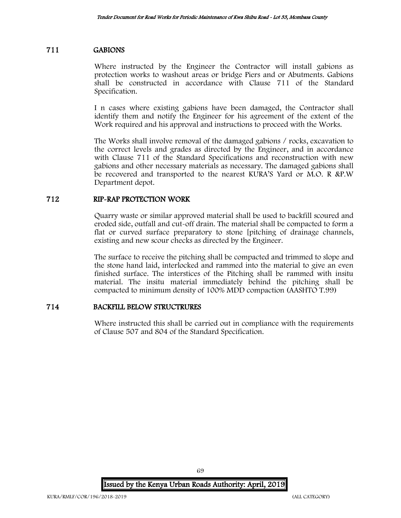### 711 GABIONS

Where instructed by the Engineer the Contractor will install gabions as protection works to washout areas or bridge Piers and or Abutments. Gabions shall be constructed in accordance with Clause 711 of the Standard Specification.

I n cases where existing gabions have been damaged, the Contractor shall identify them and notify the Engineer for his agreement of the extent of the Work required and his approval and instructions to proceed with the Works.

The Works shall involve removal of the damaged gabions / rocks, excavation to the correct levels and grades as directed by the Engineer, and in accordance with Clause 711 of the Standard Specifications and reconstruction with new gabions and other necessary materials as necessary. The damaged gabions shall be recovered and transported to the nearest KURA'S Yard or M.O. R &P.W Department depot.

# 712 RIP-RAP PROTECTION WORK

Quarry waste or similar approved material shall be used to backfill scoured and eroded side, outfall and cut-off drain. The material shall be compacted to form a flat or curved surface preparatory to stone [pitching of drainage channels, existing and new scour checks as directed by the Engineer.

The surface to receive the pitching shall be compacted and trimmed to slope and the stone hand laid, interlocked and rammed into the material to give an even finished surface. The interstices of the Pitching shall be rammed with insitu material. The insitu material immediately behind the pitching shall be compacted to minimum density of 100% MDD compaction (AASHTO T.99)

# 714 BACKFILL BELOW STRUCTRURES

Where instructed this shall be carried out in compliance with the requirements of Clause 507 and 804 of the Standard Specification.

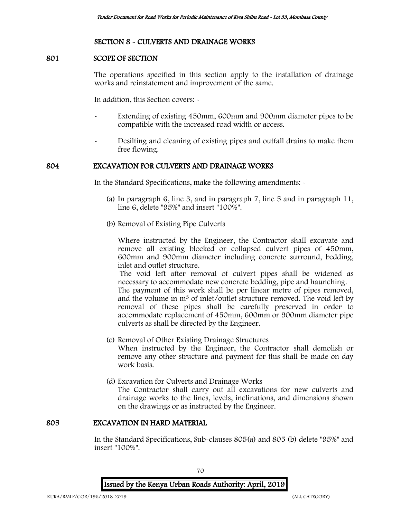# SECTION 8 - CULVERTS AND DRAINAGE WORKS

# 801 SCOPE OF SECTION

The operations specified in this section apply to the installation of drainage works and reinstatement and improvement of the same.

In addition, this Section covers: -

- Extending of existing 450mm, 600mm and 900mm diameter pipes to be compatible with the increased road width or access.
- Desilting and cleaning of existing pipes and outfall drains to make them free flowing.

### 804 EXCAVATION FOR CULVERTS AND DRAINAGE WORKS

In the Standard Specifications, make the following amendments: -

- (a) In paragraph 6, line 3, and in paragraph 7, line 5 and in paragraph 11, line 6, delete "95%" and insert "100%".
- (b) Removal of Existing Pipe Culverts

Where instructed by the Engineer, the Contractor shall excavate and remove all existing blocked or collapsed culvert pipes of 450mm, 600mm and 900mm diameter including concrete surround, bedding, inlet and outlet structure.

The void left after removal of culvert pipes shall be widened as necessary to accommodate new concrete bedding, pipe and haunching.

The payment of this work shall be per linear metre of pipes removed, and the volume in m<sup>3</sup> of inlet/outlet structure removed. The void left by removal of these pipes shall be carefully preserved in order to accommodate replacement of 450mm, 600mm or 900mm diameter pipe culverts as shall be directed by the Engineer.

- (c) Removal of Other Existing Drainage Structures When instructed by the Engineer, the Contractor shall demolish or remove any other structure and payment for this shall be made on day work basis.
- (d) Excavation for Culverts and Drainage Works The Contractor shall carry out all excavations for new culverts and drainage works to the lines, levels, inclinations, and dimensions shown on the drawings or as instructed by the Engineer.

### 805 EXCAVATION IN HARD MATERIAL

In the Standard Specifications, Sub-clauses 805(a) and 805 (b) delete "95%" and insert "100%".

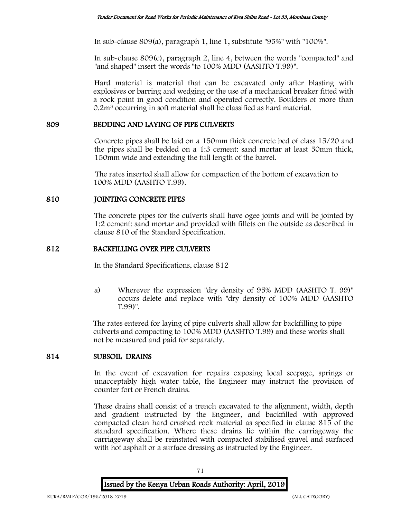In sub-clause 809(a), paragraph 1, line 1, substitute "95%" with "100%".

In sub-clause 809(c), paragraph 2, line 4, between the words "compacted" and "and shaped" insert the words "to 100% MDD (AASHTO T.99)".

Hard material is material that can be excavated only after blasting with explosives or barring and wedging or the use of a mechanical breaker fitted with a rock point in good condition and operated correctly. Boulders of more than 0.2m<sup>3</sup> occurring in soft material shall be classified as hard material.

# 809 BEDDING AND LAYING OF PIPE CULVERTS

Concrete pipes shall be laid on a 150mm thick concrete bed of class 15/20 and the pipes shall be bedded on a 1:3 cement: sand mortar at least 50mm thick, 150mm wide and extending the full length of the barrel.

The rates inserted shall allow for compaction of the bottom of excavation to 100% MDD (AASHTO T.99).

# 810 JOINTING CONCRETE PIPES

The concrete pipes for the culverts shall have ogee joints and will be jointed by 1:2 cement: sand mortar and provided with fillets on the outside as described in clause 810 of the Standard Specification.

# 812 BACKFILLING OVER PIPE CULVERTS

In the Standard Specifications, clause 812

a) Wherever the expression "dry density of 95% MDD (AASHTO T. 99)" occurs delete and replace with "dry density of 100% MDD (AASHTO T.99)".

The rates entered for laying of pipe culverts shall allow for backfilling to pipe culverts and compacting to 100% MDD (AASHTO T.99) and these works shall not be measured and paid for separately.

# 814 SUBSOIL DRAINS

In the event of excavation for repairs exposing local seepage, springs or unacceptably high water table, the Engineer may instruct the provision of counter fort or French drains.

These drains shall consist of a trench excavated to the alignment, width, depth and gradient instructed by the Engineer, and backfilled with approved compacted clean hard crushed rock material as specified in clause 815 of the standard specification. Where these drains lie within the carriageway the carriageway shall be reinstated with compacted stabilised gravel and surfaced with hot asphalt or a surface dressing as instructed by the Engineer.

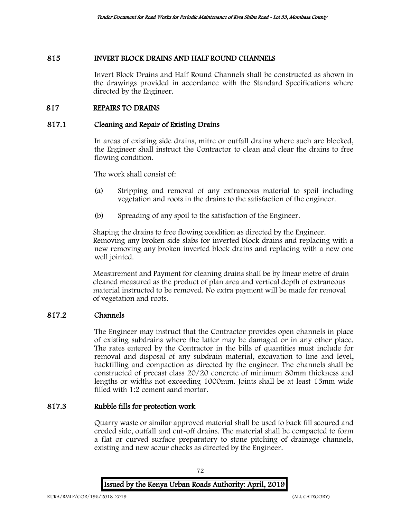## 815 INVERT BLOCK DRAINS AND HALF ROUND CHANNELS

Invert Block Drains and Half Round Channels shall be constructed as shown in the drawings provided in accordance with the Standard Specifications where directed by the Engineer.

# 817 REPAIRS TO DRAINS

## 817.1 Cleaning and Repair of Existing Drains

In areas of existing side drains, mitre or outfall drains where such are blocked, the Engineer shall instruct the Contractor to clean and clear the drains to free flowing condition.

The work shall consist of:

- (a) Stripping and removal of any extraneous material to spoil including vegetation and roots in the drains to the satisfaction of the engineer.
- (b) Spreading of any spoil to the satisfaction of the Engineer.

Shaping the drains to free flowing condition as directed by the Engineer. Removing any broken side slabs for inverted block drains and replacing with a new removing any broken inverted block drains and replacing with a new one well jointed.

Measurement and Payment for cleaning drains shall be by linear metre of drain cleaned measured as the product of plan area and vertical depth of extraneous material instructed to be removed. No extra payment will be made for removal of vegetation and roots.

# 817.2 Channels

The Engineer may instruct that the Contractor provides open channels in place of existing subdrains where the latter may be damaged or in any other place. The rates entered by the Contractor in the bills of quantities must include for removal and disposal of any subdrain material, excavation to line and level, backfilling and compaction as directed by the engineer. The channels shall be constructed of precast class 20/20 concrete of minimum 80mm thickness and lengths or widths not exceeding 1000mm. Joints shall be at least 15mm wide filled with 1:2 cement sand mortar.

#### 817.3 Rubble fills for protection work

Quarry waste or similar approved material shall be used to back fill scoured and eroded side, outfall and cut-off drains. The material shall be compacted to form a flat or curved surface preparatory to stone pitching of drainage channels, existing and new scour checks as directed by the Engineer.

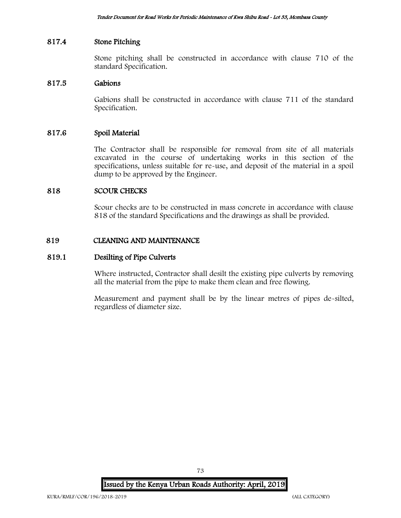# 817.4 Stone Pitching

Stone pitching shall be constructed in accordance with clause 710 of the standard Specification.

## 817.5 Gabions

Gabions shall be constructed in accordance with clause 711 of the standard Specification.

#### 817.6 Spoil Material

The Contractor shall be responsible for removal from site of all materials excavated in the course of undertaking works in this section of the specifications, unless suitable for re-use, and deposit of the material in a spoil dump to be approved by the Engineer.

## 818 SCOUR CHECKS

Scour checks are to be constructed in mass concrete in accordance with clause 818 of the standard Specifications and the drawings as shall be provided.

## 819 CLEANING AND MAINTENANCE

### 819.1 Desilting of Pipe Culverts

Where instructed, Contractor shall desilt the existing pipe culverts by removing all the material from the pipe to make them clean and free flowing.

Measurement and payment shall be by the linear metres of pipes de-silted, regardless of diameter size.

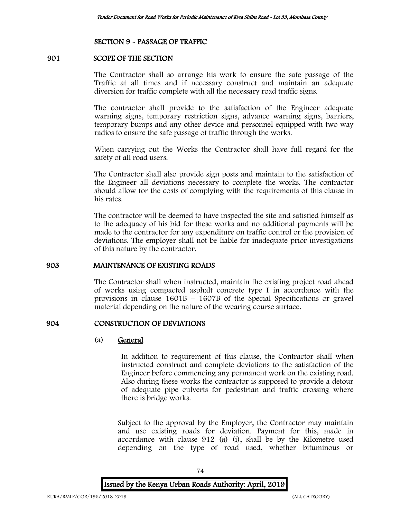#### SECTION 9 - PASSAGE OF TRAFFIC

## 901 SCOPE OF THE SECTION

The Contractor shall so arrange his work to ensure the safe passage of the Traffic at all times and if necessary construct and maintain an adequate diversion for traffic complete with all the necessary road traffic signs.

The contractor shall provide to the satisfaction of the Engineer adequate warning signs, temporary restriction signs, advance warning signs, barriers, temporary bumps and any other device and personnel equipped with two way radios to ensure the safe passage of traffic through the works.

When carrying out the Works the Contractor shall have full regard for the safety of all road users.

The Contractor shall also provide sign posts and maintain to the satisfaction of the Engineer all deviations necessary to complete the works. The contractor should allow for the costs of complying with the requirements of this clause in his rates.

The contractor will be deemed to have inspected the site and satisfied himself as to the adequacy of his bid for these works and no additional payments will be made to the contractor for any expenditure on traffic control or the provision of deviations. The employer shall not be liable for inadequate prior investigations of this nature by the contractor.

#### 903 MAINTENANCE OF EXISTING ROADS

The Contractor shall when instructed, maintain the existing project road ahead of works using compacted asphalt concrete type I in accordance with the provisions in clause 1601B – 1607B of the Special Specifications or gravel material depending on the nature of the wearing course surface.

## 904 CONSTRUCTION OF DEVIATIONS

#### (a) General

In addition to requirement of this clause, the Contractor shall when instructed construct and complete deviations to the satisfaction of the Engineer before commencing any permanent work on the existing road. Also during these works the contractor is supposed to provide a detour of adequate pipe culverts for pedestrian and traffic crossing where there is bridge works.

Subject to the approval by the Employer, the Contractor may maintain and use existing roads for deviation. Payment for this, made in accordance with clause 912 (a) (i), shall be by the Kilometre used depending on the type of road used, whether bituminous or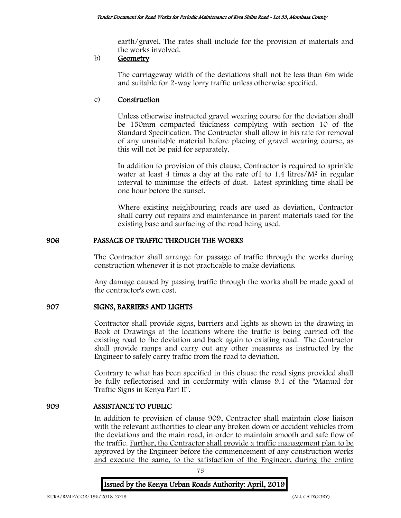earth/gravel. The rates shall include for the provision of materials and the works involved.

## b) Geometry

The carriageway width of the deviations shall not be less than 6m wide and suitable for 2-way lorry traffic unless otherwise specified.

# c) Construction

Unless otherwise instructed gravel wearing course for the deviation shall be 150mm compacted thickness complying with section 10 of the Standard Specification. The Contractor shall allow in his rate for removal of any unsuitable material before placing of gravel wearing course, as this will not be paid for separately.

In addition to provision of this clause, Contractor is required to sprinkle water at least 4 times a day at the rate of  $1$  to  $1.4$  litres/ $M<sup>2</sup>$  in regular interval to minimise the effects of dust. Latest sprinkling time shall be one hour before the sunset.

Where existing neighbouring roads are used as deviation, Contractor shall carry out repairs and maintenance in parent materials used for the existing base and surfacing of the road being used.

# 906 PASSAGE OF TRAFFIC THROUGH THE WORKS

The Contractor shall arrange for passage of traffic through the works during construction whenever it is not practicable to make deviations.

Any damage caused by passing traffic through the works shall be made good at the contractor's own cost.

# 907 SIGNS, BARRIERS AND LIGHTS

Contractor shall provide signs, barriers and lights as shown in the drawing in Book of Drawings at the locations where the traffic is being carried off the existing road to the deviation and back again to existing road. The Contractor shall provide ramps and carry out any other measures as instructed by the Engineer to safely carry traffic from the road to deviation.

Contrary to what has been specified in this clause the road signs provided shall be fully reflectorised and in conformity with clause 9.1 of the "Manual for Traffic Signs in Kenya Part II".

# 909 ASSISTANCE TO PUBLIC

In addition to provision of clause 909, Contractor shall maintain close liaison with the relevant authorities to clear any broken down or accident vehicles from the deviations and the main road, in order to maintain smooth and safe flow of the traffic. Further, the Contractor shall provide a traffic management plan to be approved by the Engineer before the commencement of any construction works and execute the same, to the satisfaction of the Engineer, during the entire

75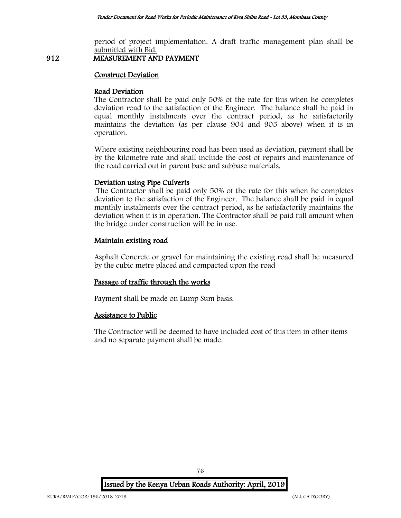period of project implementation. A draft traffic management plan shall be submitted with Bid.

# 912 MEASUREMENT AND PAYMENT

#### Construct Deviation

## Road Deviation

The Contractor shall be paid only 50% of the rate for this when he completes deviation road to the satisfaction of the Engineer. The balance shall be paid in equal monthly instalments over the contract period, as he satisfactorily maintains the deviation (as per clause 904 and 905 above) when it is in operation.

Where existing neighbouring road has been used as deviation, payment shall be by the kilometre rate and shall include the cost of repairs and maintenance of the road carried out in parent base and subbase materials.

## Deviation using Pipe Culverts

The Contractor shall be paid only 50% of the rate for this when he completes deviation to the satisfaction of the Engineer. The balance shall be paid in equal monthly instalments over the contract period, as he satisfactorily maintains the deviation when it is in operation. The Contractor shall be paid full amount when the bridge under construction will be in use.

# Maintain existing road

Asphalt Concrete or gravel for maintaining the existing road shall be measured by the cubic metre placed and compacted upon the road

# Passage of traffic through the works

Payment shall be made on Lump Sum basis.

#### Assistance to Public

The Contractor will be deemed to have included cost of this item in other items and no separate payment shall be made.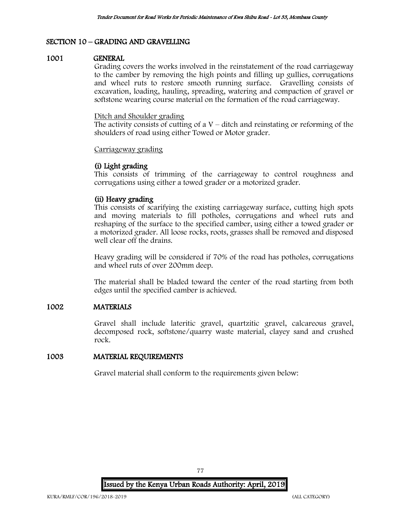# SECTION 10 – GRADING AND GRAVELLING

#### 1001 GENERAL

Grading covers the works involved in the reinstatement of the road carriageway to the camber by removing the high points and filling up gullies, corrugations and wheel ruts to restore smooth running surface. Gravelling consists of excavation, loading, hauling, spreading, watering and compaction of gravel or softstone wearing course material on the formation of the road carriageway.

#### Ditch and Shoulder grading

The activity consists of cutting of a  $V$  – ditch and reinstating or reforming of the shoulders of road using either Towed or Motor grader.

#### Carriageway grading

## (i) Light grading

This consists of trimming of the carriageway to control roughness and corrugations using either a towed grader or a motorized grader.

## (ii) Heavy grading

This consists of scarifying the existing carriageway surface, cutting high spots and moving materials to fill potholes, corrugations and wheel ruts and reshaping of the surface to the specified camber, using either a towed grader or a motorized grader. All loose rocks, roots, grasses shall be removed and disposed well clear off the drains.

Heavy grading will be considered if 70% of the road has potholes, corrugations and wheel ruts of over 200mm deep.

The material shall be bladed toward the center of the road starting from both edges until the specified camber is achieved.

### 1002 MATERIALS

Gravel shall include lateritic gravel, quartzitic gravel, calcareous gravel, decomposed rock, softstone/quarry waste material, clayey sand and crushed rock.

#### 1003 MATERIAL REQUIREMENTS

Gravel material shall conform to the requirements given below:

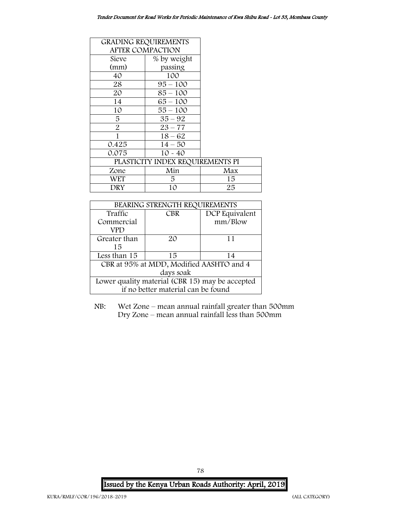| <b>GRADING REQUIREMENTS</b> |                                  |     |  |
|-----------------------------|----------------------------------|-----|--|
|                             | <b>AFTER COMPACTION</b>          |     |  |
| Sieve                       | % by weight                      |     |  |
| (mm)                        | passing                          |     |  |
| 40                          | 100                              |     |  |
| 28                          | $95 - 100$                       |     |  |
| 20                          | $85 - 100$                       |     |  |
| 14                          | $65 - 100$                       |     |  |
| 10                          | 55 – 100                         |     |  |
| 5                           | $35 - 92$                        |     |  |
| $\overline{2}$              | $23 - 77$                        |     |  |
| 1                           | $18 - 62$                        |     |  |
| 0.425                       | $14 - 50$                        |     |  |
| 0.075                       | $10 - 40$                        |     |  |
|                             | PLASTICITY INDEX REQUIREMENTS PI |     |  |
| Zone                        | Min                              | Max |  |
| WET                         | 5                                | 15  |  |
| DRY                         | 10                               | 25  |  |

| BEARING STRENGTH REQUIREMENTS                   |            |                |  |  |
|-------------------------------------------------|------------|----------------|--|--|
| Traffic                                         | <b>CBR</b> | DCP Equivalent |  |  |
| Commercial                                      |            | mm/Blow        |  |  |
| VPD                                             |            |                |  |  |
| Greater than                                    | 20         | 11             |  |  |
| 15                                              |            |                |  |  |
| Less than 15<br>15<br>14                        |            |                |  |  |
| CBR at 95% at MDD, Modified AASHTO and 4        |            |                |  |  |
| days soak                                       |            |                |  |  |
| Lower quality material (CBR 15) may be accepted |            |                |  |  |
| if no better material can be found              |            |                |  |  |

NB: Wet Zone – mean annual rainfall greater than 500mm Dry Zone – mean annual rainfall less than 500mm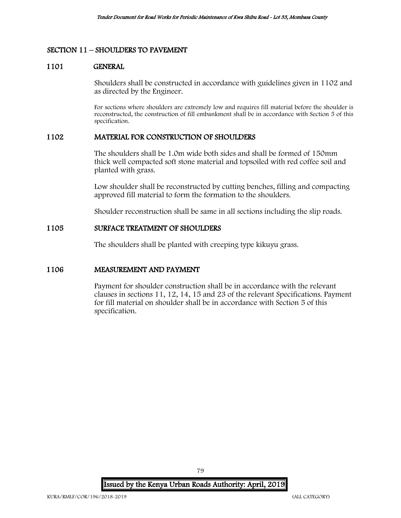## SECTION 11 – SHOULDERS TO PAVEMENT

#### 1101 GENERAL

Shoulders shall be constructed in accordance with guidelines given in 1102 and as directed by the Engineer.

For sections where shoulders are extremely low and requires fill material before the shoulder is reconstructed, the construction of fill embankment shall be in accordance with Section 5 of this specification.

#### 1102 MATERIAL FOR CONSTRUCTION OF SHOULDERS

The shoulders shall be 1.0m wide both sides and shall be formed of 150mm thick well compacted soft stone material and topsoiled with red coffee soil and planted with grass.

Low shoulder shall be reconstructed by cutting benches, filling and compacting approved fill material to form the formation to the shoulders.

Shoulder reconstruction shall be same in all sections including the slip roads.

#### 1105 SURFACE TREATMENT OF SHOULDERS

The shoulders shall be planted with creeping type kikuyu grass.

## 1106 MEASUREMENT AND PAYMENT

Payment for shoulder construction shall be in accordance with the relevant clauses in sections 11, 12, 14, 15 and 23 of the relevant Specifications. Payment for fill material on shoulder shall be in accordance with Section 5 of this specification.

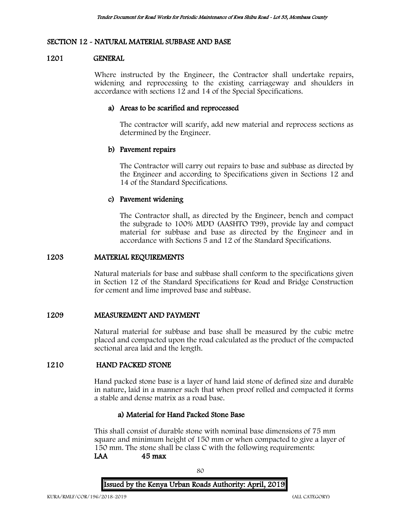# SECTION 12 - NATURAL MATERIAL SUBBASE AND BASE

#### 1201 GENERAL

Where instructed by the Engineer, the Contractor shall undertake repairs, widening and reprocessing to the existing carriageway and shoulders in accordance with sections 12 and 14 of the Special Specifications.

## a) Areas to be scarified and reprocessed

The contractor will scarify, add new material and reprocess sections as determined by the Engineer.

## b) Pavement repairs

The Contractor will carry out repairs to base and subbase as directed by the Engineer and according to Specifications given in Sections 12 and 14 of the Standard Specifications.

## c) Pavement widening

The Contractor shall, as directed by the Engineer, bench and compact the subgrade to 100% MDD (AASHTO T99), provide lay and compact material for subbase and base as directed by the Engineer and in accordance with Sections 5 and 12 of the Standard Specifications.

#### 1203 MATERIAL REQUIREMENTS

Natural materials for base and subbase shall conform to the specifications given in Section 12 of the Standard Specifications for Road and Bridge Construction for cement and lime improved base and subbase.

#### 1209 MEASUREMENT AND PAYMENT

Natural material for subbase and base shall be measured by the cubic metre placed and compacted upon the road calculated as the product of the compacted sectional area laid and the length.

## 1210 HAND PACKED STONE

Hand packed stone base is a layer of hand laid stone of defined size and durable in nature, laid in a manner such that when proof rolled and compacted it forms a stable and dense matrix as a road base.

#### a) Material for Hand Packed Stone Base

This shall consist of durable stone with nominal base dimensions of 75 mm square and minimum height of 150 mm or when compacted to give a layer of 150 mm. The stone shall be class C with the following requirements: LAA 45 max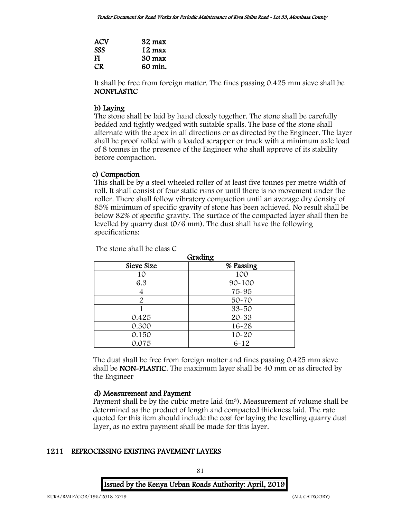| <b>ACV</b> | $32 \text{ max}$ |
|------------|------------------|
| <b>SSS</b> | $12 \text{ max}$ |
| FI         | $30 \text{ max}$ |
| CR.        | 60 min.          |

It shall be free from foreign matter. The fines passing 0.425 mm sieve shall be NONPLASTIC

## b) Laying

The stone shall be laid by hand closely together. The stone shall be carefully bedded and tightly wedged with suitable spalls. The base of the stone shall alternate with the apex in all directions or as directed by the Engineer. The layer shall be proof rolled with a loaded scrapper or truck with a minimum axle load of 8 tonnes in the presence of the Engineer who shall approve of its stability before compaction.

## c) Compaction

This shall be by a steel wheeled roller of at least five tonnes per metre width of roll. It shall consist of four static runs or until there is no movement under the roller. There shall follow vibratory compaction until an average dry density of 85% minimum of specific gravity of stone has been achieved. No result shall be below 82% of specific gravity. The surface of the compacted layer shall then be levelled by quarry dust (0/6 mm). The dust shall have the following specifications:

The stone shall be class C

| ulaulix    |            |  |  |  |
|------------|------------|--|--|--|
| Sieve Size | % Passing  |  |  |  |
| 10         | 100        |  |  |  |
| 6.3        | $90 - 100$ |  |  |  |
| 4          | 75-95      |  |  |  |
| 2          | 50-70      |  |  |  |
|            | $33 - 50$  |  |  |  |
| 0.425      | 20-33      |  |  |  |
| 0.300      | 16-28      |  |  |  |
| 0.150      | $10 - 20$  |  |  |  |
| 0.075      | $6 - 12$   |  |  |  |

Grading

The dust shall be free from foreign matter and fines passing 0.425 mm sieve shall be NON-PLASTIC. The maximum layer shall be 40 mm or as directed by the Engineer

# d) Measurement and Payment

Payment shall be by the cubic metre laid  $(m<sup>3</sup>)$ . Measurement of volume shall be determined as the product of length and compacted thickness laid. The rate quoted for this item should include the cost for laying the levelling quarry dust layer, as no extra payment shall be made for this layer.

# 1211 REPROCESSING EXISTING PAVEMENT LAYERS

Issued by the Kenya Urban Roads Authority: April, 2019

81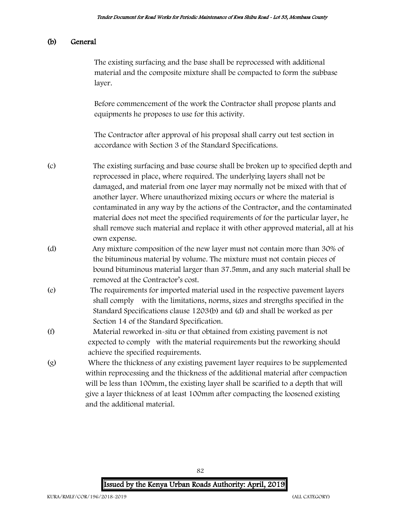## (b) General

The existing surfacing and the base shall be reprocessed with additional material and the composite mixture shall be compacted to form the subbase layer.

Before commencement of the work the Contractor shall propose plants and equipments he proposes to use for this activity.

The Contractor after approval of his proposal shall carry out test section in accordance with Section 3 of the Standard Specifications.

- (c) The existing surfacing and base course shall be broken up to specified depth and reprocessed in place, where required. The underlying layers shall not be damaged, and material from one layer may normally not be mixed with that of another layer. Where unauthorized mixing occurs or where the material is contaminated in any way by the actions of the Contractor, and the contaminated material does not meet the specified requirements of for the particular layer, he shall remove such material and replace it with other approved material, all at his own expense.
- (d) Any mixture composition of the new layer must not contain more than 30% of the bituminous material by volume. The mixture must not contain pieces of bound bituminous material larger than 37.5mm, and any such material shall be removed at the Contractor's cost.
- (e) The requirements for imported material used in the respective pavement layers shall comply with the limitations, norms, sizes and strengths specified in the Standard Specifications clause 1203(b) and (d) and shall be worked as per Section 14 of the Standard Specification.
- (f) Material reworked in-situ or that obtained from existing pavement is not expected to comply with the material requirements but the reworking should achieve the specified requirements.
- (g) Where the thickness of any existing pavement layer requires to be supplemented within reprocessing and the thickness of the additional material after compaction will be less than 100mm, the existing layer shall be scarified to a depth that will give a layer thickness of at least 100mm after compacting the loosened existing and the additional material.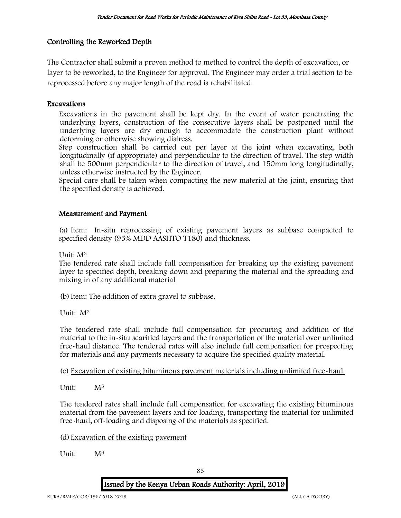# Controlling the Reworked Depth

The Contractor shall submit a proven method to method to control the depth of excavation, or layer to be reworked, to the Engineer for approval. The Engineer may order a trial section to be reprocessed before any major length of the road is rehabilitated.

# Excavations

Excavations in the pavement shall be kept dry. In the event of water penetrating the underlying layers, construction of the consecutive layers shall be postponed until the underlying layers are dry enough to accommodate the construction plant without deforming or otherwise showing distress.

Step construction shall be carried out per layer at the joint when excavating, both longitudinally (if appropriate) and perpendicular to the direction of travel. The step width shall be 500mm perpendicular to the direction of travel, and 150mm long longitudinally, unless otherwise instructed by the Engineer.

Special care shall be taken when compacting the new material at the joint, ensuring that the specified density is achieved.

## Measurement and Payment

(a) Item: In-situ reprocessing of existing pavement layers as subbase compacted to specified density (95% MDD AASHTO T180) and thickness.

Unit: M<sup>3</sup>

The tendered rate shall include full compensation for breaking up the existing pavement layer to specified depth, breaking down and preparing the material and the spreading and mixing in of any additional material

(b)Item: The addition of extra gravel to subbase.

Unit: M<sup>3</sup>

The tendered rate shall include full compensation for procuring and addition of the material to the in-situ scarified layers and the transportation of the material over unlimited free-haul distance. The tendered rates will also include full compensation for prospecting for materials and any payments necessary to acquire the specified quality material.

(c) Excavation of existing bituminous pavement materials including unlimited free-haul.

Unit: M<sup>3</sup>

The tendered rates shall include full compensation for excavating the existing bituminous material from the pavement layers and for loading, transporting the material for unlimited free-haul, off-loading and disposing of the materials as specified.

(d) Excavation of the existing pavement

Unit: M<sup>3</sup>

83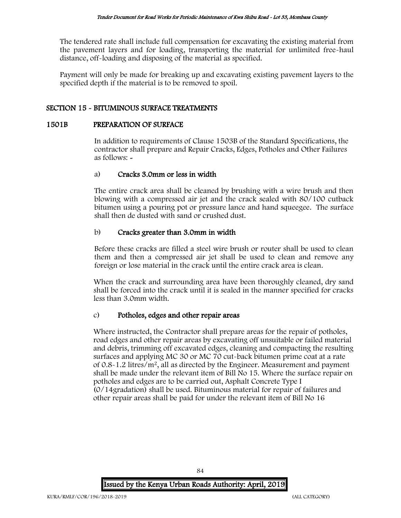The tendered rate shall include full compensation for excavating the existing material from the pavement layers and for loading, transporting the material for unlimited free-haul distance, off-loading and disposing of the material as specified.

Payment will only be made for breaking up and excavating existing pavement layers to the specified depth if the material is to be removed to spoil.

# SECTION 15 - BITUMINOUS SURFACE TREATMENTS

## 1501B PREPARATION OF SURFACE

In addition to requirements of Clause 1503B of the Standard Specifications, the contractor shall prepare and Repair Cracks, Edges, Potholes and Other Failures as follows: -

# a) Cracks 3.0mm or less in width

The entire crack area shall be cleaned by brushing with a wire brush and then blowing with a compressed air jet and the crack sealed with 80/100 cutback bitumen using a pouring pot or pressure lance and hand squeegee. The surface shall then de dusted with sand or crushed dust.

# b) Cracks greater than 3.0mm in width

Before these cracks are filled a steel wire brush or router shall be used to clean them and then a compressed air jet shall be used to clean and remove any foreign or lose material in the crack until the entire crack area is clean.

When the crack and surrounding area have been thoroughly cleaned, dry sand shall be forced into the crack until it is sealed in the manner specified for cracks less than 3.0mm width.

# c) Potholes, edges and other repair areas

Where instructed, the Contractor shall prepare areas for the repair of potholes, road edges and other repair areas by excavating off unsuitable or failed material and debris, trimming off excavated edges, cleaning and compacting the resulting surfaces and applying MC 30 or MC 70 cut-back bitumen prime coat at a rate of 0.8-1.2 litres/m<sup>2</sup>, all as directed by the Engineer. Measurement and payment shall be made under the relevant item of Bill No 15. Where the surface repair on potholes and edges are to be carried out, Asphalt Concrete Type I (0/14gradation) shall be used. Bituminous material for repair of failures and other repair areas shall be paid for under the relevant item of Bill No 16

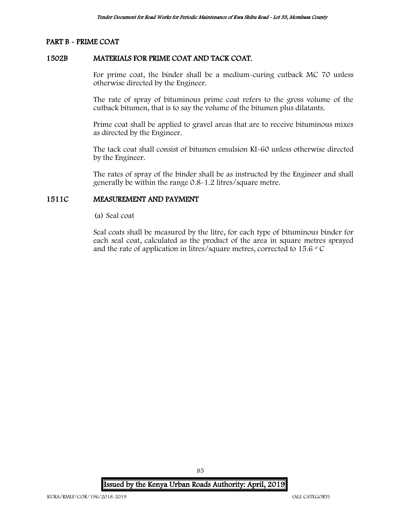## PART B - PRIME COAT

# 1502B MATERIALS FOR PRIME COAT AND TACK COAT.

For prime coat, the binder shall be a medium-curing cutback MC 70 unless otherwise directed by the Engineer.

The rate of spray of bituminous prime coat refers to the gross volume of the cutback bitumen, that is to say the volume of the bitumen plus dilatants.

Prime coat shall be applied to gravel areas that are to receive bituminous mixes as directed by the Engineer.

The tack coat shall consist of bitumen emulsion KI-60 unless otherwise directed by the Engineer.

The rates of spray of the binder shall be as instructed by the Engineer and shall generally be within the range 0.8-1.2 litres/square metre.

## 1511C MEASUREMENT AND PAYMENT

(a) Seal coat

Seal coats shall be measured by the litre, for each type of bituminous binder for each seal coat, calculated as the product of the area in square metres sprayed and the rate of application in litres/square metres, corrected to 15.6  $\circ$  C

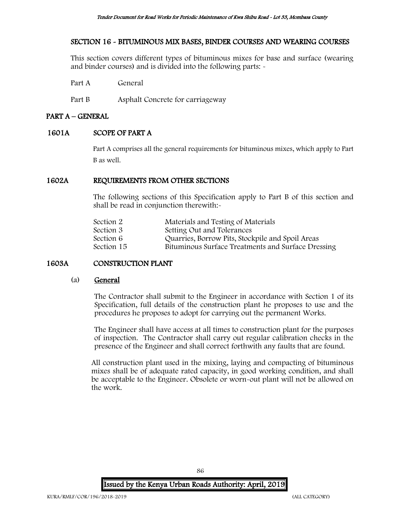# SECTION 16 - BITUMINOUS MIX BASES, BINDER COURSES AND WEARING COURSES

This section covers different types of bituminous mixes for base and surface (wearing and binder courses) and is divided into the following parts: -

Part A General

Part B Asphalt Concrete for carriageway

# PART A – GENERAL

## 1601A SCOPE OF PART A

Part A comprises all the general requirements for bituminous mixes, which apply to Part B as well.

# 1602A REQUIREMENTS FROM OTHER SECTIONS

The following sections of this Specification apply to Part B of this section and shall be read in conjunction therewith:-

| Materials and Testing of Materials                 |
|----------------------------------------------------|
| Setting Out and Tolerances                         |
| Quarries, Borrow Pits, Stockpile and Spoil Areas   |
| Bituminous Surface Treatments and Surface Dressing |
|                                                    |

# 1603A CONSTRUCTION PLANT

#### (a) General

The Contractor shall submit to the Engineer in accordance with Section 1 of its Specification, full details of the construction plant he proposes to use and the procedures he proposes to adopt for carrying out the permanent Works.

The Engineer shall have access at all times to construction plant for the purposes of inspection. The Contractor shall carry out regular calibration checks in the presence of the Engineer and shall correct forthwith any faults that are found.

All construction plant used in the mixing, laying and compacting of bituminous mixes shall be of adequate rated capacity, in good working condition, and shall be acceptable to the Engineer. Obsolete or worn-out plant will not be allowed on the work.

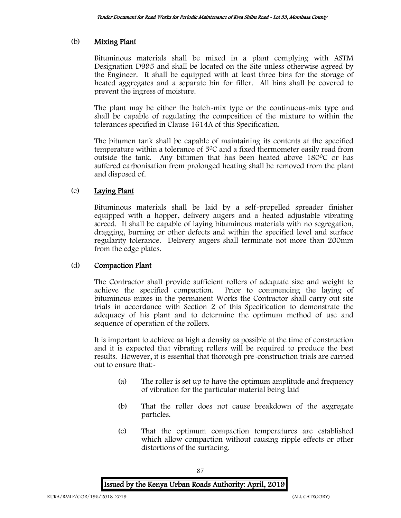# (b) Mixing Plant

Bituminous materials shall be mixed in a plant complying with ASTM Designation D995 and shall be located on the Site unless otherwise agreed by the Engineer. It shall be equipped with at least three bins for the storage of heated aggregates and a separate bin for filler. All bins shall be covered to prevent the ingress of moisture.

The plant may be either the batch-mix type or the continuous-mix type and shall be capable of regulating the composition of the mixture to within the tolerances specified in Clause 1614A of this Specification.

The bitumen tank shall be capable of maintaining its contents at the specified temperature within a tolerance of  $5^{\circ}$ C and a fixed thermometer easily read from outside the tank. Any bitumen that has been heated above  $180^{\circ}$ C or has suffered carbonisation from prolonged heating shall be removed from the plant and disposed of.

# (c) Laying Plant

Bituminous materials shall be laid by a self-propelled spreader finisher equipped with a hopper, delivery augers and a heated adjustable vibrating screed. It shall be capable of laying bituminous materials with no segregation, dragging, burning or other defects and within the specified level and surface regularity tolerance. Delivery augers shall terminate not more than 200mm from the edge plates.

# (d) Compaction Plant

The Contractor shall provide sufficient rollers of adequate size and weight to achieve the specified compaction. Prior to commencing the laying of bituminous mixes in the permanent Works the Contractor shall carry out site trials in accordance with Section 2 of this Specification to demonstrate the adequacy of his plant and to determine the optimum method of use and sequence of operation of the rollers.

It is important to achieve as high a density as possible at the time of construction and it is expected that vibrating rollers will be required to produce the best results. However, it is essential that thorough pre-construction trials are carried out to ensure that:-

- (a) The roller is set up to have the optimum amplitude and frequency of vibration for the particular material being laid
- (b) That the roller does not cause breakdown of the aggregate particles.
- (c) That the optimum compaction temperatures are established which allow compaction without causing ripple effects or other distortions of the surfacing.

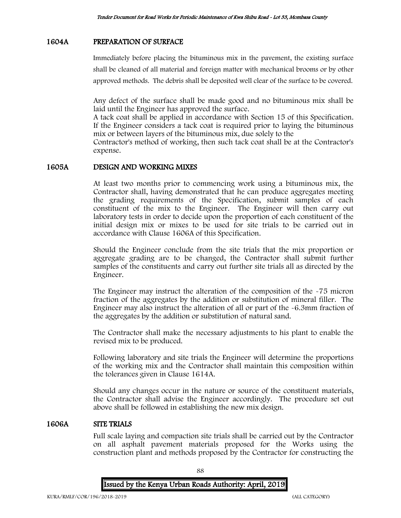## 1604A PREPARATION OF SURFACE

Immediately before placing the bituminous mix in the pavement, the existing surface shall be cleaned of all material and foreign matter with mechanical brooms or by other approved methods. The debris shall be deposited well clear of the surface to be covered.

Any defect of the surface shall be made good and no bituminous mix shall be laid until the Engineer has approved the surface.

A tack coat shall be applied in accordance with Section 15 of this Specification. If the Engineer considers a tack coat is required prior to laying the bituminous mix or between layers of the bituminous mix, due solely to the

Contractor's method of working, then such tack coat shall be at the Contractor's expense.

#### 1605A DESIGN AND WORKING MIXES

At least two months prior to commencing work using a bituminous mix, the Contractor shall, having demonstrated that he can produce aggregates meeting the grading requirements of the Specification, submit samples of each constituent of the mix to the Engineer. The Engineer will then carry out laboratory tests in order to decide upon the proportion of each constituent of the initial design mix or mixes to be used for site trials to be carried out in accordance with Clause 1606A of this Specification.

Should the Engineer conclude from the site trials that the mix proportion or aggregate grading are to be changed, the Contractor shall submit further samples of the constituents and carry out further site trials all as directed by the Engineer.

The Engineer may instruct the alteration of the composition of the -75 micron fraction of the aggregates by the addition or substitution of mineral filler. The Engineer may also instruct the alteration of all or part of the -6.3mm fraction of the aggregates by the addition or substitution of natural sand.

The Contractor shall make the necessary adjustments to his plant to enable the revised mix to be produced.

Following laboratory and site trials the Engineer will determine the proportions of the working mix and the Contractor shall maintain this composition within the tolerances given in Clause 1614A.

Should any changes occur in the nature or source of the constituent materials, the Contractor shall advise the Engineer accordingly. The procedure set out above shall be followed in establishing the new mix design.

#### 1606A SITE TRIALS

Full scale laying and compaction site trials shall be carried out by the Contractor on all asphalt pavement materials proposed for the Works using the construction plant and methods proposed by the Contractor for constructing the

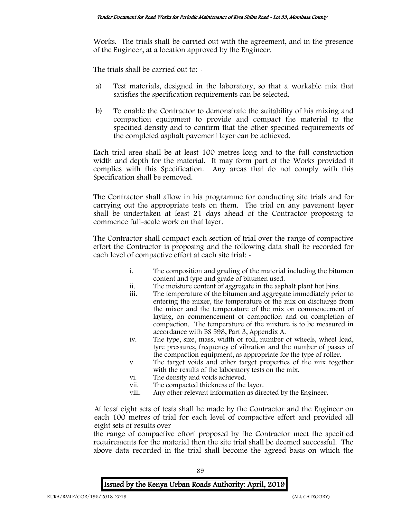Works. The trials shall be carried out with the agreement, and in the presence of the Engineer, at a location approved by the Engineer.

The trials shall be carried out to: -

- a) Test materials, designed in the laboratory, so that a workable mix that satisfies the specification requirements can be selected.
- b) To enable the Contractor to demonstrate the suitability of his mixing and compaction equipment to provide and compact the material to the specified density and to confirm that the other specified requirements of the completed asphalt pavement layer can be achieved.

Each trial area shall be at least 100 metres long and to the full construction width and depth for the material. It may form part of the Works provided it complies with this Specification. Any areas that do not comply with this Specification shall be removed.

The Contractor shall allow in his programme for conducting site trials and for carrying out the appropriate tests on them. The trial on any pavement layer shall be undertaken at least 21 days ahead of the Contractor proposing to commence full-scale work on that layer.

The Contractor shall compact each section of trial over the range of compactive effort the Contractor is proposing and the following data shall be recorded for each level of compactive effort at each site trial:  $\sim$ 

- i. The composition and grading of the material including the bitumen content and type and grade of bitumen used.
- ii. The moisture content of aggregate in the asphalt plant hot bins.
- iii. The temperature of the bitumen and aggregate immediately prior to entering the mixer, the temperature of the mix on discharge from the mixer and the temperature of the mix on commencement of laying, on commencement of compaction and on completion of compaction. The temperature of the mixture is to be measured in accordance with BS 598, Part 3, Appendix A.
- iv. The type, size, mass, width of roll, number of wheels, wheel load, tyre pressures, frequency of vibration and the number of passes of the compaction equipment, as appropriate for the type of roller.
- v. The target voids and other target properties of the mix together with the results of the laboratory tests on the mix.
- vi. The density and voids achieved.
- vii. The compacted thickness of the layer.<br>viii. Any other relevant information as dire
- Any other relevant information as directed by the Engineer.

At least eight sets of tests shall be made by the Contractor and the Engineer on each 100 metres of trial for each level of compactive effort and provided all eight sets of results over

the range of compactive effort proposed by the Contractor meet the specified requirements for the material then the site trial shall be deemed successful. The above data recorded in the trial shall become the agreed basis on which the



89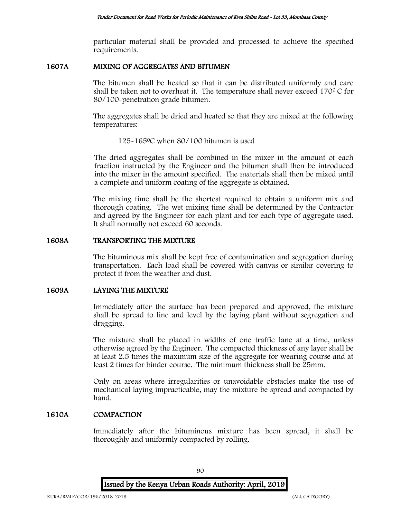particular material shall be provided and processed to achieve the specified requirements.

## 1607A MIXING OF AGGREGATES AND BITUMEN

The bitumen shall be heated so that it can be distributed uniformly and care shall be taken not to overheat it. The temperature shall never exceed  $170^{\circ}$ C for 80/100-penetration grade bitumen.

The aggregates shall be dried and heated so that they are mixed at the following temperatures: -

#### 125-165<sup>0</sup>C when 80/100 bitumen is used

The dried aggregates shall be combined in the mixer in the amount of each fraction instructed by the Engineer and the bitumen shall then be introduced into the mixer in the amount specified. The materials shall then be mixed until a complete and uniform coating of the aggregate is obtained.

The mixing time shall be the shortest required to obtain a uniform mix and thorough coating. The wet mixing time shall be determined by the Contractor and agreed by the Engineer for each plant and for each type of aggregate used. It shall normally not exceed 60 seconds.

#### 1608A TRANSPORTING THE MIXTURE

The bituminous mix shall be kept free of contamination and segregation during transportation. Each load shall be covered with canvas or similar covering to protect it from the weather and dust.

#### 1609A LAYING THE MIXTURE

Immediately after the surface has been prepared and approved, the mixture shall be spread to line and level by the laying plant without segregation and dragging.

The mixture shall be placed in widths of one traffic lane at a time, unless otherwise agreed by the Engineer. The compacted thickness of any layer shall be at least 2.5 times the maximum size of the aggregate for wearing course and at least 2 times for binder course. The minimum thickness shall be 25mm.

Only on areas where irregularities or unavoidable obstacles make the use of mechanical laying impracticable, may the mixture be spread and compacted by hand.

## 1610A COMPACTION

Immediately after the bituminous mixture has been spread, it shall be thoroughly and uniformly compacted by rolling.

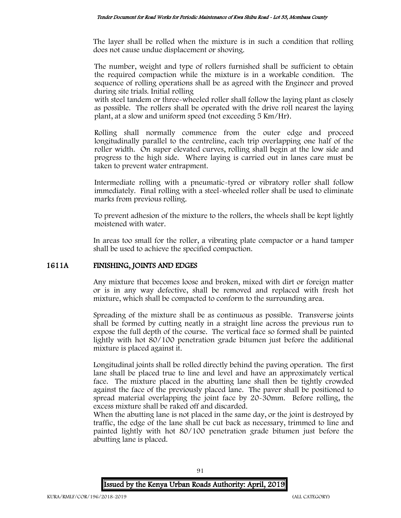The layer shall be rolled when the mixture is in such a condition that rolling does not cause undue displacement or shoving.

The number, weight and type of rollers furnished shall be sufficient to obtain the required compaction while the mixture is in a workable condition. The sequence of rolling operations shall be as agreed with the Engineer and proved during site trials. Initial rolling

with steel tandem or three-wheeled roller shall follow the laying plant as closely as possible. The rollers shall be operated with the drive roll nearest the laying plant, at a slow and uniform speed (not exceeding 5 Km/Hr).

Rolling shall normally commence from the outer edge and proceed longitudinally parallel to the centreline, each trip overlapping one half of the roller width. On super elevated curves, rolling shall begin at the low side and progress to the high side. Where laying is carried out in lanes care must be taken to prevent water entrapment.

Intermediate rolling with a pneumatic-tyred or vibratory roller shall follow immediately. Final rolling with a steel-wheeled roller shall be used to eliminate marks from previous rolling.

To prevent adhesion of the mixture to the rollers, the wheels shall be kept lightly moistened with water.

In areas too small for the roller, a vibrating plate compactor or a hand tamper shall be used to achieve the specified compaction.

# 1611A FINISHING, JOINTS AND EDGES

Any mixture that becomes loose and broken, mixed with dirt or foreign matter or is in any way defective, shall be removed and replaced with fresh hot mixture, which shall be compacted to conform to the surrounding area.

Spreading of the mixture shall be as continuous as possible. Transverse joints shall be formed by cutting neatly in a straight line across the previous run to expose the full depth of the course. The vertical face so formed shall be painted lightly with hot 80/100 penetration grade bitumen just before the additional mixture is placed against it.

Longitudinal joints shall be rolled directly behind the paving operation. The first lane shall be placed true to line and level and have an approximately vertical face. The mixture placed in the abutting lane shall then be tightly crowded against the face of the previously placed lane. The paver shall be positioned to spread material overlapping the joint face by 20-30mm. Before rolling, the excess mixture shall be raked off and discarded.

When the abutting lane is not placed in the same day, or the joint is destroyed by traffic, the edge of the lane shall be cut back as necessary, trimmed to line and painted lightly with hot 80/100 penetration grade bitumen just before the abutting lane is placed.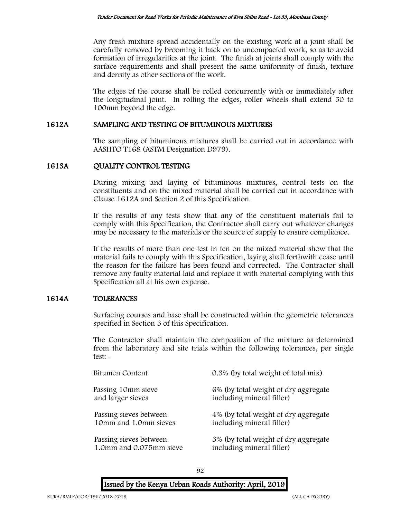Any fresh mixture spread accidentally on the existing work at a joint shall be carefully removed by brooming it back on to uncompacted work, so as to avoid formation of irregularities at the joint. The finish at joints shall comply with the surface requirements and shall present the same uniformity of finish, texture and density as other sections of the work.

The edges of the course shall be rolled concurrently with or immediately after the longitudinal joint. In rolling the edges, roller wheels shall extend 50 to 100mm beyond the edge.

## 1612A SAMPLING AND TESTING OF BITUMINOUS MIXTURES

The sampling of bituminous mixtures shall be carried out in accordance with AASHTO T168 (ASTM Designation D979).

## 1613A QUALITY CONTROL TESTING

During mixing and laying of bituminous mixtures, control tests on the constituents and on the mixed material shall be carried out in accordance with Clause 1612A and Section 2 of this Specification.

If the results of any tests show that any of the constituent materials fail to comply with this Specification, the Contractor shall carry out whatever changes may be necessary to the materials or the source of supply to ensure compliance.

If the results of more than one test in ten on the mixed material show that the material fails to comply with this Specification, laying shall forthwith cease until the reason for the failure has been found and corrected. The Contractor shall remove any faulty material laid and replace it with material complying with this Specification all at his own expense.

# 1614A TOLERANCES

Surfacing courses and base shall be constructed within the geometric tolerances specified in Section 3 of this Specification.

The Contractor shall maintain the composition of the mixture as determined from the laboratory and site trials within the following tolerances, per single test: -

| Bitumen Content         | 0.3% (by total weight of total mix)  |
|-------------------------|--------------------------------------|
| Passing 10mm sieve      | 6% (by total weight of dry aggregate |
| and larger sieves       | including mineral filler)            |
| Passing sieves between  | 4% (by total weight of dry aggregate |
| 10mm and 1.0mm sieves   | including mineral filler)            |
| Passing sieves between  | 3% (by total weight of dry aggregate |
| 1.0mm and 0.075mm sieve | including mineral filler)            |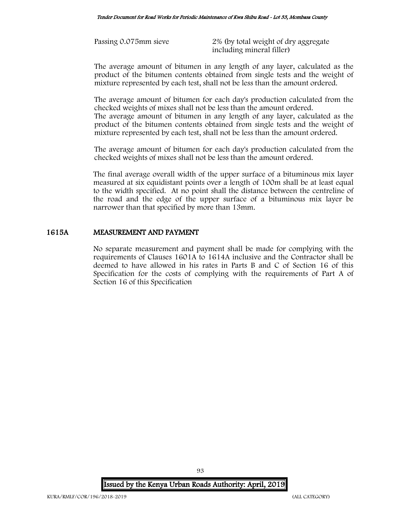Passing 0.075mm sieve 2% (by total weight of dry aggregate including mineral filler)

The average amount of bitumen in any length of any layer, calculated as the product of the bitumen contents obtained from single tests and the weight of mixture represented by each test, shall not be less than the amount ordered.

The average amount of bitumen for each day's production calculated from the checked weights of mixes shall not be less than the amount ordered.

The average amount of bitumen in any length of any layer, calculated as the product of the bitumen contents obtained from single tests and the weight of mixture represented by each test, shall not be less than the amount ordered.

The average amount of bitumen for each day's production calculated from the checked weights of mixes shall not be less than the amount ordered.

The final average overall width of the upper surface of a bituminous mix layer measured at six equidistant points over a length of 100m shall be at least equal to the width specified. At no point shall the distance between the centreline of the road and the edge of the upper surface of a bituminous mix layer be narrower than that specified by more than 13mm.

# 1615A MEASUREMENT AND PAYMENT

No separate measurement and payment shall be made for complying with the requirements of Clauses 1601A to 1614A inclusive and the Contractor shall be deemed to have allowed in his rates in Parts B and C of Section 16 of this Specification for the costs of complying with the requirements of Part A of Section 16 of this Specification

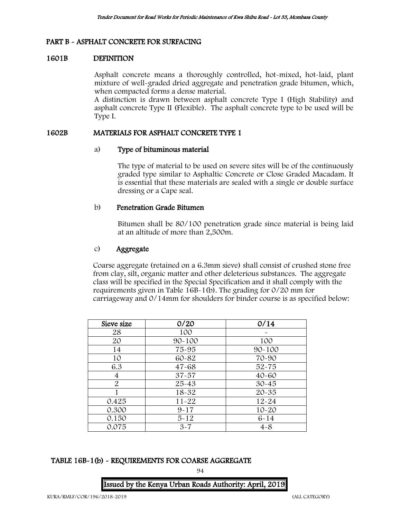# PART B - ASPHALT CONCRETE FOR SURFACING

## 1601B DEFINITION

Asphalt concrete means a thoroughly controlled, hot-mixed, hot-laid, plant mixture of well-graded dried aggregate and penetration grade bitumen, which, when compacted forms a dense material.

A distinction is drawn between asphalt concrete Type I (High Stability) and asphalt concrete Type II (Flexible). The asphalt concrete type to be used will be Type I.

### 1602B MATERIALS FOR ASPHALT CONCRETE TYPE 1

## a) Type of bituminous material

The type of material to be used on severe sites will be of the continuously graded type similar to Asphaltic Concrete or Close Graded Macadam. It is essential that these materials are sealed with a single or double surface dressing or a Cape seal.

## b) Penetration Grade Bitumen

Bitumen shall be 80/100 penetration grade since material is being laid at an altitude of more than 2,500m.

# c) Aggregate

Coarse aggregate (retained on a 6.3mm sieve) shall consist of crushed stone free from clay, silt, organic matter and other deleterious substances. The aggregate class will be specified in the Special Specification and it shall comply with the requirements given in Table 16B-1(b). The grading for 0/20 mm for carriageway and 0/14mm for shoulders for binder course is as specified below:

| Sieve size     | 0/20       | 0/14       |  |  |
|----------------|------------|------------|--|--|
| 28             | 100        |            |  |  |
| 20             | $90 - 100$ | 100        |  |  |
| 14             | 75-95      | $90 - 100$ |  |  |
| 10             | 60-82      | 70-90      |  |  |
| 6.3            | $47 - 68$  | $52 - 75$  |  |  |
| 4              | $37 - 57$  | $40 - 60$  |  |  |
| $\overline{2}$ | $25 - 43$  | $30 - 45$  |  |  |
|                | 18-32      | $20 - 35$  |  |  |
| 0.425          | $11 - 22$  | $12 - 24$  |  |  |
| 0.300          | $9 - 17$   | $10 - 20$  |  |  |
| 0.150          | $5 - 12$   | $6 - 14$   |  |  |
| 0.075          | $3 - 7$    | $4 - 8$    |  |  |

# TABLE 16B-1(b) - REQUIREMENTS FOR COARSE AGGREGATE

94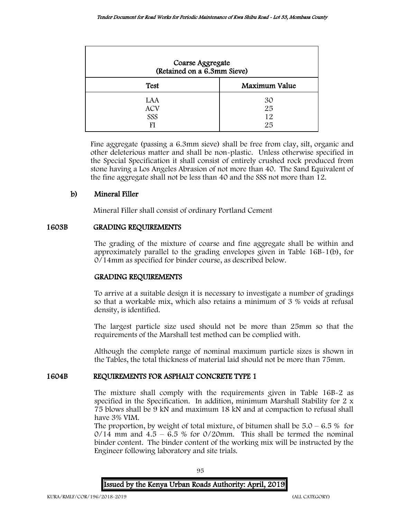| Coarse Aggregate<br>(Retained on a 6.3mm Sieve) |                      |  |  |
|-------------------------------------------------|----------------------|--|--|
| <b>Test</b>                                     | Maximum Value        |  |  |
| LAA<br><b>ACV</b><br>SSS                        | 30<br>25<br>12<br>25 |  |  |

Fine aggregate (passing a 6.3mm sieve) shall be free from clay, silt, organic and other deleterious matter and shall be non-plastic. Unless otherwise specified in the Special Specification it shall consist of entirely crushed rock produced from stone having a Los Angeles Abrasion of not more than 40. The Sand Equivalent of the fine aggregate shall not be less than 40 and the SSS not more than 12.

# b) Mineral Filler

Mineral Filler shall consist of ordinary Portland Cement

## 1603B GRADING REQUIREMENTS

The grading of the mixture of coarse and fine aggregate shall be within and approximately parallel to the grading envelopes given in Table 16B-1(b), for 0/14mm as specified for binder course, as described below.

#### GRADING REQUIREMENTS

To arrive at a suitable design it is necessary to investigate a number of gradings so that a workable mix, which also retains a minimum of 3 % voids at refusal density, is identified.

The largest particle size used should not be more than 25mm so that the requirements of the Marshall test method can be complied with.

Although the complete range of nominal maximum particle sizes is shown in the Tables, the total thickness of material laid should not be more than 75mm.

# 1604B REQUIREMENTS FOR ASPHALT CONCRETE TYPE 1

The mixture shall comply with the requirements given in Table 16B-2 as specified in the Specification. In addition, minimum Marshall Stability for 2 x 75 blows shall be 9 kN and maximum 18 kN and at compaction to refusal shall have 3% VIM.

The proportion, by weight of total mixture, of bitumen shall be  $5.0 - 6.5\%$  for  $0/14$  mm and  $4.5 - 6.5$  % for  $0/20$ mm. This shall be termed the nominal binder content. The binder content of the working mix will be instructed by the Engineer following laboratory and site trials.



95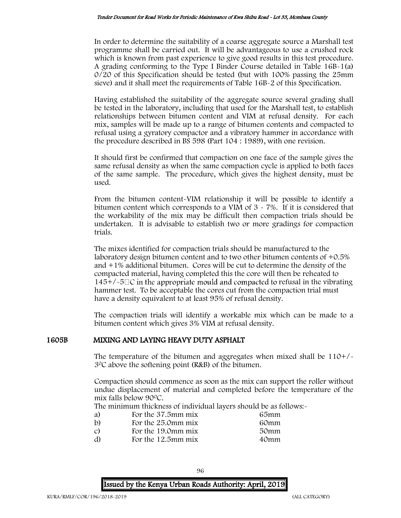In order to determine the suitability of a coarse aggregate source a Marshall test programme shall be carried out. It will be advantageous to use a crushed rock which is known from past experience to give good results in this test procedure. A grading conforming to the Type I Binder Course detailed in Table 16B-1(a) 0/20 of this Specification should be tested (but with 100% passing the 25mm sieve) and it shall meet the requirements of Table 16B-2 of this Specification.

Having established the suitability of the aggregate source several grading shall be tested in the laboratory, including that used for the Marshall test, to establish relationships between bitumen content and VIM at refusal density. For each mix, samples will be made up to a range of bitumen contents and compacted to refusal using a gyratory compactor and a vibratory hammer in accordance with the procedure described in BS 598 (Part 104 : 1989), with one revision.

It should first be confirmed that compaction on one face of the sample gives the same refusal density as when the same compaction cycle is applied to both faces of the same sample. The procedure, which gives the highest density, must be used.

From the bitumen content-VIM relationship it will be possible to identify a bitumen content which corresponds to a VIM of 3 - 7%. If it is considered that the workability of the mix may be difficult then compaction trials should be undertaken. It is advisable to establish two or more gradings for compaction trials.

The mixes identified for compaction trials should be manufactured to the laboratory design bitumen content and to two other bitumen contents of +0.5% and +1% additional bitumen. Cores will be cut to determine the density of the compacted material, having completed this the core will then be reheated to  $145+/-5\degree$  in the appropriate mould and compacted to refusal in the vibrating hammer test. To be acceptable the cores cut from the compaction trial must have a density equivalent to at least 95% of refusal density.

The compaction trials will identify a workable mix which can be made to a bitumen content which gives 3% VIM at refusal density.

#### 1605B MIXING AND LAYING HEAVY DUTY ASPHALT

The temperature of the bitumen and aggregates when mixed shall be  $110+/$ 3<sup>0</sup>C above the softening point (R&B) of the bitumen.

Compaction should commence as soon as the mix can support the roller without undue displacement of material and completed before the temperature of the mix falls below 90<sup>0</sup>C.

The minimum thickness of individual layers should be as follows:-

| 65mm |
|------|
| 60mm |
| 50mm |
| 40mm |
|      |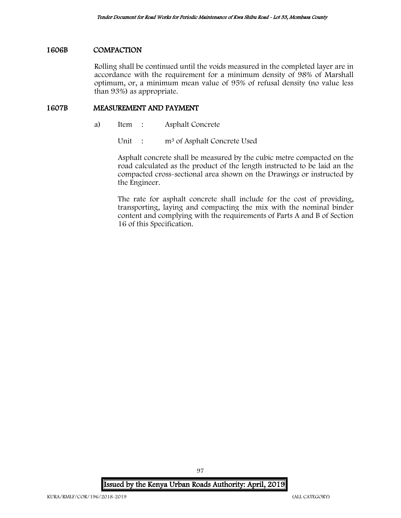#### 1606B COMPACTION

Rolling shall be continued until the voids measured in the completed layer are in accordance with the requirement for a minimum density of 98% of Marshall optimum, or, a minimum mean value of 95% of refusal density (no value less than 93%) as appropriate.

## 1607B MEASUREMENT AND PAYMENT

- a) Item : Asphalt Concrete
	- Unit : m<sup>3</sup> of Asphalt Concrete Used

Asphalt concrete shall be measured by the cubic metre compacted on the road calculated as the product of the length instructed to be laid an the compacted cross-sectional area shown on the Drawings or instructed by the Engineer.

The rate for asphalt concrete shall include for the cost of providing, transporting, laying and compacting the mix with the nominal binder content and complying with the requirements of Parts A and B of Section 16 of this Specification.

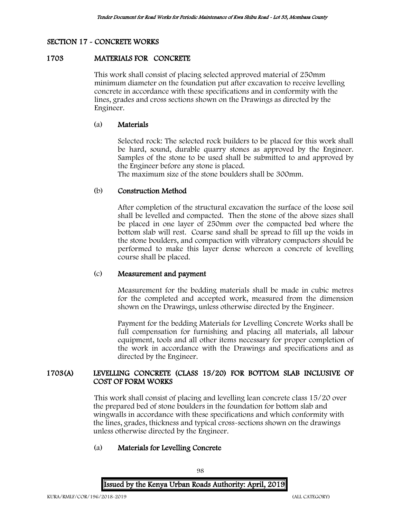## SECTION 17 - CONCRETE WORKS

#### 1703 MATERIALS FOR CONCRETE

This work shall consist of placing selected approved material of 250mm minimum diameter on the foundation put after excavation to receive levelling concrete in accordance with these specifications and in conformity with the lines, grades and cross sections shown on the Drawings as directed by the Engineer.

#### (a) Materials

Selected rock: The selected rock builders to be placed for this work shall be hard, sound, durable quarry stones as approved by the Engineer. Samples of the stone to be used shall be submitted to and approved by the Engineer before any stone is placed.

The maximum size of the stone boulders shall be 300mm.

#### (b) Construction Method

After completion of the structural excavation the surface of the loose soil shall be levelled and compacted. Then the stone of the above sizes shall be placed in one layer of 250mm over the compacted bed where the bottom slab will rest. Coarse sand shall be spread to fill up the voids in the stone boulders, and compaction with vibratory compactors should be performed to make this layer dense whereon a concrete of levelling course shall be placed.

#### (c) Measurement and payment

Measurement for the bedding materials shall be made in cubic metres for the completed and accepted work, measured from the dimension shown on the Drawings, unless otherwise directed by the Engineer.

Payment for the bedding Materials for Levelling Concrete Works shall be full compensation for furnishing and placing all materials, all labour equipment, tools and all other items necessary for proper completion of the work in accordance with the Drawings and specifications and as directed by the Engineer.

## 1703(A) LEVELLING CONCRETE (CLASS 15/20) FOR BOTTOM SLAB INCLUSIVE OF COST OF FORM WORKS

This work shall consist of placing and levelling lean concrete class 15/20 over the prepared bed of stone boulders in the foundation for bottom slab and wingwalls in accordance with these specifications and which conformity with the lines, grades, thickness and typical cross-sections shown on the drawings unless otherwise directed by the Engineer.

## (a) Materials for Levelling Concrete

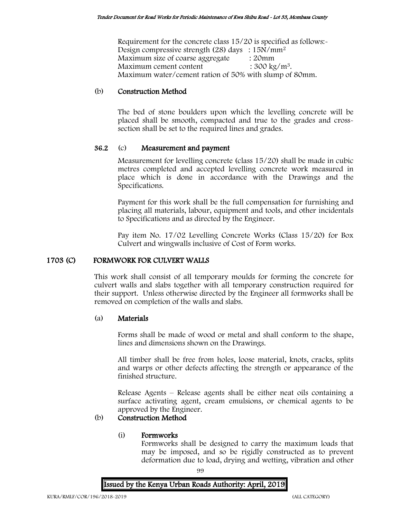Requirement for the concrete class 15/20 is specified as follows:- Design compressive strength (28) days : 15N/mm<sup>2</sup> Maximum size of coarse aggregate : 20mm Maximum cement content  $: 300 \text{ kg/m}^3$ . Maximum water/cement ration of 50% with slump of 80mm.

# (b) Construction Method

The bed of stone boulders upon which the levelling concrete will be placed shall be smooth, compacted and true to the grades and crosssection shall be set to the required lines and grades.

# 36.2 (c) Measurement and payment

Measurement for levelling concrete (class 15/20) shall be made in cubic metres completed and accepted levelling concrete work measured in place which is done in accordance with the Drawings and the Specifications.

Payment for this work shall be the full compensation for furnishing and placing all materials, labour, equipment and tools, and other incidentals to Specifications and as directed by the Engineer.

Pay item No. 17/02 Levelling Concrete Works (Class 15/20) for Box Culvert and wingwalls inclusive of Cost of Form works.

# 1703 (C) FORMWORK FOR CULVERT WALLS

This work shall consist of all temporary moulds for forming the concrete for culvert walls and slabs together with all temporary construction required for their support. Unless otherwise directed by the Engineer all formworks shall be removed on completion of the walls and slabs.

# (a) Materials

Forms shall be made of wood or metal and shall conform to the shape, lines and dimensions shown on the Drawings.

All timber shall be free from holes, loose material, knots, cracks, splits and warps or other defects affecting the strength or appearance of the finished structure.

Release Agents – Release agents shall be either neat oils containing a surface activating agent, cream emulsions, or chemical agents to be approved by the Engineer.

# (b) Construction Method

# (i) Formworks

Formworks shall be designed to carry the maximum loads that may be imposed, and so be rigidly constructed as to prevent deformation due to load, drying and wetting, vibration and other

99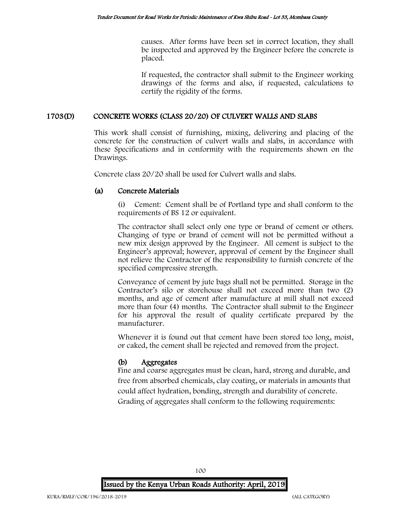causes. After forms have been set in correct location, they shall be inspected and approved by the Engineer before the concrete is placed.

If requested, the contractor shall submit to the Engineer working drawings of the forms and also, if requested, calculations to certify the rigidity of the forms.

## 1703(D) CONCRETE WORKS (CLASS 20/20) OF CULVERT WALLS AND SLABS

This work shall consist of furnishing, mixing, delivering and placing of the concrete for the construction of culvert walls and slabs, in accordance with these Specifications and in conformity with the requirements shown on the Drawings.

Concrete class 20/20 shall be used for Culvert walls and slabs.

## (a) Concrete Materials

(i) Cement: Cement shall be of Portland type and shall conform to the requirements of BS 12 or equivalent.

The contractor shall select only one type or brand of cement or others. Changing of type or brand of cement will not be permitted without a new mix design approved by the Engineer. All cement is subject to the Engineer's approval; however, approval of cement by the Engineer shall not relieve the Contractor of the responsibility to furnish concrete of the specified compressive strength.

Conveyance of cement by jute bags shall not be permitted. Storage in the Contractor's silo or storehouse shall not exceed more than two (2) months, and age of cement after manufacture at mill shall not exceed more than four (4) months. The Contractor shall submit to the Engineer for his approval the result of quality certificate prepared by the manufacturer.

Whenever it is found out that cement have been stored too long, moist, or caked, the cement shall be rejected and removed from the project.

# (b) Aggregates

Fine and coarse aggregates must be clean, hard, strong and durable, and free from absorbed chemicals, clay coating, or materials in amounts that could affect hydration, bonding, strength and durability of concrete. Grading of aggregates shall conform to the following requirements:



100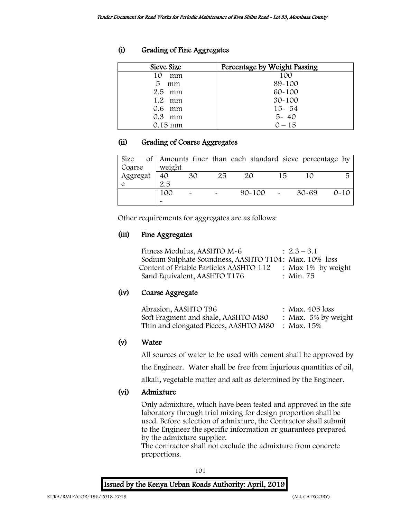# (i) Grading of Fine Aggregates

| Sieve Size     | Percentage by Weight Passing |
|----------------|------------------------------|
| 10<br>mm       | 100                          |
| 5<br>mm        | 89-100                       |
| $2.5$ mm       | $60 - 100$                   |
| $1.2 \cdot mm$ | $30 - 100$                   |
| 0.6 mm         | $15 - 54$                    |
| $0.3$ mm       | $5 - 40$                     |
| $0.15$ mm      | $0 - 15$                     |

# (ii) Grading of Coarse Aggregates

| Size     |        |    |    | of Amounts finer than each standard sieve percentage by |    |           |          |
|----------|--------|----|----|---------------------------------------------------------|----|-----------|----------|
| Coarse   | weight |    |    |                                                         |    |           |          |
| Aggregat | 40     | 30 | 25 | 20                                                      | 15 | 10        | 局        |
|          | 2.5    |    |    |                                                         |    |           |          |
|          | 100    |    |    | $90 - 100$                                              |    | $30 - 69$ | $O - 10$ |
|          |        |    |    |                                                         |    |           |          |

Other requirements for aggregates are as follows:

# (iii) Fine Aggregates

| Fitness Modulus, AASHTO M-6                           | $: 2.3 - 3.1$      |
|-------------------------------------------------------|--------------------|
| Sodium Sulphate Soundness, AASHTO T104: Max. 10% loss |                    |
| Content of Friable Particles AASHTO 112               | : Max 1% by weight |
| Sand Equivalent, AASHTO T176                          | : Min. 75          |

# (iv) Coarse Aggregate

| Abrasion, AASHTO T96                  | : Max. $405$ loss   |
|---------------------------------------|---------------------|
| Soft Fragment and shale, AASHTO M80   | : Max. 5% by weight |
| Thin and elongated Pieces, AASHTO M80 | : Max. 15%          |

# (v) Water

All sources of water to be used with cement shall be approved by

the Engineer. Water shall be free from injurious quantities of oil,

alkali, vegetable matter and salt as determined by the Engineer.

# (vi) Admixture

Only admixture, which have been tested and approved in the site laboratory through trial mixing for design proportion shall be used. Before selection of admixture, the Contractor shall submit to the Engineer the specific information or guarantees prepared by the admixture supplier.

The contractor shall not exclude the admixture from concrete proportions.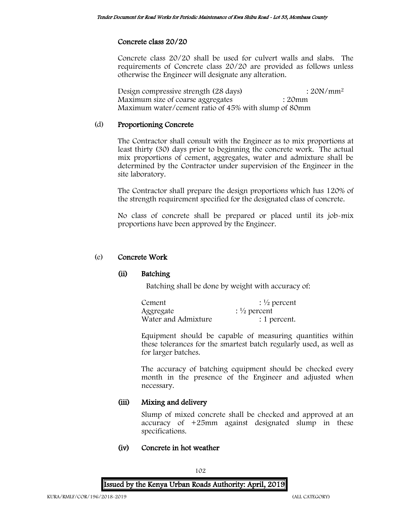# Concrete class 20/20

Concrete class 20/20 shall be used for culvert walls and slabs. The requirements of Concrete class 20/20 are provided as follows unless otherwise the Engineer will designate any alteration.

Design compressive strength (28 days) : 20N/mm<sup>2</sup> Maximum size of coarse aggregates : 20mm Maximum water/cement ratio of 45% with slump of 80mm

# (d) Proportioning Concrete

The Contractor shall consult with the Engineer as to mix proportions at least thirty (30) days prior to beginning the concrete work. The actual mix proportions of cement, aggregates, water and admixture shall be determined by the Contractor under supervision of the Engineer in the site laboratory.

The Contractor shall prepare the design proportions which has 120% of the strength requirement specified for the designated class of concrete.

No class of concrete shall be prepared or placed until its job-mix proportions have been approved by the Engineer.

## (e) Concrete Work

# (ii) Batching

Batching shall be done by weight with accuracy of:

| Cement              | $\frac{1}{2}$ percent   |
|---------------------|-------------------------|
| Aggregate           | : $\frac{1}{2}$ percent |
| Water and Admixture | : 1 percent.            |

Equipment should be capable of measuring quantities within these tolerances for the smartest batch regularly used, as well as for larger batches.

The accuracy of batching equipment should be checked every month in the presence of the Engineer and adjusted when necessary.

# (iii) Mixing and delivery

Slump of mixed concrete shall be checked and approved at an accuracy of +25mm against designated slump in these specifications.

# (iv) Concrete in hot weather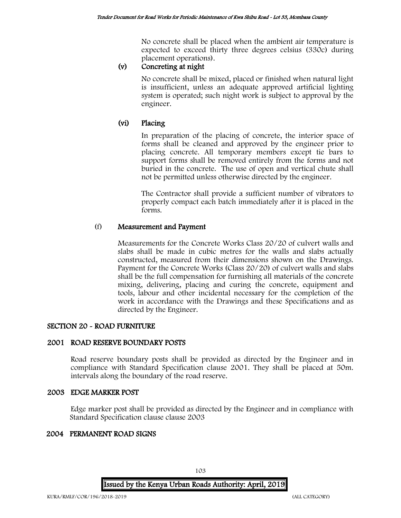No concrete shall be placed when the ambient air temperature is expected to exceed thirty three degrees celsius (330c) during placement operations).

# (v) Concreting at night

No concrete shall be mixed, placed or finished when natural light is insufficient, unless an adequate approved artificial lighting system is operated; such night work is subject to approval by the engineer.

# (vi) Placing

In preparation of the placing of concrete, the interior space of forms shall be cleaned and approved by the engineer prior to placing concrete. All temporary members except tie bars to support forms shall be removed entirely from the forms and not buried in the concrete. The use of open and vertical chute shall not be permitted unless otherwise directed by the engineer.

The Contractor shall provide a sufficient number of vibrators to properly compact each batch immediately after it is placed in the forms.

# (f) Measurement and Payment

Measurements for the Concrete Works Class 20/20 of culvert walls and slabs shall be made in cubic metres for the walls and slabs actually constructed, measured from their dimensions shown on the Drawings. Payment for the Concrete Works (Class 20/20) of culvert walls and slabs shall be the full compensation for furnishing all materials of the concrete mixing, delivering, placing and curing the concrete, equipment and tools, labour and other incidental necessary for the completion of the work in accordance with the Drawings and these Specifications and as directed by the Engineer.

# SECTION 20 - ROAD FURNITURE

# 2001 ROAD RESERVE BOUNDARY POSTS

Road reserve boundary posts shall be provided as directed by the Engineer and in compliance with Standard Specification clause 2001. They shall be placed at 50m. intervals along the boundary of the road reserve.

#### 2003 EDGE MARKER POST

Edge marker post shall be provided as directed by the Engineer and in compliance with Standard Specification clause clause 2003

#### 2004 PERMANENT ROAD SIGNS

Issued by the Kenya Urban Roads Authority: April, 2019

103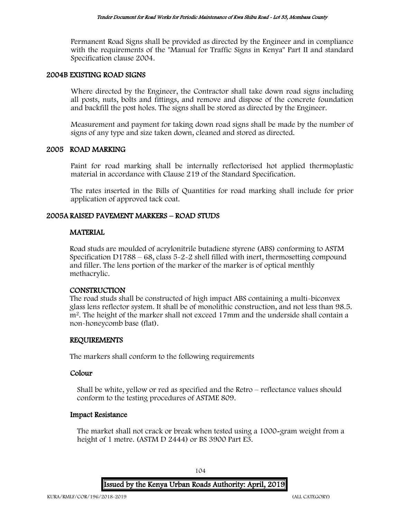Permanent Road Signs shall be provided as directed by the Engineer and in compliance with the requirements of the "Manual for Traffic Signs in Kenya" Part II and standard Specification clause 2004.

#### 2004B EXISTING ROAD SIGNS

Where directed by the Engineer, the Contractor shall take down road signs including all posts, nuts, bolts and fittings, and remove and dispose of the concrete foundation and backfill the post holes. The signs shall be stored as directed by the Engineer.

Measurement and payment for taking down road signs shall be made by the number of signs of any type and size taken down, cleaned and stored as directed.

#### 2005 ROAD MARKING

Paint for road marking shall be internally reflectorised hot applied thermoplastic material in accordance with Clause 219 of the Standard Specification.

The rates inserted in the Bills of Quantities for road marking shall include for prior application of approved tack coat.

## 2005A RAISED PAVEMENT MARKERS – ROAD STUDS

## **MATERIAL**

Road studs are moulded of acrylonitrile butadiene styrene (ABS) conforming to ASTM Specification D1788 – 68, class  $5-2-2$  shell filled with inert, thermosetting compound and filler. The lens portion of the marker of the marker is of optical menthly methacrylic.

#### CONSTRUCTION

The road studs shall be constructed of high impact ABS containing a multi-biconvex glass lens reflector system. It shall be of monolithic construction, and not less than 98.5. m<sup>2</sup>. The height of the marker shall not exceed 17mm and the underside shall contain a non-honeycomb base (flat).

#### REQUIREMENTS

The markers shall conform to the following requirements

#### Colour

Shall be white, yellow or red as specified and the Retro – reflectance values should conform to the testing procedures of ASTME 809.

#### Impact Resistance

The market shall not crack or break when tested using a 1000-gram weight from a height of 1 metre. (ASTM D 2444) or BS 3900 Part E3.

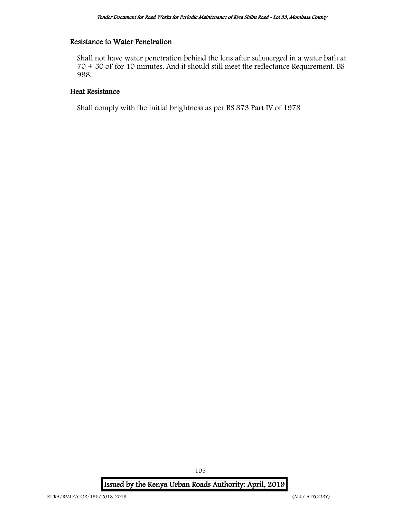## Resistance to Water Penetration

Shall not have water penetration behind the lens after submerged in a water bath at 70 + 50 oF for 10 minutes. And it should still meet the reflectance Requirement. BS 998.

## Heat Resistance

Shall comply with the initial brightness as per BS 873 Part IV of 1978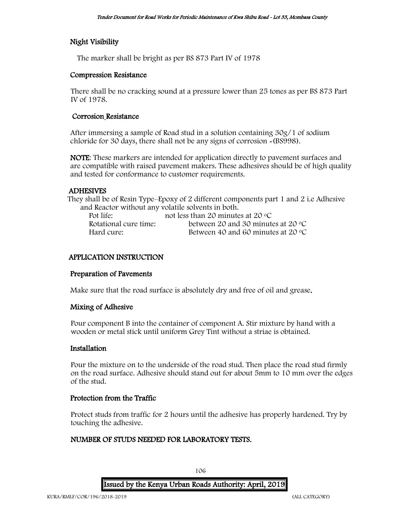# Night Visibility

The marker shall be bright as per BS 873 Part IV of 1978

## Compression Resistance

There shall be no cracking sound at a pressure lower than 25 tones as per BS 873 Part IV of 1978.

# Corrosion Resistance

After immersing a sample of Road stud in a solution containing 30g/1 of sodium chloride for 30 days, there shall not be any signs of corrosion -(BS998).

NOTE: These markers are intended for application directly to pavement surfaces and are compatible with raised pavement makers. These adhesives should be of high quality and tested for conformance to customer requirements.

# ADHESIVES

They shall be of Resin Type–Epoxy of 2 different components part 1 and 2 i.e Adhesive and Reactor without any volatile solvents in both.

| Pot life:             | not less than 20 minutes at 20 $\rm{^{\circ}C}$ |
|-----------------------|-------------------------------------------------|
| Rotational cure time: | between 20 and 30 minutes at 20 $\degree$ C     |
| Hard cure:            | Between 40 and 60 minutes at 20 $\degree$ C     |

# APPLICATION INSTRUCTION

# Preparation of Pavements

Make sure that the road surface is absolutely dry and free of oil and grease.

# Mixing of Adhesive

Pour component B into the container of component A. Stir mixture by hand with a wooden or metal stick until uniform Grey Tint without a striae is obtained.

#### Installation

Pour the mixture on to the underside of the road stud. Then place the road stud firmly on the road surface. Adhesive should stand out for about 5mm to 10 mm over the edges of the stud.

# Protection from the Traffic

Protect studs from traffic for 2 hours until the adhesive has properly hardened. Try by touching the adhesive.

# NUMBER OF STUDS NEEDED FOR LABORATORY TESTS.

Issued by the Kenya Urban Roads Authority: April, 2019

106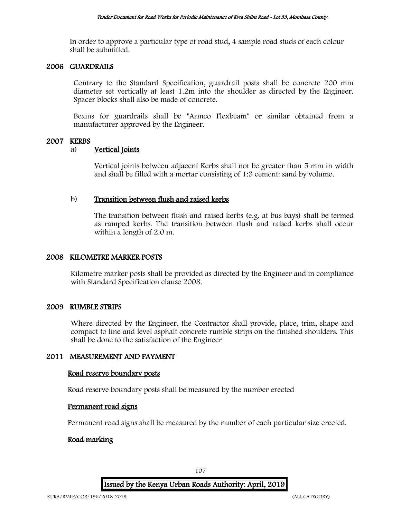In order to approve a particular type of road stud, 4 sample road studs of each colour shall be submitted.

## 2006 GUARDRAILS

Contrary to the Standard Specification, guardrail posts shall be concrete 200 mm diameter set vertically at least 1.2m into the shoulder as directed by the Engineer. Spacer blocks shall also be made of concrete.

Beams for guardrails shall be "Armco Flexbeam" or similar obtained from a manufacturer approved by the Engineer.

## 2007 KERBS

## a) Vertical Joints

Vertical joints between adjacent Kerbs shall not be greater than 5 mm in width and shall be filled with a mortar consisting of 1:3 cement: sand by volume.

## b) Transition between flush and raised kerbs

The transition between flush and raised kerbs (e.g. at bus bays) shall be termed as ramped kerbs. The transition between flush and raised kerbs shall occur within a length of 2.0 m.

## 2008 KILOMETRE MARKER POSTS

Kilometre marker posts shall be provided as directed by the Engineer and in compliance with Standard Specification clause 2008.

### 2009 RUMBLE STRIPS

Where directed by the Engineer, the Contractor shall provide, place, trim, shape and compact to line and level asphalt concrete rumble strips on the finished shoulders. This shall be done to the satisfaction of the Engineer

# 2011 MEASUREMENT AND PAYMENT

#### Road reserve boundary posts

Road reserve boundary posts shall be measured by the number erected

#### Permanent road signs

Permanent road signs shall be measured by the number of each particular size erected.

#### Road marking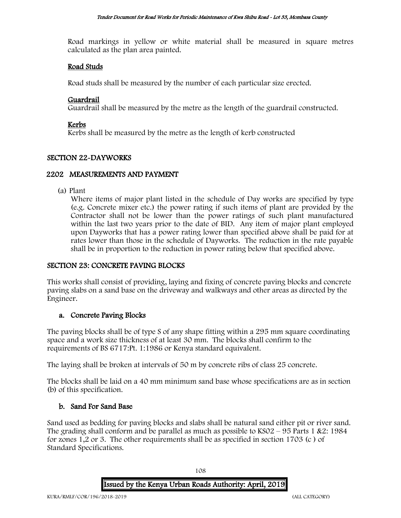Road markings in yellow or white material shall be measured in square metres calculated as the plan area painted.

#### Road Studs

Road studs shall be measured by the number of each particular size erected.

#### Guardrail

Guardrail shall be measured by the metre as the length of the guardrail constructed.

#### Kerbs

Kerbs shall be measured by the metre as the length of kerb constructed

#### SECTION 22-DAYWORKS

#### 2202 MEASUREMENTS AND PAYMENT

(a) Plant

Where items of major plant listed in the schedule of Day works are specified by type (e.g. Concrete mixer etc.) the power rating if such items of plant are provided by the Contractor shall not be lower than the power ratings of such plant manufactured within the last two years prior to the date of BID. Any item of major plant employed upon Dayworks that has a power rating lower than specified above shall be paid for at rates lower than those in the schedule of Dayworks. The reduction in the rate payable shall be in proportion to the reduction in power rating below that specified above.

#### SECTION 23: CONCRETE PAVING BLOCKS

This works shall consist of providing, laying and fixing of concrete paving blocks and concrete paving slabs on a sand base on the driveway and walkways and other areas as directed by the Engineer.

#### a. Concrete Paving Blocks

The paving blocks shall be of type S of any shape fitting within a 295 mm square coordinating space and a work size thickness of at least 30 mm. The blocks shall confirm to the requirements of BS 6717:Pt. 1:1986 or Kenya standard equivalent.

The laying shall be broken at intervals of 50 m by concrete ribs of class 25 concrete.

The blocks shall be laid on a 40 mm minimum sand base whose specifications are as in section (b) of this specification.

#### b. Sand For Sand Base

Sand used as bedding for paving blocks and slabs shall be natural sand either pit or river sand. The grading shall conform and be parallel as much as possible to  $KSO2 - 95$  Parts 1 &2: 1984 for zones 1,2 or 3. The other requirements shall be as specified in section 1703 (c ) of Standard Specifications.

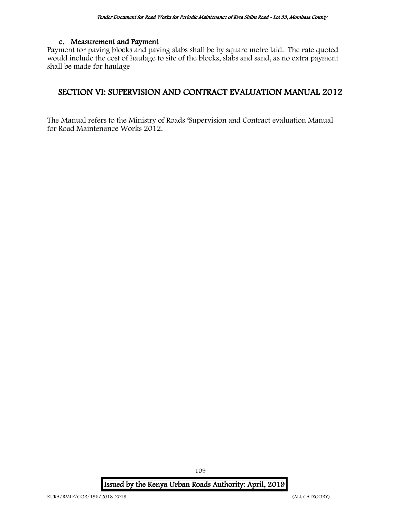#### c. Measurement and Payment

Payment for paving blocks and paving slabs shall be by square metre laid. The rate quoted would include the cost of haulage to site of the blocks, slabs and sand, as no extra payment shall be made for haulage

## SECTION VI: SUPERVISION AND CONTRACT EVALUATION MANUAL 2012

The Manual refers to the Ministry of Roads 'Supervision and Contract evaluation Manual for Road Maintenance Works 2012.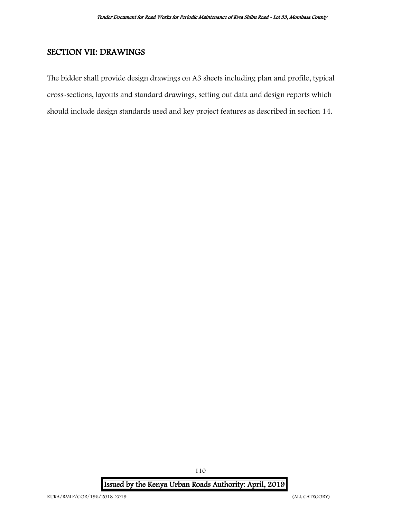# SECTION VII: DRAWINGS

The bidder shall provide design drawings on A3 sheets including plan and profile, typical cross-sections, layouts and standard drawings, setting out data and design reports which should include design standards used and key project features as described in section 14.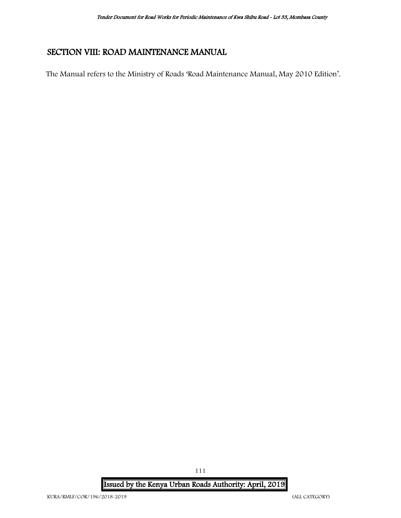# SECTION VIII: ROAD MAINTENANCE MANUAL

The Manual refers to the Ministry of Roads 'Road Maintenance Manual, May 2010 Edition'.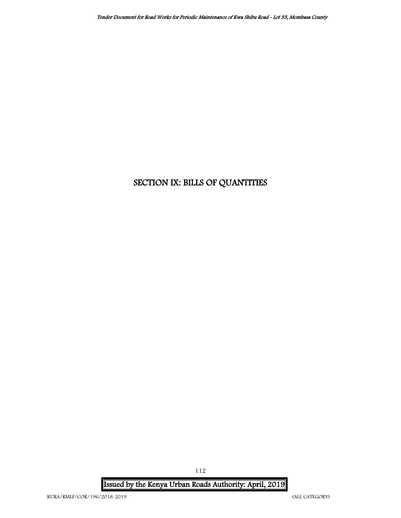# SECTION IX: BILLS OF QUANTITIES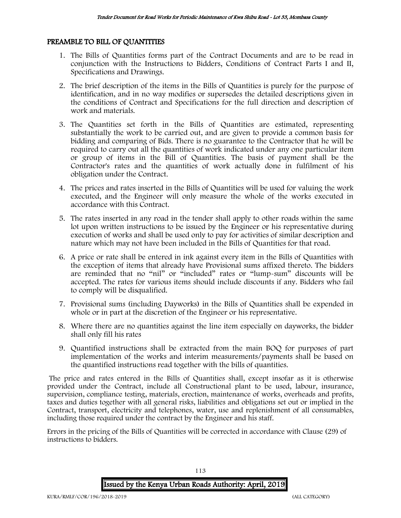#### PREAMBLE TO BILL OF QUANTITIES

- 1. The Bills of Quantities forms part of the Contract Documents and are to be read in conjunction with the Instructions to Bidders, Conditions of Contract Parts I and II, Specifications and Drawings.
- 2. The brief description of the items in the Bills of Quantities is purely for the purpose of identification, and in no way modifies or supersedes the detailed descriptions given in the conditions of Contract and Specifications for the full direction and description of work and materials.
- 3. The Quantities set forth in the Bills of Quantities are estimated, representing substantially the work to be carried out, and are given to provide a common basis for bidding and comparing of Bids. There is no guarantee to the Contractor that he will be required to carry out all the quantities of work indicated under any one particular item or group of items in the Bill of Quantities. The basis of payment shall be the Contractor's rates and the quantities of work actually done in fulfilment of his obligation under the Contract.
- 4. The prices and rates inserted in the Bills of Quantities will be used for valuing the work executed, and the Engineer will only measure the whole of the works executed in accordance with this Contract.
- 5. The rates inserted in any road in the tender shall apply to other roads within the same lot upon written instructions to be issued by the Engineer or his representative during execution of works and shall be used only to pay for activities of similar description and nature which may not have been included in the Bills of Quantities for that road.
- 6. A price or rate shall be entered in ink against every item in the Bills of Quantities with the exception of items that already have Provisional sums affixed thereto. The bidders are reminded that no "nil" or "included" rates or "lump-sum" discounts will be accepted. The rates for various items should include discounts if any. Bidders who fail to comply will be disqualified.
- 7. Provisional sums (including Dayworks) in the Bills of Quantities shall be expended in whole or in part at the discretion of the Engineer or his representative.
- 8. Where there are no quantities against the line item especially on dayworks, the bidder shall only fill his rates
- 9. Quantified instructions shall be extracted from the main BOQ for purposes of part implementation of the works and interim measurements/payments shall be based on the quantified instructions read together with the bills of quantities.

The price and rates entered in the Bills of Quantities shall, except insofar as it is otherwise provided under the Contract, include all Constructional plant to be used, labour, insurance, supervision, compliance testing, materials, erection, maintenance of works, overheads and profits, taxes and duties together with all general risks, liabilities and obligations set out or implied in the Contract, transport, electricity and telephones, water, use and replenishment of all consumables, including those required under the contract by the Engineer and his staff.

Errors in the pricing of the Bills of Quantities will be corrected in accordance with Clause (29) of instructions to bidders.

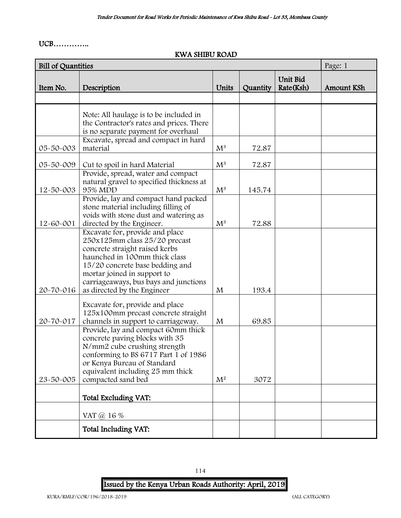#### UCB…………..

#### KWA SHIBU ROAD

| <b>Bill of Quantities</b> |                                                                                                                                                                                                                                                                               |                |          |                       | Page: 1    |
|---------------------------|-------------------------------------------------------------------------------------------------------------------------------------------------------------------------------------------------------------------------------------------------------------------------------|----------------|----------|-----------------------|------------|
| Item No.                  | Description                                                                                                                                                                                                                                                                   | Units          | Quantity | Unit Bid<br>Rate(Ksh) | Amount KSh |
|                           |                                                                                                                                                                                                                                                                               |                |          |                       |            |
|                           | Note: All haulage is to be included in<br>the Contractor's rates and prices. There<br>is no separate payment for overhaul                                                                                                                                                     |                |          |                       |            |
| 05-50-003                 | Excavate, spread and compact in hard<br>material                                                                                                                                                                                                                              | $M^3$          | 72.87    |                       |            |
|                           |                                                                                                                                                                                                                                                                               |                |          |                       |            |
| 05-50-009                 | Cut to spoil in hard Material                                                                                                                                                                                                                                                 | $M^3$          | 72.87    |                       |            |
| 12-50-003                 | Provide, spread, water and compact<br>natural gravel to specified thickness at<br>95% MDD                                                                                                                                                                                     | $M^3$          | 145.74   |                       |            |
| 12-60-001                 | Provide, lay and compact hand packed<br>stone material including filling of<br>voids with stone dust and watering as<br>directed by the Engineer.                                                                                                                             | $M^3$          | 72.88    |                       |            |
| 20-70-016                 | Excavate for, provide and place<br>250x125mm class 25/20 precast<br>concrete straight raised kerbs<br>haunched in 100mm thick class<br>15/20 concrete base bedding and<br>mortar joined in support to<br>carriageaways, bus bays and junctions<br>as directed by the Engineer | M              | 193.4    |                       |            |
| 20-70-017                 | Excavate for, provide and place<br>125x100mm precast concrete straight<br>channels in support to carriageway.                                                                                                                                                                 | M              | 69.85    |                       |            |
| 23-50-005                 | Provide, lay and compact 60mm thick<br>concrete paving blocks with 35<br>N/mm2 cube crushing strength<br>conforming to BS 6717 Part 1 of 1986<br>or Kenya Bureau of Standard<br>equivalent including 25 mm thick<br>compacted sand bed                                        | M <sup>2</sup> | 3072     |                       |            |
|                           | Total Excluding VAT:                                                                                                                                                                                                                                                          |                |          |                       |            |
|                           | VAT @ 16 %                                                                                                                                                                                                                                                                    |                |          |                       |            |
|                           | Total Including VAT:                                                                                                                                                                                                                                                          |                |          |                       |            |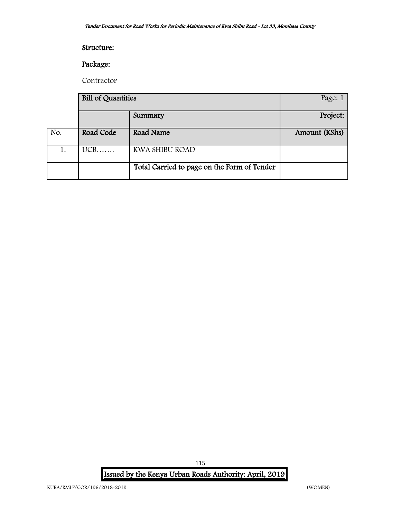#### Structure:

#### Package:

Contractor

|     | <b>Bill of Quantities</b> |                                             | Page: 1       |
|-----|---------------------------|---------------------------------------------|---------------|
|     |                           | Summary                                     | Project:      |
| No. | Road Code                 | Road Name                                   | Amount (KShs) |
|     | $UCB$                     | KWA SHIBU ROAD                              |               |
|     |                           | Total Carried to page on the Form of Tender |               |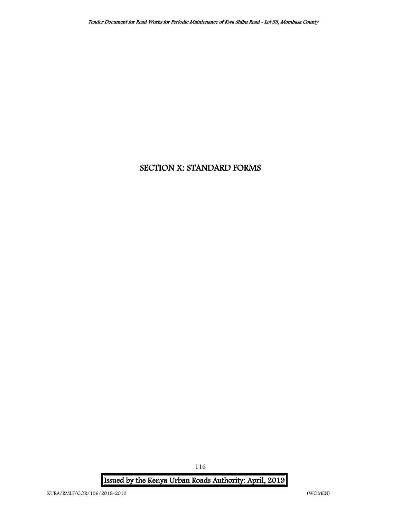# SECTION X: STANDARD FORMS

Issued by the Kenya Urban Roads Authority: April, 2019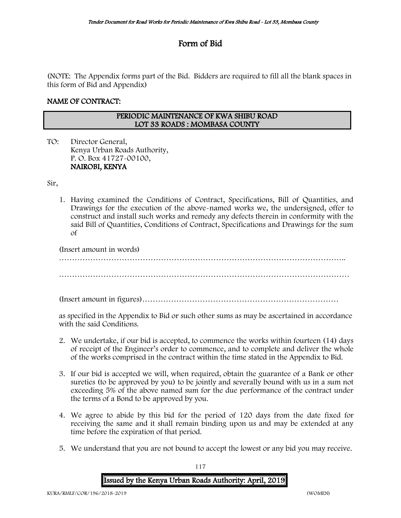# Form of Bid

(NOTE: The Appendix forms part of the Bid. Bidders are required to fill all the blank spaces in this form of Bid and Appendix)

#### NAME OF CONTRACT:

#### PERIODIC MAINTENANCE OF KWA SHIBU ROAD LOT 33 ROADS : MOMBASA COUNTY

TO: Director General, Kenya Urban Roads Authority, P. O. Box 41727-00100, NAIROBI, KENYA

Sir,

1. Having examined the Conditions of Contract, Specifications, Bill of Quantities, and Drawings for the execution of the above-named works we, the undersigned, offer to construct and install such works and remedy any defects therein in conformity with the said Bill of Quantities, Conditions of Contract, Specifications and Drawings for the sum of

(Insert amount in words)

…………………………………………………………………………………………………

(Insert amount in figures)…………………………………………………………………

as specified in the Appendix to Bid or such other sums as may be ascertained in accordance with the said Conditions.

- 2. We undertake, if our bid is accepted, to commence the works within fourteen (14) days of receipt of the Engineer's order to commence, and to complete and deliver the whole of the works comprised in the contract within the time stated in the Appendix to Bid.
- 3. If our bid is accepted we will, when required, obtain the guarantee of a Bank or other sureties (to be approved by you) to be jointly and severally bound with us in a sum not exceeding 5% of the above named sum for the due performance of the contract under the terms of a Bond to be approved by you.
- 4. We agree to abide by this bid for the period of 120 days from the date fixed for receiving the same and it shall remain binding upon us and may be extended at any time before the expiration of that period.
- 5. We understand that you are not bound to accept the lowest or any bid you may receive.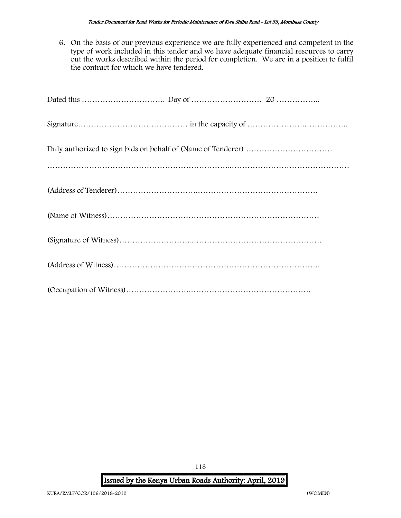6. On the basis of our previous experience we are fully experienced and competent in the type of work included in this tender and we have adequate financial resources to carry out the works described within the period for completion. We are in a position to fulfil the contract for which we have tendered.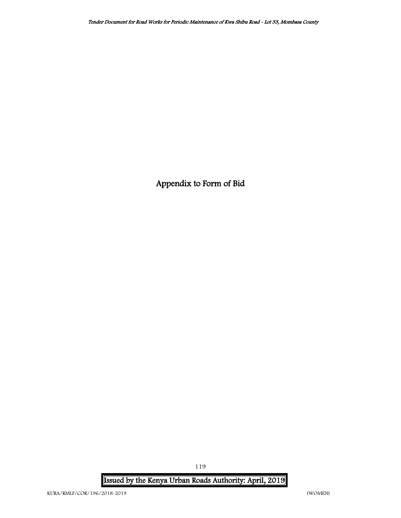Appendix to Form of Bid

Issued by the Kenya Urban Roads Authority: April, 2019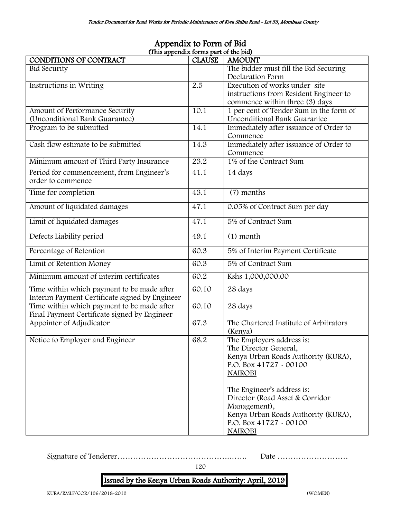| (This appendix forms part of the bid)          |               |                                                               |  |  |  |  |  |  |  |  |
|------------------------------------------------|---------------|---------------------------------------------------------------|--|--|--|--|--|--|--|--|
| CONDITIONS OF CONTRACT                         | <b>CLAUSE</b> | <b>AMOUNT</b>                                                 |  |  |  |  |  |  |  |  |
| <b>Bid Security</b>                            |               | The bidder must fill the Bid Securing                         |  |  |  |  |  |  |  |  |
|                                                |               | Declaration Form                                              |  |  |  |  |  |  |  |  |
| Instructions in Writing                        | 2.5           | Execution of works under site                                 |  |  |  |  |  |  |  |  |
|                                                |               | instructions from Resident Engineer to                        |  |  |  |  |  |  |  |  |
|                                                |               | commence within three (3) days                                |  |  |  |  |  |  |  |  |
| Amount of Performance Security                 | 10.1          | 1 per cent of Tender Sum in the form of                       |  |  |  |  |  |  |  |  |
| (Unconditional Bank Guarantee)                 |               | Unconditional Bank Guarantee                                  |  |  |  |  |  |  |  |  |
| Program to be submitted                        | 14.1          | Immediately after issuance of Order to                        |  |  |  |  |  |  |  |  |
|                                                |               | Commence                                                      |  |  |  |  |  |  |  |  |
| Cash flow estimate to be submitted             | 14.3          | Immediately after issuance of Order to                        |  |  |  |  |  |  |  |  |
|                                                |               | Commence                                                      |  |  |  |  |  |  |  |  |
| Minimum amount of Third Party Insurance        | 23.2          | 1% of the Contract Sum                                        |  |  |  |  |  |  |  |  |
| Period for commencement, from Engineer's       | 41.1          | 14 days                                                       |  |  |  |  |  |  |  |  |
| order to commence                              |               |                                                               |  |  |  |  |  |  |  |  |
| Time for completion                            | 43.1          | (7) months                                                    |  |  |  |  |  |  |  |  |
|                                                |               |                                                               |  |  |  |  |  |  |  |  |
| Amount of liquidated damages                   | 47.1          | 0.05% of Contract Sum per day                                 |  |  |  |  |  |  |  |  |
| Limit of liquidated damages                    | 47.1          | 5% of Contract Sum                                            |  |  |  |  |  |  |  |  |
| Defects Liability period                       | 49.1          | $(1)$ month                                                   |  |  |  |  |  |  |  |  |
| Percentage of Retention                        | 60.3          | 5% of Interim Payment Certificate                             |  |  |  |  |  |  |  |  |
| Limit of Retention Money                       | 60.3          | 5% of Contract Sum                                            |  |  |  |  |  |  |  |  |
| Minimum amount of interim certificates         | 60.2          | Kshs 1,000,000.00                                             |  |  |  |  |  |  |  |  |
| Time within which payment to be made after     | 60.10         | 28 days                                                       |  |  |  |  |  |  |  |  |
| Interim Payment Certificate signed by Engineer |               |                                                               |  |  |  |  |  |  |  |  |
| Time within which payment to be made after     | 60.10         | 28 days                                                       |  |  |  |  |  |  |  |  |
| Final Payment Certificate signed by Engineer   |               |                                                               |  |  |  |  |  |  |  |  |
| Appointer of Adjudicator                       | 67.3          | The Chartered Institute of Arbitrators                        |  |  |  |  |  |  |  |  |
|                                                |               | (Kenya)                                                       |  |  |  |  |  |  |  |  |
| Notice to Employer and Engineer                | 68.2          | The Employers address is:                                     |  |  |  |  |  |  |  |  |
|                                                |               | The Director General,                                         |  |  |  |  |  |  |  |  |
|                                                |               | Kenya Urban Roads Authority (KURA),                           |  |  |  |  |  |  |  |  |
|                                                |               | P.O. Box 41727 - 00100                                        |  |  |  |  |  |  |  |  |
|                                                |               | <b>NAIROBI</b>                                                |  |  |  |  |  |  |  |  |
|                                                |               |                                                               |  |  |  |  |  |  |  |  |
|                                                |               | The Engineer's address is:<br>Director (Road Asset & Corridor |  |  |  |  |  |  |  |  |
|                                                |               |                                                               |  |  |  |  |  |  |  |  |
|                                                |               | Management),                                                  |  |  |  |  |  |  |  |  |
|                                                |               | Kenya Urban Roads Authority (KURA),                           |  |  |  |  |  |  |  |  |
|                                                |               | P.O. Box 41727 - 00100                                        |  |  |  |  |  |  |  |  |
|                                                |               | <b>NAIROBI</b>                                                |  |  |  |  |  |  |  |  |

# Appendix to Form of Bid

Signature of Tenderer…………………………………….……. Date ………………………

120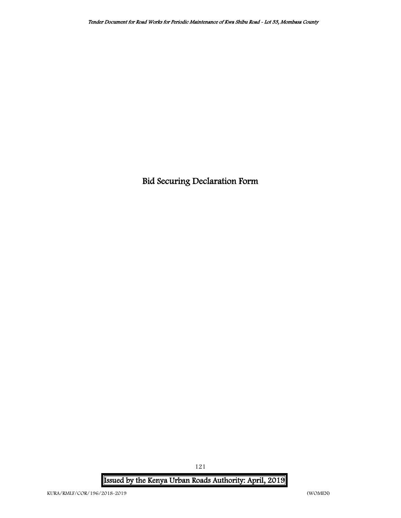Bid Securing Declaration Form

Issued by the Kenya Urban Roads Authority: April, 2019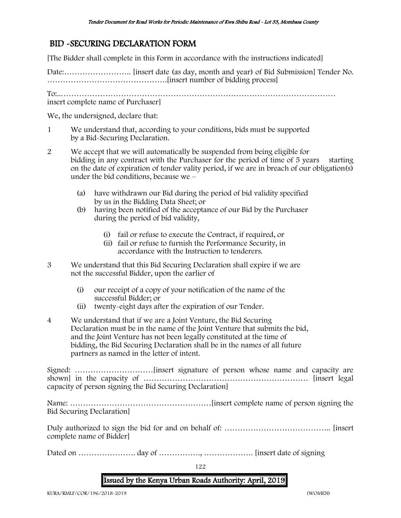# BID -SECURING DECLARATION FORM

[The Bidder shall complete in this Form in accordance with the instructions indicated]

Date:…………………….. [insert date (as day, month and year) of Bid Submission] Tender No. ……………………………………….[insert number of bidding process]

To:..……………………………………………………………………………………………

insert complete name of Purchaser]

We, the undersigned, declare that:

- 1 We understand that, according to your conditions, bids must be supported by a Bid-Securing Declaration.
- 2 We accept that we will automatically be suspended from being eligible for bidding in any contract with the Purchaser for the period of time of 5 years starting on the date of expiration of tender vality period, if we are in breach of our obligation(s) under the bid conditions, because we –
	- (a) have withdrawn our Bid during the period of bid validity specified by us in the Bidding Data Sheet; or
	- (b) having been notified of the acceptance of our Bid by the Purchaser during the period of bid validity,
		- (i) fail or refuse to execute the Contract, if required, or
		- (ii) fail or refuse to furnish the Performance Security, in accordance with the Instruction to tenderers.
- 3 We understand that this Bid Securing Declaration shall expire if we are not the successful Bidder, upon the earlier of
	- (i) our receipt of a copy of your notification of the name of the successful Bidder; or
	- (ii) twenty-eight days after the expiration of our Tender.
- 4 We understand that if we are a Joint Venture, the Bid Securing Declaration must be in the name of the Joint Venture that submits the bid, and the Joint Venture has not been legally constituted at the time of bidding, the Bid Securing Declaration shall be in the names of all future partners as named in the letter of intent.

Signed: …………………………[insert signature of person whose name and capacity are shown] in the capacity of ……………………………………………………… [insert legal capacity of person signing the Bid Securing Declaration]

Name: ………………………………………………[insert complete name of person signing the Bid Securing Declaration]

Duly authorized to sign the bid for and on behalf of: ………………………………….. [insert complete name of Bidder]

Dated on …………………. day of ……………., ………………. [insert date of signing

122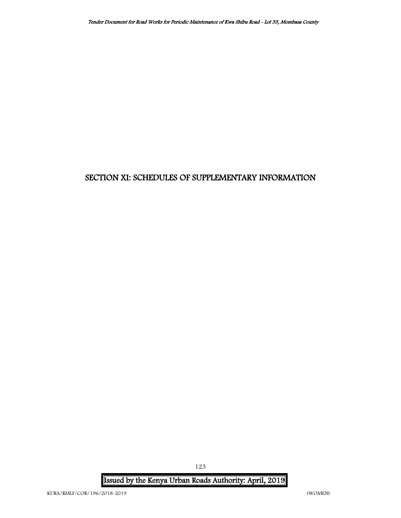# SECTION XI: SCHEDULES OF SUPPLEMENTARY INFORMATION

Issued by the Kenya Urban Roads Authority: April, 2019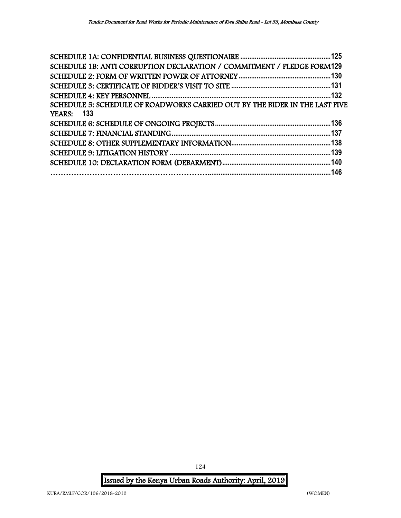| SCHEDULE 1B: ANTI CORRUPTION DECLARATION / COMMITMENT / PLEDGE FORM129      |      |
|-----------------------------------------------------------------------------|------|
|                                                                             |      |
|                                                                             |      |
|                                                                             |      |
| SCHEDULE 5: SCHEDULE OF ROADWORKS CARRIED OUT BY THE BIDER IN THE LAST FIVE |      |
| <b>YEARS:</b> 133                                                           |      |
|                                                                             |      |
|                                                                             |      |
|                                                                             |      |
|                                                                             | .139 |
|                                                                             |      |
|                                                                             |      |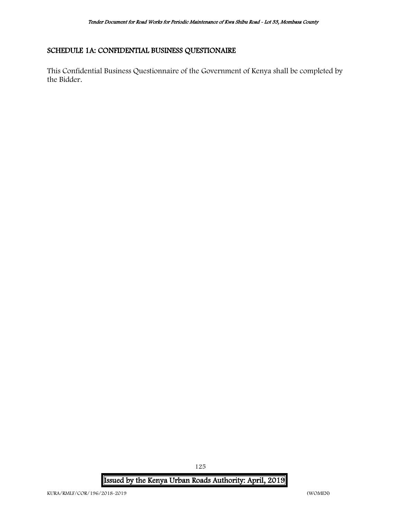#### <span id="page-125-0"></span>SCHEDULE 1A: CONFIDENTIAL BUSINESS QUESTIONAIRE

This Confidential Business Questionnaire of the Government of Kenya shall be completed by the Bidder.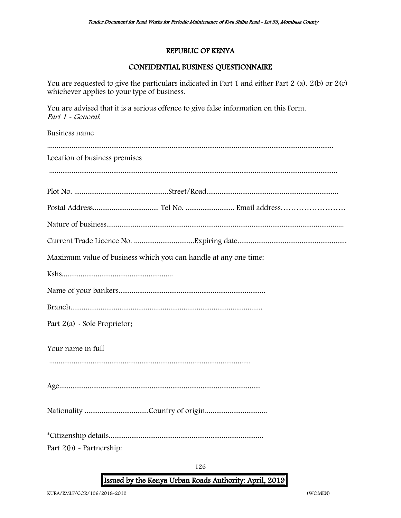#### REPUBLIC OF KENYA

#### CONFIDENTIAL BUSINESS QUESTIONNAIRE

You are requested to give the particulars indicated in Part 1 and either Part 2 (a). 2(b) or 2(c) whichever applies to your type of business.

You are advised that it is a serious offence to give false information on this Form. Part 1 - General:

Business name ........................................................................................................................................................ Location of business premises ......................................................................................................................................................... Plot No. ..................................................Street/Road...................................................................... Postal Address................................... Tel No. .......................... Email address……………………. Nature of business.............................................................................................................................. Current Trade Licence No. ................................Expiring date.......................................................... Maximum value of business which you can handle at any one time: Kshs........................................................... Name of your bankers.............................................................................. Branch...................................................................................................... Part 2(a) - Sole Proprietor: Your name in full ........................................................................................................... Age........................................................................................................... Nationality ..................................Country of origin................................. \*Citizenship details.................................................................................. Part 2(b) - Partnership:

Issued by the Kenya Urban Roads Authority: April, 2019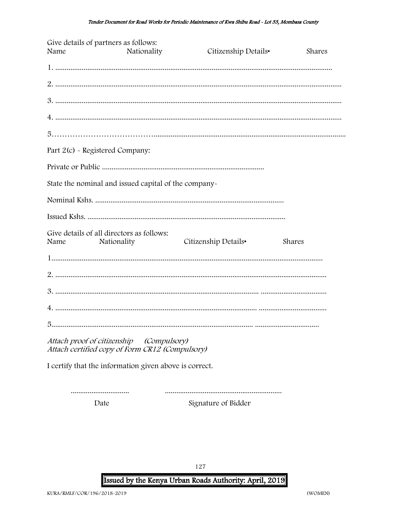| Give details of partners as follows:<br>Name                                                | Nationality | Citizenship Details• | <b>Shares</b> |  |  |  |  |  |  |  |
|---------------------------------------------------------------------------------------------|-------------|----------------------|---------------|--|--|--|--|--|--|--|
|                                                                                             |             |                      |               |  |  |  |  |  |  |  |
|                                                                                             |             |                      |               |  |  |  |  |  |  |  |
|                                                                                             |             |                      |               |  |  |  |  |  |  |  |
|                                                                                             |             |                      |               |  |  |  |  |  |  |  |
|                                                                                             |             |                      |               |  |  |  |  |  |  |  |
| Part 2(c) - Registered Company:                                                             |             |                      |               |  |  |  |  |  |  |  |
|                                                                                             |             |                      |               |  |  |  |  |  |  |  |
| State the nominal and issued capital of the company-                                        |             |                      |               |  |  |  |  |  |  |  |
|                                                                                             |             |                      |               |  |  |  |  |  |  |  |
|                                                                                             |             |                      |               |  |  |  |  |  |  |  |
| Give details of all directors as follows:<br>Name<br>Nationality                            |             | Citizenship Details• | Shares        |  |  |  |  |  |  |  |
|                                                                                             |             |                      |               |  |  |  |  |  |  |  |
|                                                                                             |             |                      |               |  |  |  |  |  |  |  |
|                                                                                             |             |                      |               |  |  |  |  |  |  |  |
|                                                                                             |             |                      |               |  |  |  |  |  |  |  |
|                                                                                             |             |                      |               |  |  |  |  |  |  |  |
| Attach proof of citizenship (Compulsory)<br>Attach certified copy of Form CR12 (Compulsory) |             |                      |               |  |  |  |  |  |  |  |
| I certify that the information given above is correct.                                      |             |                      |               |  |  |  |  |  |  |  |

.............................. Date

Signature of Bidder

127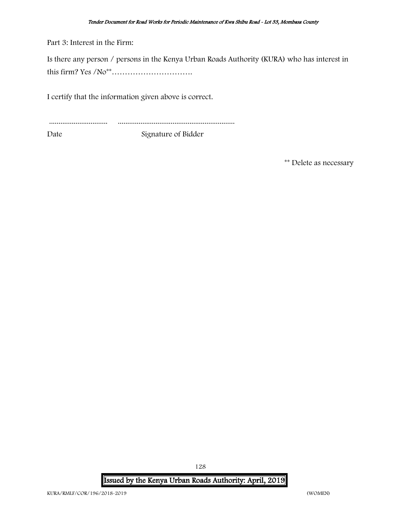Part 3: Interest in the Firm:

Is there any person / persons in the Kenya Urban Roads Authority (KURA) who has interest in this firm? Yes /No\*\*………………………….

I certify that the information given above is correct.

............................... ..............................................................

Date Signature of Bidder

\*\* Delete as necessary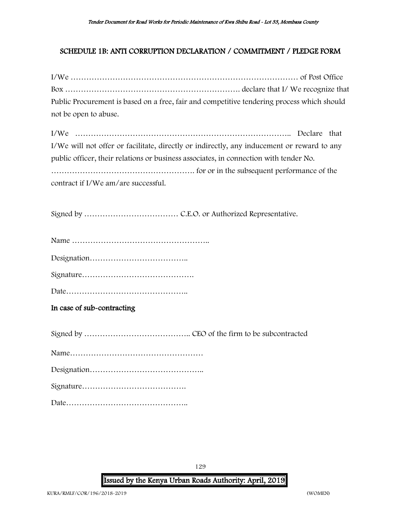#### <span id="page-129-0"></span>SCHEDULE 1B: ANTI CORRUPTION DECLARATION / COMMITMENT / PLEDGE FORM

I/We …………………………………………………………………………… of Post Office Box …………………………………………………………. declare that I/ We recognize that Public Procurement is based on a free, fair and competitive tendering process which should not be open to abuse.

I/We ……………………………………………………………………….. Declare that I/We will not offer or facilitate, directly or indirectly, any inducement or reward to any public officer, their relations or business associates, in connection with tender No. ………………………………………………. for or in the subsequent performance of the contract if I/We am/are successful.

Signed by ……………………………… C.E.O. or Authorized Representative.

|--|--|--|

Designation………………………………..

Signature…………………………………….

Date………………………………………..

#### In case of sub-contracting

Signed by ………………………………….. CEO of the firm to be subcontracted

|--|--|

Signature………………………………….

Date………………………………………..

129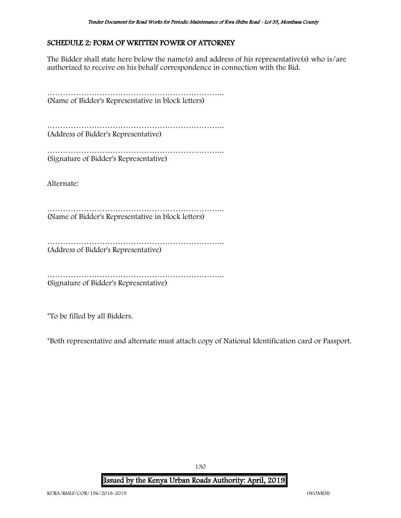#### <span id="page-130-0"></span>SCHEDULE 2: FORM OF WRITTEN POWER OF ATTORNEY

The Bidder shall state here below the name(s) and address of his representative(s) who is/are authorized to receive on his behalf correspondence in connection with the Bid.

………………………………………………………….. (Name of Bidder's Representative in block letters)

………………………………………………………….. (Address of Bidder's Representative)

………………………………………………………………… (Signature of Bidder's Representative)

Alternate:

………………………………………………………….. (Name of Bidder's Representative in block letters)

………………………………………………………………………… (Address of Bidder's Representative)

………………………………………………………….. (Signature of Bidder's Representative)

\*To be filled by all Bidders.

\*Both representative and alternate must attach copy of National Identification card or Passport.

Issued by the Kenya Urban Roads Authority: April, 2019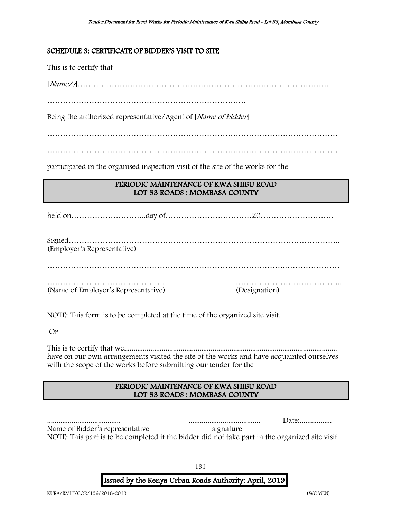#### <span id="page-131-0"></span>SCHEDULE 3: CERTIFICATE OF BIDDER'S VISIT TO SITE

This is to certify that

[Name/s]……………………………………………………………………………………

Being the authorized representative/Agent of [*Name of bidder*]

…………………………………………………………………………………………………

…………………………………………………………………………………………………

participated in the organised inspection visit of the site of the works for the

#### PERIODIC MAINTENANCE OF KWA SHIBU ROAD LOT 33 ROADS : MOMBASA COUNTY

held on………………………..day of……………………………20……………………….

Signed………………………………………………………………………………………….. (Employer's Representative)

……………………………………………………………………………….…………………

……………………………………… ………………………………….. (Name of Employer's Representative) (Designation)

NOTE: This form is to be completed at the time of the organized site visit.

Or

This is to certify that we,................................................................................................................ have on our own arrangements visited the site of the works and have acquainted ourselves with the scope of the works before submitting our tender for the

#### PERIODIC MAINTENANCE OF KWA SHIBU ROAD LOT 33 ROADS : MOMBASA COUNTY

....................................... ...................................... Date:................. Name of Bidder's representative signature NOTE: This part is to be completed if the bidder did not take part in the organized site visit.

Issued by the Kenya Urban Roads Authority: April, 2019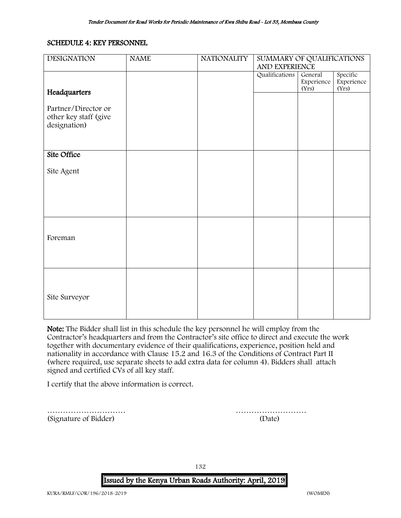#### <span id="page-132-0"></span>SCHEDULE 4: KEY PERSONNEL

| <b>DESIGNATION</b>    | <b>NAME</b> | <b>NATIONALITY</b> | SUMMARY OF QUALIFICATIONS |                       |                        |
|-----------------------|-------------|--------------------|---------------------------|-----------------------|------------------------|
|                       |             |                    | AND EXPERIENCE            |                       |                        |
|                       |             |                    | Qualifications            | General<br>Experience | Specific<br>Experience |
|                       |             |                    |                           | (Yrs)                 | (Yrs)                  |
| Headquarters          |             |                    |                           |                       |                        |
| Partner/Director or   |             |                    |                           |                       |                        |
| other key staff (give |             |                    |                           |                       |                        |
| designation)          |             |                    |                           |                       |                        |
|                       |             |                    |                           |                       |                        |
|                       |             |                    |                           |                       |                        |
| Site Office           |             |                    |                           |                       |                        |
|                       |             |                    |                           |                       |                        |
| Site Agent            |             |                    |                           |                       |                        |
|                       |             |                    |                           |                       |                        |
|                       |             |                    |                           |                       |                        |
|                       |             |                    |                           |                       |                        |
|                       |             |                    |                           |                       |                        |
|                       |             |                    |                           |                       |                        |
|                       |             |                    |                           |                       |                        |
| Foreman               |             |                    |                           |                       |                        |
|                       |             |                    |                           |                       |                        |
|                       |             |                    |                           |                       |                        |
|                       |             |                    |                           |                       |                        |
|                       |             |                    |                           |                       |                        |
|                       |             |                    |                           |                       |                        |
| Site Surveyor         |             |                    |                           |                       |                        |
|                       |             |                    |                           |                       |                        |
|                       |             |                    |                           |                       |                        |

Note: The Bidder shall list in this schedule the key personnel he will employ from the Contractor's headquarters and from the Contractor's site office to direct and execute the work together with documentary evidence of their qualifications, experience, position held and nationality in accordance with Clause 15.2 and 16.3 of the Conditions of Contract Part II (where required, use separate sheets to add extra data for column 4). Bidders shall attach signed and certified CVs of all key staff.

I certify that the above information is correct.

(Signature of Bidder) (Date)

………………………… ………………………

132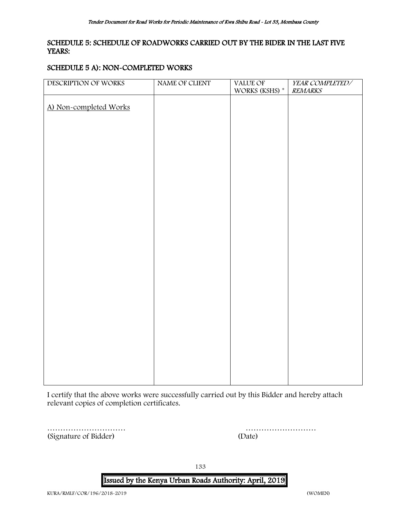#### <span id="page-133-0"></span>SCHEDULE 5: SCHEDULE OF ROADWORKS CARRIED OUT BY THE BIDER IN THE LAST FIVE YEARS:

#### SCHEDULE 5 A): NON-COMPLETED WORKS

| DESCRIPTION OF WORKS   | NAME OF CLIENT | <b>VALUE OF</b>      | YEAR COMPLETED/ |
|------------------------|----------------|----------------------|-----------------|
|                        |                | WORKS (KSHS) $^\ast$ | <b>REMARKS</b>  |
|                        |                |                      |                 |
| A) Non-completed Works |                |                      |                 |
|                        |                |                      |                 |
|                        |                |                      |                 |
|                        |                |                      |                 |
|                        |                |                      |                 |
|                        |                |                      |                 |
|                        |                |                      |                 |
|                        |                |                      |                 |
|                        |                |                      |                 |
|                        |                |                      |                 |
|                        |                |                      |                 |
|                        |                |                      |                 |
|                        |                |                      |                 |
|                        |                |                      |                 |
|                        |                |                      |                 |
|                        |                |                      |                 |
|                        |                |                      |                 |
|                        |                |                      |                 |
|                        |                |                      |                 |
|                        |                |                      |                 |
|                        |                |                      |                 |
|                        |                |                      |                 |
|                        |                |                      |                 |
|                        |                |                      |                 |
|                        |                |                      |                 |
|                        |                |                      |                 |
|                        |                |                      |                 |
|                        |                |                      |                 |
|                        |                |                      |                 |
|                        |                |                      |                 |
|                        |                |                      |                 |
|                        |                |                      |                 |
|                        |                |                      |                 |

I certify that the above works were successfully carried out by this Bidder and hereby attach relevant copies of completion certificates.

………………………… ……………………… (Signature of Bidder) (

| (Date) |  |  |  |  |  |  |  |  |  |  |  |  |  |  |
|--------|--|--|--|--|--|--|--|--|--|--|--|--|--|--|

133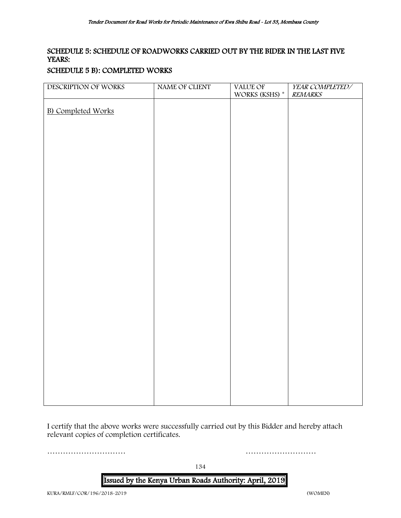#### SCHEDULE 5: SCHEDULE OF ROADWORKS CARRIED OUT BY THE BIDER IN THE LAST FIVE YEARS:

#### SCHEDULE 5 B): COMPLETED WORKS

| DESCRIPTION OF WORKS      | NAME OF CLIENT | VALUE OF<br>WORKS (KSHS) $^\ast$ | YEAR COMPLETED/<br><b>REMARKS</b> |
|---------------------------|----------------|----------------------------------|-----------------------------------|
|                           |                |                                  |                                   |
| <b>B)</b> Completed Works |                |                                  |                                   |
|                           |                |                                  |                                   |
|                           |                |                                  |                                   |
|                           |                |                                  |                                   |
|                           |                |                                  |                                   |
|                           |                |                                  |                                   |
|                           |                |                                  |                                   |
|                           |                |                                  |                                   |
|                           |                |                                  |                                   |
|                           |                |                                  |                                   |
|                           |                |                                  |                                   |
|                           |                |                                  |                                   |
|                           |                |                                  |                                   |
|                           |                |                                  |                                   |
|                           |                |                                  |                                   |
|                           |                |                                  |                                   |
|                           |                |                                  |                                   |
|                           |                |                                  |                                   |
|                           |                |                                  |                                   |
|                           |                |                                  |                                   |
|                           |                |                                  |                                   |
|                           |                |                                  |                                   |
|                           |                |                                  |                                   |
|                           |                |                                  |                                   |
|                           |                |                                  |                                   |
|                           |                |                                  |                                   |

I certify that the above works were successfully carried out by this Bidder and hereby attach relevant copies of completion certificates.

………………………… ………………………

134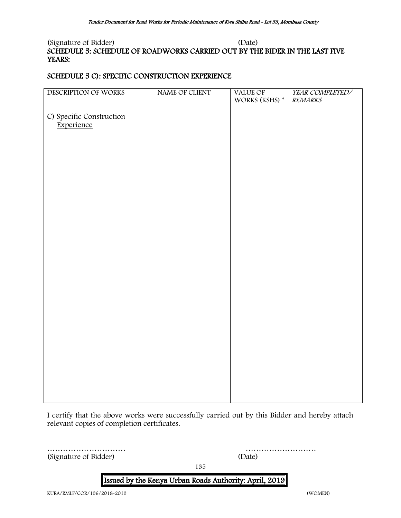#### (Signature of Bidder) (Date) SCHEDULE 5: SCHEDULE OF ROADWORKS CARRIED OUT BY THE BIDER IN THE LAST FIVE YEARS:

#### SCHEDULE 5 C): SPECIFIC CONSTRUCTION EXPERIENCE

| DESCRIPTION OF WORKS     | NAME OF CLIENT | VALUE OF<br>WORKS (KSHS) * | YEAR COMPLETED/<br><b>REMARKS</b> |
|--------------------------|----------------|----------------------------|-----------------------------------|
|                          |                |                            |                                   |
|                          |                |                            |                                   |
| C) Specific Construction |                |                            |                                   |
| Experience               |                |                            |                                   |
|                          |                |                            |                                   |
|                          |                |                            |                                   |
|                          |                |                            |                                   |
|                          |                |                            |                                   |
|                          |                |                            |                                   |
|                          |                |                            |                                   |
|                          |                |                            |                                   |
|                          |                |                            |                                   |
|                          |                |                            |                                   |
|                          |                |                            |                                   |
|                          |                |                            |                                   |
|                          |                |                            |                                   |
|                          |                |                            |                                   |
|                          |                |                            |                                   |
|                          |                |                            |                                   |
|                          |                |                            |                                   |
|                          |                |                            |                                   |
|                          |                |                            |                                   |
|                          |                |                            |                                   |
|                          |                |                            |                                   |
|                          |                |                            |                                   |
|                          |                |                            |                                   |
|                          |                |                            |                                   |
|                          |                |                            |                                   |
|                          |                |                            |                                   |
|                          |                |                            |                                   |
|                          |                |                            |                                   |
|                          |                |                            |                                   |
|                          |                |                            |                                   |
|                          |                |                            |                                   |
|                          |                |                            |                                   |
|                          |                |                            |                                   |
|                          |                |                            |                                   |

I certify that the above works were successfully carried out by this Bidder and hereby attach relevant copies of completion certificates.

………………………… ……………………… (Signature of Bidder)

135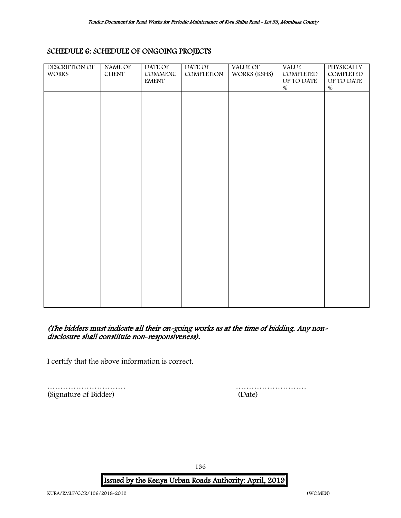#### <span id="page-136-0"></span>SCHEDULE 6: SCHEDULE OF ONGOING PROJECTS

| DESCRIPTION OF | NAME OF       | DATE OF      | <b>DATE OF</b> | VALUE OF     | <b>VALUE</b> | PHYSICALLY |
|----------------|---------------|--------------|----------------|--------------|--------------|------------|
| WORKS          | <b>CLIENT</b> | COMMENC      | COMPLETION     | WORKS (KSHS) | COMPLETED    | COMPLETED  |
|                |               | <b>EMENT</b> |                |              | UP TO DATE   | UP TO DATE |
|                |               |              |                |              | $\%$         | $\%$       |
|                |               |              |                |              |              |            |
|                |               |              |                |              |              |            |
|                |               |              |                |              |              |            |
|                |               |              |                |              |              |            |
|                |               |              |                |              |              |            |
|                |               |              |                |              |              |            |
|                |               |              |                |              |              |            |
|                |               |              |                |              |              |            |
|                |               |              |                |              |              |            |
|                |               |              |                |              |              |            |
|                |               |              |                |              |              |            |
|                |               |              |                |              |              |            |
|                |               |              |                |              |              |            |
|                |               |              |                |              |              |            |
|                |               |              |                |              |              |            |
|                |               |              |                |              |              |            |
|                |               |              |                |              |              |            |
|                |               |              |                |              |              |            |
|                |               |              |                |              |              |            |
|                |               |              |                |              |              |            |
|                |               |              |                |              |              |            |
|                |               |              |                |              |              |            |
|                |               |              |                |              |              |            |
|                |               |              |                |              |              |            |
|                |               |              |                |              |              |            |
|                |               |              |                |              |              |            |
|                |               |              |                |              |              |            |
|                |               |              |                |              |              |            |
|                |               |              |                |              |              |            |
|                |               |              |                |              |              |            |
|                |               |              |                |              |              |            |

#### (The bidders must indicate all their on-going works as at the time of bidding. Any nondisclosure shall constitute non-responsiveness).

I certify that the above information is correct.

(Signature of Bidder) (Date)

………………………… ………………………

136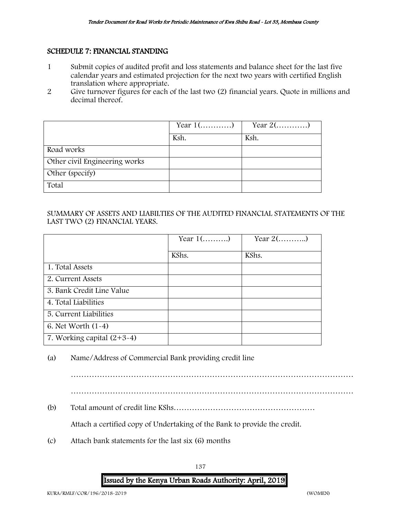#### <span id="page-137-0"></span>SCHEDULE 7: FINANCIAL STANDING

- 1 Submit copies of audited profit and loss statements and balance sheet for the last five calendar years and estimated projection for the next two years with certified English translation where appropriate.
- 2 Give turnover figures for each of the last two (2) financial years. Quote in millions and decimal thereof.

|                               | Year $1$ () | Year $2(\ldots,\ldots,\ldots)$ |
|-------------------------------|-------------|--------------------------------|
|                               | Ksh.        | Ksh.                           |
| Road works                    |             |                                |
| Other civil Engineering works |             |                                |
| Other (specify)               |             |                                |
| Total                         |             |                                |

#### SUMMARY OF ASSETS AND LIABILTIES OF THE AUDITED FINANCIAL STATEMENTS OF THE LAST TWO (2) FINANCIAL YEARS.

|                              | Year $1$ () | Year $2$ () |
|------------------------------|-------------|-------------|
|                              | KShs.       | KShs.       |
| 1. Total Assets              |             |             |
| 2. Current Assets            |             |             |
| 3. Bank Credit Line Value    |             |             |
| 4. Total Liabilities         |             |             |
| 5. Current Liabilities       |             |             |
| 6. Net Worth $(1-4)$         |             |             |
| 7. Working capital $(2+3-4)$ |             |             |

#### (a) Name/Address of Commercial Bank providing credit line

………………………………………………………………………………………………

………………………………………………………………………………………………

(b) Total amount of credit line KShs………………………………………………

Attach a certified copy of Undertaking of the Bank to provide the credit.

(c) Attach bank statements for the last six (6) months

# 137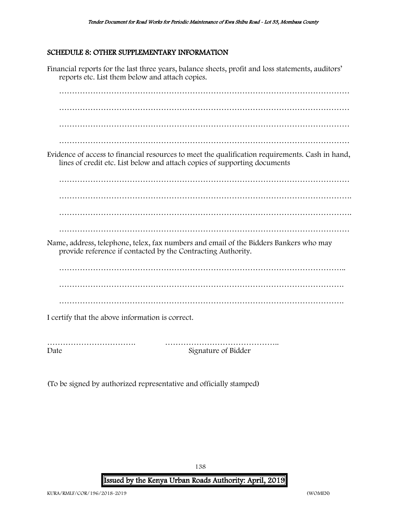#### <span id="page-138-0"></span>SCHEDULE 8: OTHER SUPPLEMENTARY INFORMATION

Financial reports for the last three years, balance sheets, profit and loss statements, auditors' reports etc. List them below and attach copies. ………………………………………………………………………………………………… ………………………………………………………………………………………………… ………………………………………………………………………………………………… ………………………………………………………………………………………………… Evidence of access to financial resources to meet the qualification requirements. Cash in hand, lines of credit etc. List below and attach copies of supporting documents ………………………………………………………………………………………………… …………………………………………………………………………………………………. …………………………………………………………………………………………………. ………………………………………………………………………………………………… Name, address, telephone, telex, fax numbers and email of the Bidders Bankers who may provide reference if contacted by the Contracting Authority. ……………………………………………………………………………………………….. ………………………………………………………………………………………………. I certify that the above information is correct. ……………………………. ……………………………………..

Date Signature of Bidder

(To be signed by authorized representative and officially stamped)

138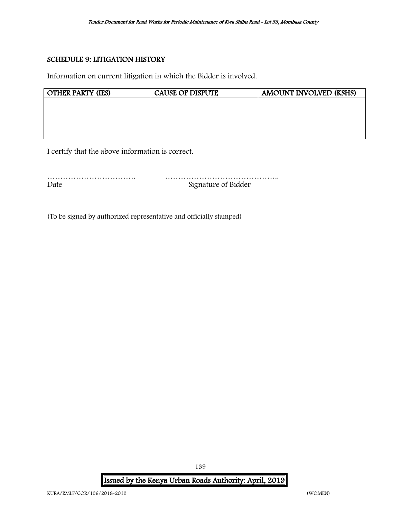#### <span id="page-139-0"></span>SCHEDULE 9: LITIGATION HISTORY

Information on current litigation in which the Bidder is involved.

| <b>OTHER PARTY (IES)</b> | <b>CAUSE OF DISPUTE</b> | <b>AMOUNT INVOLVED (KSHS)</b> |
|--------------------------|-------------------------|-------------------------------|
|                          |                         |                               |
|                          |                         |                               |
|                          |                         |                               |
|                          |                         |                               |
|                          |                         |                               |

I certify that the above information is correct.

| Date | Signature of Bidder |
|------|---------------------|

(To be signed by authorized representative and officially stamped)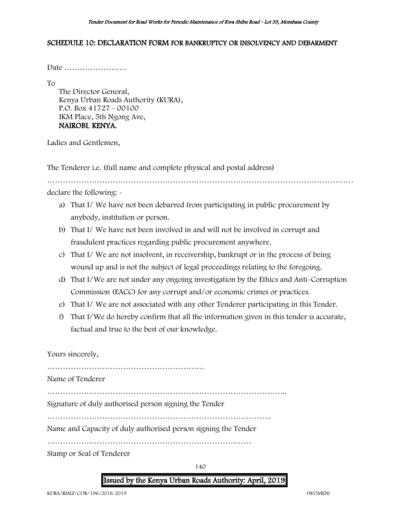#### <span id="page-140-0"></span>SCHEDULE 10: DECLARATION FORM FOR BANKRUPTCY OR INSOLVENCY AND DEBARMENT

Date ……………………

To

The Director General, Kenya Urban Roads Authority (KURA), P.O. Box 41727 - 00100 IKM Place, 5th Ngong Ave, NAIROBI, KENYA.

Ladies and Gentlemen,

The Tenderer i.e. (full name and complete physical and postal address)

………………………………………………………………………………………………………

declare the following: -

- a) That I/ We have not been debarred from participating in public procurement by anybody, institution or person.
- b) That I/ We have not been involved in and will not be involved in corrupt and fraudulent practices regarding public procurement anywhere.
- c) That I/ We are not insolvent, in receivership, bankrupt or in the process of being wound up and is not the subject of legal proceedings relating to the foregoing.
- d) That I/We are not under any ongoing investigation by the Ethics and Anti-Corruption Commission (EACC) for any corrupt and/or economic crimes or practices.
- e) That I/ We are not associated with any other Tenderer participating in this Tender.
- f) That I/We do hereby confirm that all the information given in this tender is accurate, factual and true to the best of our knowledge.

Yours sincerely,

……………………………………………………

Name of Tenderer

………………………………………………………………………………..

Signature of duly authorised person signing the Tender

…………………………………………………………………………..

Name and Capacity of duly authorised person signing the Tender

……………………………………………………………………

Stamp or Seal of Tenderer

140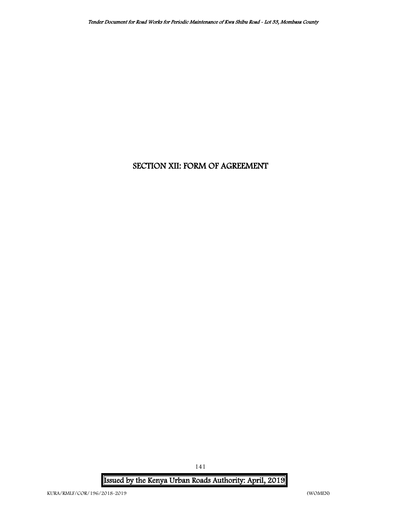# SECTION XII: FORM OF AGREEMENT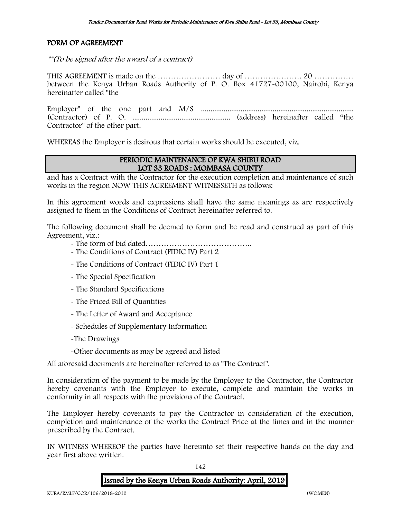#### FORM OF AGREEMENT

\*\*(To be signed after the award of a contract)

THIS AGREEMENT is made on the …………………… day of …………………. 20 …………… between the Kenya Urban Roads Authority of P. O. Box 41727-00100, Nairobi, Kenya hereinafter called "the

Employer" of the one part and M/S ................................................................................. (Contractor) of P. O. .................................................... (address) hereinafter called "the Contractor" of the other part.

WHEREAS the Employer is desirous that certain works should be executed, viz.

#### PERIODIC MAINTENANCE OF KWA SHIBU ROAD LOT 33 ROADS : MOMBASA COUNTY

and has a Contract with the Contractor for the execution completion and maintenance of such works in the region NOW THIS AGREEMENT WITNESSETH as follows:

In this agreement words and expressions shall have the same meanings as are respectively assigned to them in the Conditions of Contract hereinafter referred to.

The following document shall be deemed to form and be read and construed as part of this Agreement, viz.:

- The form of bid dated…………………………………..
- The Conditions of Contract (FIDIC IV) Part 2
- The Conditions of Contract (FIDIC IV) Part 1
- The Special Specification
- The Standard Specifications
- The Priced Bill of Quantities
- The Letter of Award and Acceptance
- Schedules of Supplementary Information
- -The Drawings
- -Other documents as may be agreed and listed

All aforesaid documents are hereinafter referred to as "The Contract".

In consideration of the payment to be made by the Employer to the Contractor, the Contractor hereby covenants with the Employer to execute, complete and maintain the works in conformity in all respects with the provisions of the Contract.

The Employer hereby covenants to pay the Contractor in consideration of the execution, completion and maintenance of the works the Contract Price at the times and in the manner prescribed by the Contract.

IN WITNESS WHEREOF the parties have hereunto set their respective hands on the day and year first above written.

142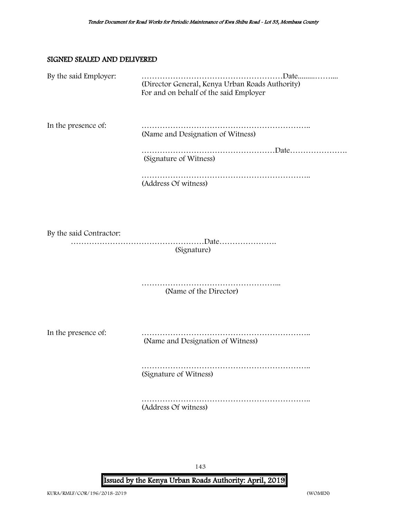#### SIGNED SEALED AND DELIVERED

| By the said Employer:   | (Director General, Kenya Urban Roads Authority)<br>For and on behalf of the said Employer |
|-------------------------|-------------------------------------------------------------------------------------------|
| In the presence of:     | (Name and Designation of Witness)<br>(Signature of Witness)<br>(Address Of witness)       |
| By the said Contractor: | (Signature)                                                                               |
|                         | (Name of the Director)                                                                    |
| In the presence of:     | (Name and Designation of Witness)                                                         |
|                         | (Signature of Witness)                                                                    |
|                         | (Address Of witness)                                                                      |
|                         |                                                                                           |

143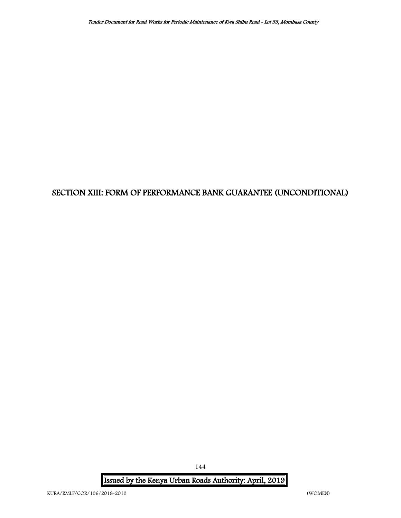# SECTION XIII: FORM OF PERFORMANCE BANK GUARANTEE (UNCONDITIONAL)

Issued by the Kenya Urban Roads Authority: April, 2019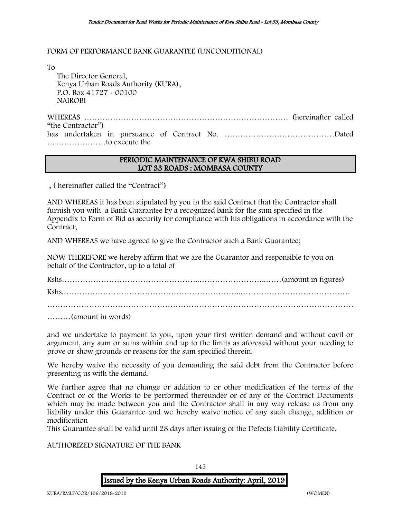### FORM OF PERFORMANCE BANK GUARANTEE (UNCONDITIONAL)

To

 The Director General, Kenya Urban Roads Authority (KURA), P.O. Box 41727 - 00100 NAIROBI

WHEREAS …………………………………………………………………… (hereinafter called "the Contractor") has undertaken in pursuance of Contract No. ……………………………………Dated …..………………to execute the

### PERIODIC MAINTENANCE OF KWA SHIBU ROAD LOT 33 ROADS : MOMBASA COUNTY

, ( hereinafter called the "Contract")

AND WHEREAS it has been stipulated by you in the said Contract that the Contractor shall furnish you with a Bank Guarantee by a recognized bank for the sum specified in the Appendix to Form of Bid as security for compliance with his obligations in accordance with the Contract;

AND WHEREAS we have agreed to give the Contractor such a Bank Guarantee;

NOW THEREFORE we hereby affirm that we are the Guarantor and responsible to you on behalf of the Contractor, up to a total of

Kshs……………………………………………..……………………..……(amount in figures) Kshs.…………………………………………………………..…………………………………… ………………………………………………………………………………………………………

………(amount in words)

and we undertake to payment to you, upon your first written demand and without cavil or argument, any sum or sums within and up to the limits as aforesaid without your needing to prove or show grounds or reasons for the sum specified therein.

We hereby waive the necessity of you demanding the said debt from the Contractor before presenting us with the demand.

We further agree that no change or addition to or other modification of the terms of the Contract or of the Works to be performed thereunder or of any of the Contract Documents which may be made between you and the Contractor shall in any way release us from any liability under this Guarantee and we hereby waive notice of any such change, addition or modification

This Guarantee shall be valid until 28 days after issuing of the Defects Liability Certificate.

## AUTHORIZED SIGNATURE OF THE BANK

145

## Issued by the Kenya Urban Roads Authority: April, 2019